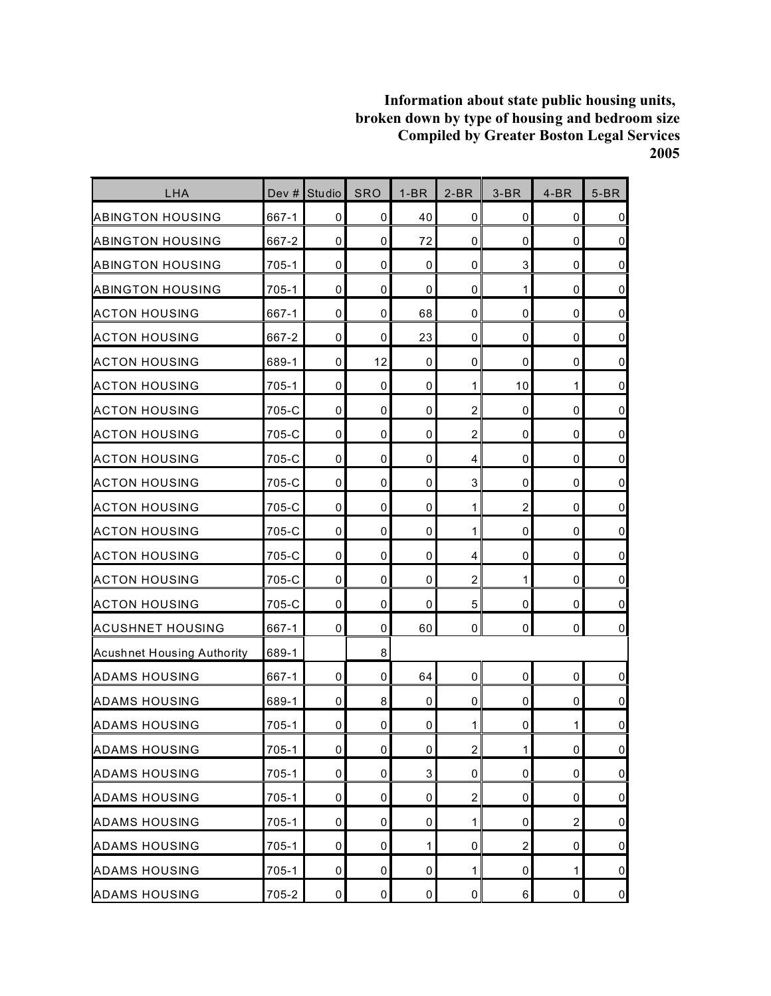| LHA                               | Dev #     | Studio | <b>SRO</b>  | $1-BR$      | $2-BR$         | $3-BR$           | $4-BR$      | $5-BR$              |
|-----------------------------------|-----------|--------|-------------|-------------|----------------|------------------|-------------|---------------------|
| ABINGTON HOUSING                  | 667-1     | 0      | 0           | 40          | 0              | 0                | 0           | $\pmb{0}$           |
| <b>ABINGTON HOUSING</b>           | 667-2     | 0      | 0           | 72          | $\mathbf 0$    | 0                | 0           | $\pmb{0}$           |
| ABINGTON HOUSING                  | 705-1     | 0      | 0           | $\mathbf 0$ | $\mathbf 0$    | 3                | $\mathbf 0$ | $\pmb{0}$           |
| <b>ABINGTON HOUSING</b>           | 705-1     | 0      | 0           | 0           | $\mathbf 0$    | 1                | 0           | $\mathbf 0$         |
| <b>ACTON HOUSING</b>              | 667-1     | 0      | 0           | 68          | $\mathbf 0$    | 0                | $\mathbf 0$ | $\mathbf 0$         |
| <b>ACTON HOUSING</b>              | 667-2     | 0      | 0           | 23          | $\mathbf 0$    | 0                | $\mathbf 0$ | $\mathsf{O}\xspace$ |
| <b>ACTON HOUSING</b>              | 689-1     | 0      | 12          | 0           | $\pmb{0}$      | 0                | 0           | $\overline{0}$      |
| <b>ACTON HOUSING</b>              | 705-1     | 0      | 0           | 0           | 1              | 10               | 1           | $\pmb{0}$           |
| <b>ACTON HOUSING</b>              | 705-C     | 0      | 0           | 0           | $\overline{c}$ | 0                | 0           | $\pmb{0}$           |
| <b>ACTON HOUSING</b>              | 705-C     | 0      | 0           | $\pmb{0}$   | $\overline{2}$ | 0                | $\mathbf 0$ | $\pmb{0}$           |
| <b>ACTON HOUSING</b>              | 705-C     | 0      | 0           | 0           | 4              | 0                | 0           | $\mathsf{O}\xspace$ |
| <b>ACTON HOUSING</b>              | 705-C     | 0      | 0           | 0           | 3              | 0                | $\mathbf 0$ | $\pmb{0}$           |
| <b>ACTON HOUSING</b>              | 705-C     | 0      | 0           | 0           | 1              | $\overline{c}$   | $\mathbf 0$ | $\pmb{0}$           |
| <b>ACTON HOUSING</b>              | 705-C     | 0      | 0           | 0           | 1              | 0                | 0           | $\pmb{0}$           |
| <b>ACTON HOUSING</b>              | 705-C     | 0      | 0           | 0           | $\overline{4}$ | 0                | 0           | $\mathsf 0$         |
| <b>ACTON HOUSING</b>              | 705-C     | 0      | 0           | 0           | $\overline{2}$ | 1                | 0           | $\overline{0}$      |
| ACTON HOUSING                     | 705-C     | 0      | 0           | 0           | 5              | 0                | $\mathbf 0$ | $\pmb{0}$           |
| <b>ACUSHNET HOUSING</b>           | 667-1     | 0      | 0           | 60          | 0              | 0                | 0           | $\pmb{0}$           |
| <b>Acushnet Housing Authority</b> | 689-1     |        | 8           |             |                |                  |             |                     |
| <b>ADAMS HOUSING</b>              | 667-1     | 0      | 0           | 64          | 0              | 0                | 0           | $\mathbf 0$         |
| <b>ADAMS HOUSING</b>              | 689-1     | 0      | 8           | 0           | $\pmb{0}$      | 0                | 0           | $\mathsf 0$         |
| <b>ADAMS HOUSING</b>              | $705 - 1$ | 0      | 0           | 0           | 1              | 0                | 1           | $\pmb{0}$           |
| <b>ADAMS HOUSING</b>              | $705 - 1$ | 0      | $\pmb{0}$   | 0           | $\overline{a}$ | $\mathbf{1}$     | $\mathbf 0$ | $\mathbf 0$         |
| <b>ADAMS HOUSING</b>              | $705 - 1$ | 0      | 0           | 3           | 0              | 0                | $\pmb{0}$   | $\overline{0}$      |
| <b>ADAMS HOUSING</b>              | $705-1$   | 0      | 0           | 0           | $\overline{2}$ | 0                | 0           | $\overline{0}$      |
| <b>ADAMS HOUSING</b>              | 705-1     | 0      | 0           | 0           | $\mathbf{1}$   | 0                | 2           | $\overline{0}$      |
| <b>ADAMS HOUSING</b>              | $705 - 1$ | 0      | $\pmb{0}$   | 1           | 0              | $\boldsymbol{2}$ | 0           | $\overline{0}$      |
| <b>ADAMS HOUSING</b>              | $705 - 1$ | 0      | 0           | 0           | 1              | 0                | 1           | $\overline{0}$      |
| <b>ADAMS HOUSING</b>              | 705-2     | 0      | $\mathsf 0$ | $\pmb{0}$   | $\pmb{0}$      | 6                | $\pmb{0}$   | $\overline{0}$      |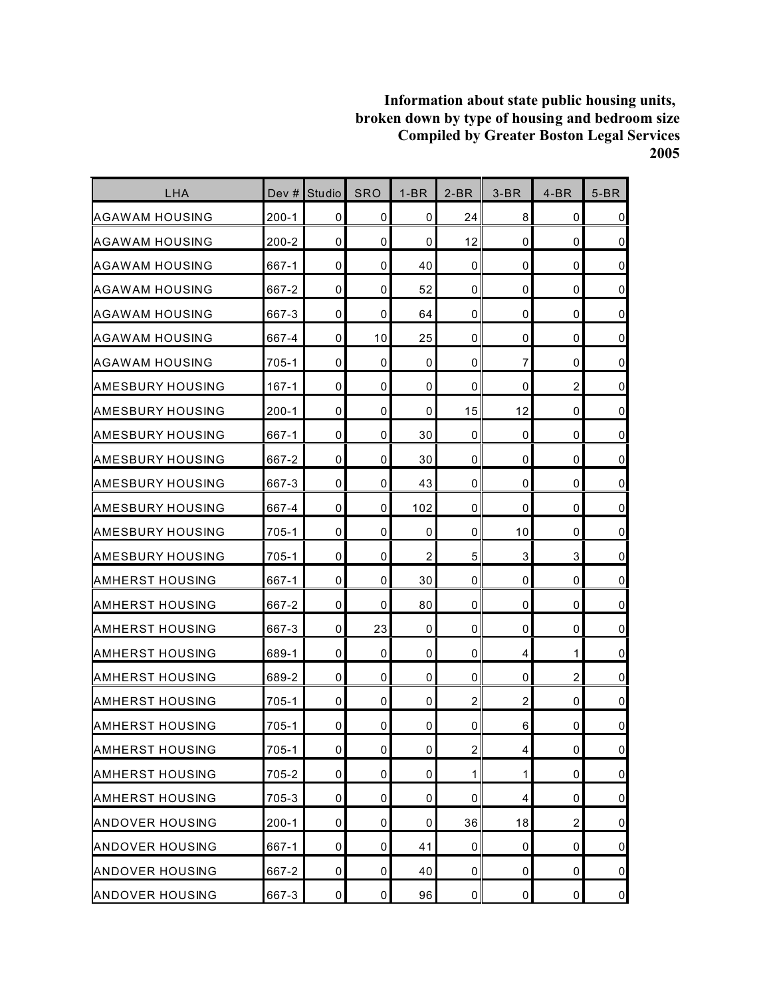| LHA                     | Dev $#$   | <b>Studio</b> | <b>SRO</b>     | $1-BR$         | $2-BR$         | $3-BR$         | $4-BR$         | $5-BR$         |
|-------------------------|-----------|---------------|----------------|----------------|----------------|----------------|----------------|----------------|
| AGAWAM HOUSING          | $200 - 1$ | 0             | 0              | 0              | 24             | 8              | 0              | $\mathbf 0$    |
| AGAWAM HOUSING          | 200-2     | 0             | 0              | 0              | 12             | 0              | $\mathbf 0$    | $\overline{0}$ |
| AGAWAM HOUSING          | 667-1     | 0             | 0              | 40             | $\Omega$       | 0              | 0              | $\mathbf 0$    |
| <b>AGAWAM HOUSING</b>   | 667-2     | 0             | 0              | 52             | 0              | 0              | 0              | $\pmb{0}$      |
| AGAWAM HOUSING          | 667-3     | 0             | 0              | 64             | 0              | 0              | 0              | $\pmb{0}$      |
| <b>AGAWAM HOUSING</b>   | 667-4     | 0             | 10             | 25             | $\mathbf 0$    | 0              | 0              | $\mathbf 0$    |
| AGAWAM HOUSING          | 705-1     | 0             | 0              | 0              | $\mathbf 0$    | $\overline{7}$ | $\mathbf 0$    | $\overline{0}$ |
| AMESBURY HOUSING        | $167 - 1$ | 0             | 0              | 0              | 0              | 0              | $\overline{c}$ | $\mathbf 0$    |
| <b>AMESBURY HOUSING</b> | $200 - 1$ | 0             | 0              | 0              | 15             | 12             | 0              | $\pmb{0}$      |
| AMESBURY HOUSING        | 667-1     | 0             | 0              | 30             | $\mathbf 0$    | 0              | 0              | $\mathbf 0$    |
| <b>AMESBURY HOUSING</b> | 667-2     | 0             | 0              | 30             | 0              | 0              | 0              | $\mathbf 0$    |
| AMESBURY HOUSING        | 667-3     | 0             | 0              | 43             | $\mathbf 0$    | 0              | 0              | $\pmb{0}$      |
| AMESBURY HOUSING        | 667-4     | 0             | 0              | 102            | $\mathbf 0$    | 0              | $\mathbf 0$    | $\mathbf 0$    |
| <b>AMESBURY HOUSING</b> | 705-1     | 0             | 0              | 0              | 0              | 10             | 0              | $\overline{0}$ |
| IAMESBURY HOUSING       | 705-1     | 0             | 0              | $\overline{c}$ | 5              | 3              | 3              | $\mathbf 0$    |
| IAMHERST HOUSING        | 667-1     | 0             | 0              | 30             | 0              | 0              | 0              | $\overline{0}$ |
| AMHERST HOUSING         | 667-2     | 0             | 0              | 80             | 0              | 0              | 0              | $\pmb{0}$      |
| <b>AMHERST HOUSING</b>  | 667-3     | 0             | 23             | 0              | 0              | 0              | 0              | $\mathsf 0$    |
| <b>AMHERST HOUSING</b>  | 689-1     | 0             | 0              | 0              | 0              | 4              | 1              | $\pmb{0}$      |
| <b>AMHERST HOUSING</b>  | 689-2     | 0             | 0              | 0              | 0              | 0              | $\overline{c}$ | $\mathbf 0$    |
| <b>AMHERST HOUSING</b>  | $705 - 1$ | 0             | 0              | 0              | $\overline{2}$ | $\overline{c}$ | 0              | $\mathsf 0$    |
| IAMHERST HOUSING        | 705-1     | 0             | 0              | 0              | 0              | 6              | 0              | $\mathbf 0$    |
| AMHERST HOUSING         | $705 - 1$ | 0             | $\overline{0}$ | 0              | $\overline{a}$ | 4              | $\pmb{0}$      | $\mathbf 0$    |
| <b>AMHERST HOUSING</b>  | 705-2     | 0             | 0              | 0              | 1              | 1              | 0              | $\overline{0}$ |
| <b>AMHERST HOUSING</b>  | 705-3     | 0             | 0              | 0              | 0              | 4              | 0              | $\overline{0}$ |
| <b>ANDOVER HOUSING</b>  | $200 - 1$ | 0             | 0              | 0              | 36             | 18             | $\overline{c}$ | $\overline{0}$ |
| <b>ANDOVER HOUSING</b>  | 667-1     | 0             | 0              | 41             | 0              | 0              | 0              | $\pmb{0}$      |
| <b>ANDOVER HOUSING</b>  | 667-2     | 0             | 0              | 40             | 0              | 0              | 0              | $\overline{0}$ |
| <b>ANDOVER HOUSING</b>  | 667-3     | 0             | 0              | 96             | $\pmb{0}$      | 0              | $\pmb{0}$      | $\overline{0}$ |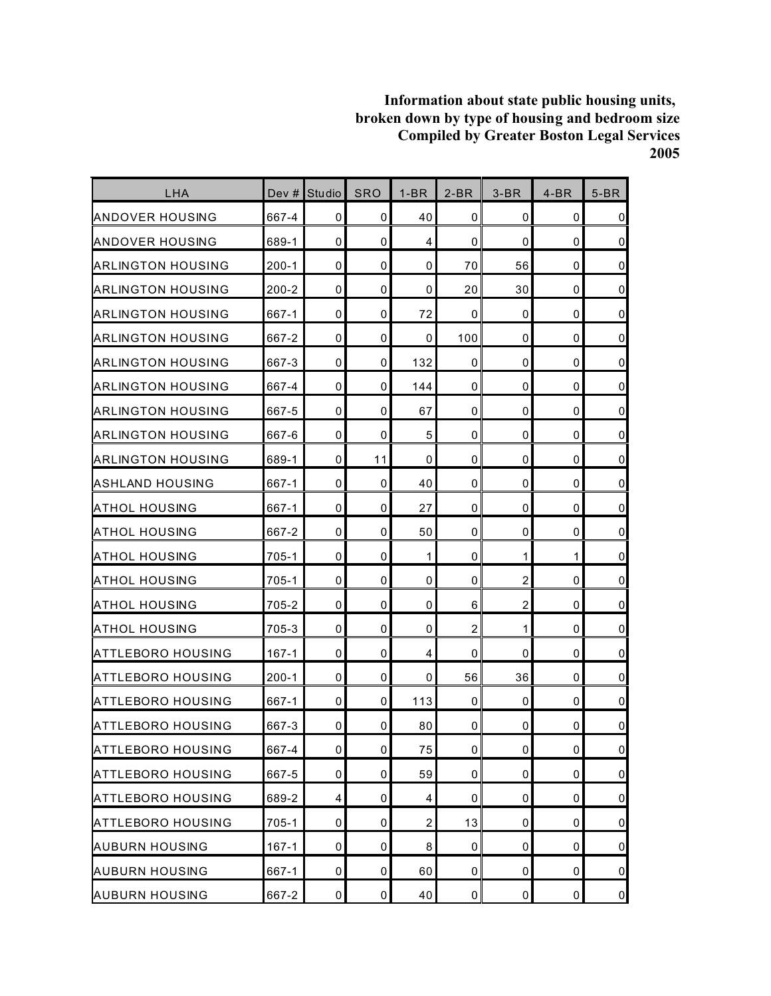| LHA                      | Dev $#$   | <b>Studio</b>           | <b>SRO</b>  | $1-BR$         | $2-BR$         | $3-BR$         | $4-BR$      | $5-BR$         |
|--------------------------|-----------|-------------------------|-------------|----------------|----------------|----------------|-------------|----------------|
| ANDOVER HOUSING          | 667-4     | 0                       | 0           | 40             | 0              | 0              | 0           | $\overline{0}$ |
| ANDOVER HOUSING          | 689-1     | $\mathbf 0$             | 0           | 4              | $\mathbf 0$    | 0              | 0           | $\overline{0}$ |
| <b>ARLINGTON HOUSING</b> | $200 - 1$ | 0                       | 0           | 0              | 70             | 56             | $\mathbf 0$ | $\overline{0}$ |
| ARLINGTON HOUSING        | 200-2     | 0                       | 0           | 0              | 20             | 30             | 0           | $\overline{0}$ |
| IARLINGTON HOUSING       | 667-1     | 0                       | 0           | 72             | 0              | 0              | 0           | $\overline{0}$ |
| <b>ARLINGTON HOUSING</b> | 667-2     | 0                       | 0           | 0              | 100            | 0              | 0           | $\overline{0}$ |
| <b>ARLINGTON HOUSING</b> | 667-3     | $\mathbf 0$             | 0           | 132            | 0              | 0              | $\mathbf 0$ | $\overline{0}$ |
| <b>ARLINGTON HOUSING</b> | 667-4     | $\mathbf{0}$            | $\mathbf 0$ | 144            | $\mathbf 0$    | 0              | $\mathbf 0$ | $\overline{0}$ |
| ARLINGTON HOUSING        | 667-5     | $\mathbf 0$             | 0           | 67             | $\mathbf 0$    | 0              | 0           | $\overline{0}$ |
| ARLINGTON HOUSING        | 667-6     | $\mathbf 0$             | 0           | 5              | 0              | 0              | 0           | $\overline{0}$ |
| <b>ARLINGTON HOUSING</b> | 689-1     | 0                       | 11          | 0              | $\mathbf 0$    | 0              | 0           | $\overline{0}$ |
| ASHLAND HOUSING          | 667-1     | 0                       | 0           | 40             | 0              | 0              | 0           | $\overline{0}$ |
| <b>ATHOL HOUSING</b>     | 667-1     | $\mathbf 0$             | 0           | 27             | $\mathbf 0$    | 0              | $\mathbf 0$ | $\overline{0}$ |
| <b>ATHOL HOUSING</b>     | 667-2     | 0                       | 0           | 50             | 0              | 0              | 0           | $\overline{0}$ |
| <b>ATHOL HOUSING</b>     | 705-1     | 0                       | 0           | 1              | 0              | 1              | 1           | $\overline{0}$ |
| <b>ATHOL HOUSING</b>     | $705 - 1$ | 0                       | 0           | 0              | $\mathbf 0$    | $\overline{2}$ | $\mathbf 0$ | $\overline{0}$ |
| ATHOL HOUSING            | 705-2     | 0                       | 0           | 0              | 6              | $\overline{c}$ | 0           | $\overline{0}$ |
| ATHOL HOUSING            | 705-3     | 0                       | 0           | 0              | $\overline{c}$ | $\mathbf{1}$   | 0           | $\overline{0}$ |
| ATTLEBORO HOUSING        | $167 - 1$ | 0                       | 0           | 4              | 0              | 0              | 0           | $\overline{0}$ |
| <b>ATTLEBORO HOUSING</b> | $200 - 1$ | $\mathbf 0$             | 0           | 0              | 56             | 36             | 0           | $\overline{0}$ |
| ATTLEBORO HOUSING        | 667-1     | $\mathbf 0$             | 0           | 113            | $\mathbf 0$    | 0              | 0           | $\overline{0}$ |
| ATTLEBORO HOUSING        | 667-3     | 0                       | 0           | 80             | 0              | 0              | 0           | $\pmb{0}$      |
| <b>ATTLEBORO HOUSING</b> | 667-4     | $\mathsf{O}\xspace$     | 0           | 75             | $\mathbf 0$    | $\pmb{0}$      | 0           | $\overline{0}$ |
| <b>ATTLEBORO HOUSING</b> | 667-5     | $\pmb{0}$               | 0           | 59             | 0              | 0              | 0           | $\overline{0}$ |
| <b>ATTLEBORO HOUSING</b> | 689-2     | $\overline{\mathbf{4}}$ | 0           | 4              | 0              | 0              | 0           | $\overline{0}$ |
| <b>ATTLEBORO HOUSING</b> | $705 - 1$ | $\overline{0}$          | 0           | $\overline{c}$ | 13             | 0              | 0           | $\overline{0}$ |
| <b>AUBURN HOUSING</b>    | $167 - 1$ | 0                       | $\pmb{0}$   | 8              | 0              | 0              | 0           | $\overline{0}$ |
| <b>AUBURN HOUSING</b>    | 667-1     | 0                       | 0           | 60             | 0              | 0              | 0           | $\overline{0}$ |
| <b>AUBURN HOUSING</b>    | 667-2     | $\mathbf 0$             | $\pmb{0}$   | 40             | $\pmb{0}$      | 0              | $\pmb{0}$   | $\overline{0}$ |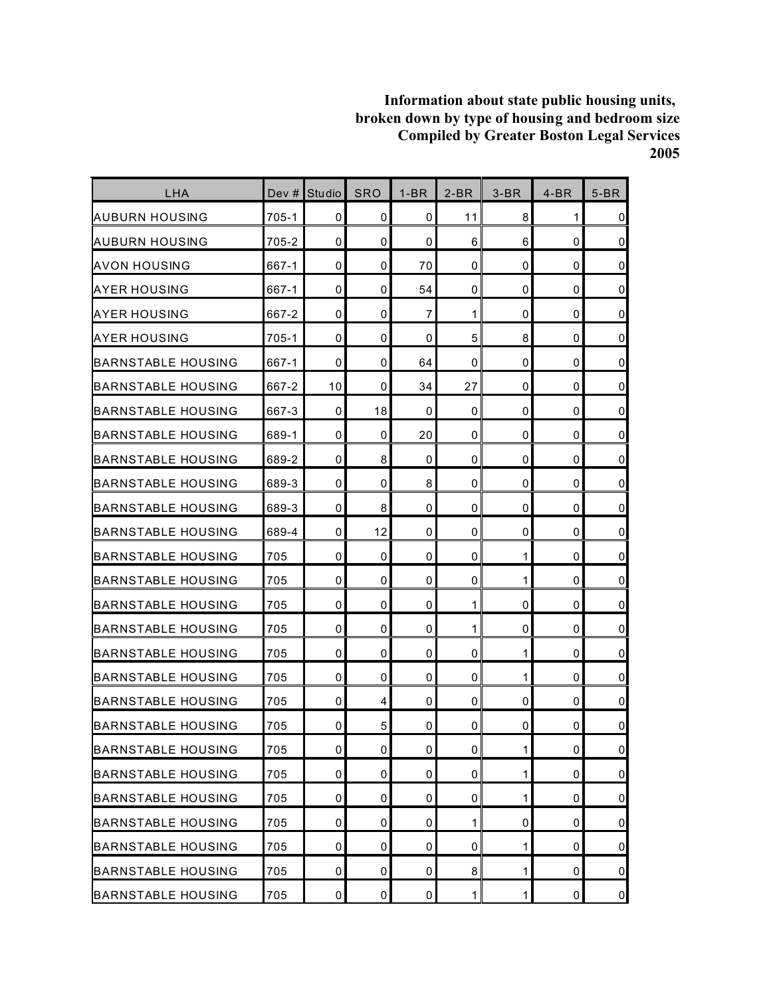| LHA                       | Dev # | <b>Studio</b> | <b>SRO</b> | $1-BR$    | $2-BR$         | $3-BR$       | $4-BR$      | $5-BR$         |
|---------------------------|-------|---------------|------------|-----------|----------------|--------------|-------------|----------------|
| AUBURN HOUSING            | 705-1 | 0             | 0          | 0         | 11             | 8            | 1           | $\pmb{0}$      |
| AUBURN HOUSING            | 705-2 | 0             | 0          | 0         | 6              | 6            | 0           | $\mathbf 0$    |
| AVON HOUSING              | 667-1 | $\mathbf 0$   | 0          | 70        | 0              | 0            | $\mathbf 0$ | $\pmb{0}$      |
| AYER HOUSING              | 667-1 | 0             | 0          | 54        | 0              | 0            | 0           | $\mathbf 0$    |
| AYER HOUSING              | 667-2 | 0             | 0          | 7         | 1              | 0            | 0           | $\pmb{0}$      |
| IAYER HOUSING             | 705-1 | $\mathbf 0$   | 0          | 0         | 5              | 8            | 0           | $\mathbf 0$    |
| BARNSTABLE HOUSING        | 667-1 | 0             | 0          | 64        | 0              | 0            | 0           | $\mathbf 0$    |
| BARNSTABLE HOUSING        | 667-2 | 10            | 0          | 34        | 27             | 0            | 0           | $\pmb{0}$      |
| BARNSTABLE HOUSING        | 667-3 | 0             | 18         | 0         | 0              | 0            | 0           | $\mathbf 0$    |
| BARNSTABLE HOUSING        | 689-1 | $\mathbf 0$   | 0          | 20        | $\mathbf 0$    | 0            | $\mathbf 0$ | $\pmb{0}$      |
| BARNSTABLE HOUSING        | 689-2 | $\mathbf 0$   | 8          | 0         | $\mathbf 0$    | 0            | $\mathbf 0$ | $\overline{0}$ |
| BARNSTABLE HOUSING        | 689-3 | 0             | 0          | 8         | 0              | 0            | 0           | $\mathbf 0$    |
| IBARNSTABLE HOUSING       | 689-3 | $\mathbf 0$   | 8          | 0         | $\mathbf 0$    | 0            | 0           | $\pmb{0}$      |
| IBARNSTABLE HOUSING       | 689-4 | 0             | 12         | 0         | 0              | 0            | 0           | $\pmb{0}$      |
| BARNSTABLE HOUSING        | 705   | 0             | 0          | 0         | 0              | 1            | 0           | $\mathbf 0$    |
| BARNSTABLE HOUSING        | 705   | $\mathbf 0$   | 0          | 0         | $\mathbf 0$    | 1            | $\mathbf 0$ | $\pmb{0}$      |
| BARNSTABLE HOUSING        | 705   | 0             | 0          | 0         | 1              | 0            | 0           | $\mathbf 0$    |
| BARNSTABLE HOUSING        | 705   | 0             | 0          | 0         | 1              | 0            | 0           | $\pmb{0}$      |
| IBARNSTABLE HOUSING       | 705   | 0             | 0          | 0         | 0              | 1            | 0           | $\mathbf 0$    |
| BARNSTABLE HOUSING        | 705   | 0             | 0          | 0         | 0              | 1            | 0           | $\pmb{0}$      |
| BARNSTABLE HOUSING        | 705   | 0             | 4          | 0         | $\mathbf 0$    | 0            | $\mathbf 0$ | $\pmb{0}$      |
| BARNSTABLE HOUSING        | 705   | 0             | 5          | 0         | 0              | 0            | 0           | $\pmb{0}$      |
| <b>BARNSTABLE HOUSING</b> | 705   | $\pmb{0}$     | 0          | $\pmb{0}$ | $\overline{0}$ | $\mathbf{1}$ | $\pmb{0}$   | $\overline{0}$ |
| <b>BARNSTABLE HOUSING</b> | 705   | 0             | 0          | 0         | 0              | 1            | 0           | $\overline{0}$ |
| <b>BARNSTABLE HOUSING</b> | 705   | 0             | 0          | 0         | 0              | 1            | 0           | $\overline{0}$ |
| <b>BARNSTABLE HOUSING</b> | 705   | $\mathbf 0$   | 0          | 0         | 1              | 0            | $\mathbf 0$ | $\overline{0}$ |
| <b>BARNSTABLE HOUSING</b> | 705   | 0             | 0          | 0         | 0              | 1            | 0           | $\overline{0}$ |
| <b>BARNSTABLE HOUSING</b> | 705   | 0             | 0          | 0         | 8              | 1            | 0           | $\overline{0}$ |
| <b>BARNSTABLE HOUSING</b> | 705   | $\mathbf 0$   | 0          | $\pmb{0}$ | $\mathbf{1}$   | $\mathbf{1}$ | 0           | $\overline{0}$ |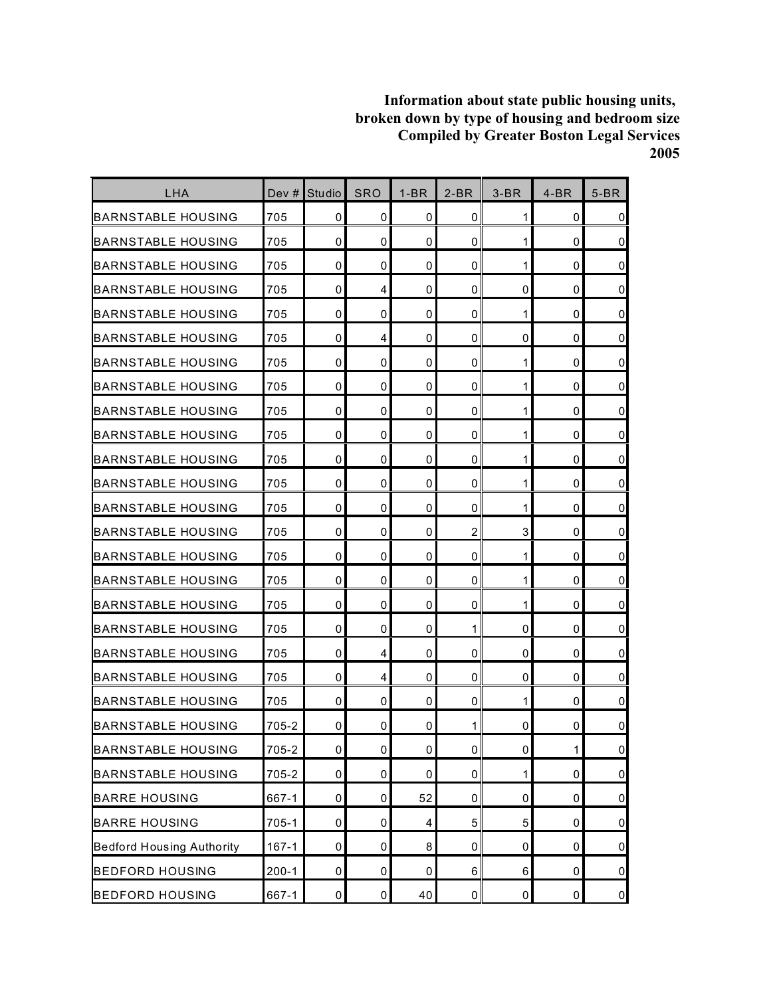| LHA                              | Dev $#$   | <b>Studio</b>       | <b>SRO</b>  | $1-BR$ | $2-BR$         | $3-BR$       | $4-BR$       | $5-BR$         |
|----------------------------------|-----------|---------------------|-------------|--------|----------------|--------------|--------------|----------------|
| <b>BARNSTABLE HOUSING</b>        | 705       | 0                   | 0           | 0      | 0              | 1            | 0            | $\overline{0}$ |
| BARNSTABLE HOUSING               | 705       | 0                   | 0           | 0      | $\mathbf 0$    | 1            | 0            | $\overline{0}$ |
| BARNSTABLE HOUSING               | 705       | 0                   | 0           | 0      | 0              | 1            | 0            | $\mathbf 0$    |
| IBARNSTABLE HOUSING              | 705       | 0                   | 4           | 0      | 0              | 0            | 0            | $\overline{0}$ |
| BARNSTABLE HOUSING               | 705       | 0                   | 0           | 0      | 0              | 1            | 0            | $\overline{0}$ |
| BARNSTABLE HOUSING               | 705       | 0                   | 4           | 0      | 0              | 0            | 0            | $\overline{0}$ |
| BARNSTABLE HOUSING               | 705       | $\mathbf 0$         | 0           | 0      | 0              | 1            | $\mathbf 0$  | $\overline{0}$ |
| <b>BARNSTABLE HOUSING</b>        | 705       | 0                   | $\mathbf 0$ | 0      | 0              | 1            | $\mathbf 0$  | $\overline{0}$ |
| BARNSTABLE HOUSING               | 705       | 0                   | 0           | 0      | 0              | 1            | 0            | $\overline{0}$ |
| BARNSTABLE HOUSING               | 705       | 0                   | 0           | 0      | 0              | 1            | 0            | $\overline{0}$ |
| BARNSTABLE HOUSING               | 705       | 0                   | 0           | 0      | 0              | $\mathbf{1}$ | 0            | $\overline{0}$ |
| BARNSTABLE HOUSING               | 705       | 0                   | 0           | 0      | 0              | 1            | 0            | $\overline{0}$ |
| <b>BARNSTABLE HOUSING</b>        | 705       | 0                   | 0           | 0      | 0              | 1            | 0            | $\pmb{0}$      |
| BARNSTABLE HOUSING               | 705       | 0                   | 0           | 0      | $\overline{2}$ | 3            | 0            | $\overline{0}$ |
| BARNSTABLE HOUSING               | 705       | 0                   | 0           | 0      | 0              | 1            | 0            | $\mathbf 0$    |
| IBARNSTABLE HOUSING              | 705       | 0                   | 0           | 0      | $\mathbf 0$    | 1            | 0            | $\overline{0}$ |
| IBARNSTABLE HOUSING              | 705       | 0                   | 0           | 0      | 0              | 1            | 0            | $\overline{0}$ |
| <b>BARNSTABLE HOUSING</b>        | 705       | 0                   | 0           | 0      | 1              | 0            | 0            | $\pmb{0}$      |
| BARNSTABLE HOUSING               | 705       | 0                   | 4           | 0      | 0              | 0            | 0            | $\overline{0}$ |
| <b>BARNSTABLE HOUSING</b>        | 705       | 0                   | 4           | 0      | 0              | 0            | 0            | $\overline{0}$ |
| BARNSTABLE HOUSING               | 705       | 0                   | 0           | 0      | 0              | $\mathbf{1}$ | 0            | $\overline{0}$ |
| IBARNSTABLE HOUSING              | 705-2     | 0                   | 0           | 0      | 1              | 0            | 0            | $\mathbf 0$    |
| <b>BARNSTABLE HOUSING</b>        | 705-2     | $\mathsf{O}\xspace$ | 0           | 0      | $\pmb{0}$      | 0            | $\mathbf{1}$ | $\overline{0}$ |
| <b>BARNSTABLE HOUSING</b>        | 705-2     | 0                   | $\pmb{0}$   | 0      | $\pmb{0}$      | $\mathbf{1}$ | 0            | $\overline{0}$ |
| <b>BARRE HOUSING</b>             | 667-1     | 0                   | 0           | 52     | 0              | 0            | 0            | $\overline{0}$ |
| <b>BARRE HOUSING</b>             | 705-1     | $\mathbf 0$         | 0           | 4      | 5              | 5            | 0            | $\overline{0}$ |
| <b>Bedford Housing Authority</b> | $167 - 1$ | $\pmb{0}$           | 0           | 8      | 0              | 0            | 0            | $\overline{0}$ |
| <b>BEDFORD HOUSING</b>           | $200 - 1$ | 0                   | 0           | 0      | 6              | 6            | 0            | $\overline{0}$ |
| <b>BEDFORD HOUSING</b>           | 667-1     | $\mathbf 0$         | 0           | 40     | $\pmb{0}$      | 0            | $\pmb{0}$    | $\overline{0}$ |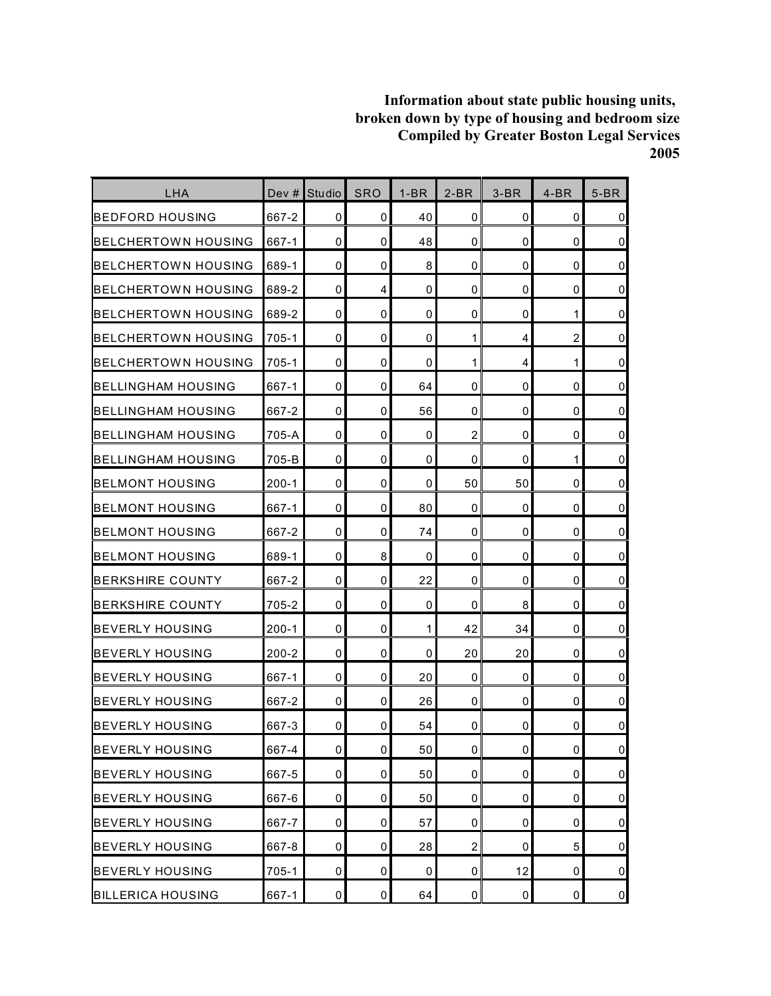| <b>LHA</b>                 |           | Dev # Studio   | <b>SRO</b>     | $1-BR$ | $2-BR$         | $3-BR$      | $4-BR$         | $5-BR$         |
|----------------------------|-----------|----------------|----------------|--------|----------------|-------------|----------------|----------------|
| BEDFORD HOUSING            | 667-2     | 0              | 0              | 40     | 0              | 0           | 0              | 0              |
| IBELCHERTOWN HOUSING       | 667-1     | $\mathbf 0$    | 0              | 48     | $\mathbf{0}$   | 0           | 0              | $\overline{0}$ |
| IBELCHERTOWN HOUSING       | 689-1     | 0              | 0              | 8      | 0              | 0           | 0              | $\mathbf 0$    |
| BELCHERTOWN HOUSING        | 689-2     | 0              | 4              | 0      | 0              | 0           | 0              | $\pmb{0}$      |
| <b>BELCHERTOWN HOUSING</b> | 689-2     | 0              | 0              | 0      | 0              | 0           | 1              | $\mathbf 0$    |
| <b>BELCHERTOWN HOUSING</b> | 705-1     | 0              | 0              | 0      | 1              | 4           | $\overline{2}$ | $\overline{0}$ |
| <b>BELCHERTOWN HOUSING</b> | 705-1     | 0              | $\mathbf 0$    | 0      | 1              | 4           | 1              | $\pmb{0}$      |
| BELLINGHAM HOUSING         | 667-1     | 0              | 0              | 64     | 0              | 0           | 0              | $\mathbf 0$    |
| IBELLINGHAM HOUSING        | 667-2     | 0              | 0              | 56     | 0              | 0           | 0              | $\overline{0}$ |
| <b>BELLINGHAM HOUSING</b>  | 705-A     | 0              | 0              | 0      | $\overline{c}$ | 0           | 0              | $\mathbf 0$    |
| IBELLINGHAM HOUSING        | 705-B     | 0              | 0              | 0      | 0              | 0           | 1              | $\mathbf 0$    |
| <b>BELMONT HOUSING</b>     | $200 - 1$ | 0              | $\mathbf 0$    | 0      | 50             | 50          | 0              | $\overline{0}$ |
| BELMONT HOUSING            | 667-1     | $\mathbf{0}$   | 0              | 80     | 0              | 0           | 0              | $\mathbf 0$    |
| BELMONT HOUSING            | 667-2     | 0              | 0              | 74     | 0              | 0           | 0              | $\overline{0}$ |
| <b>BELMONT HOUSING</b>     | 689-1     | 0              | 8              | 0      | 0              | 0           | 0              | $\mathbf 0$    |
| <b>BERKSHIRE COUNTY</b>    | 667-2     | 0              | 0              | 22     | 0              | 0           | 0              | $\pmb{0}$      |
| IBERKSHIRE COUNTY          | 705-2     | 0              | 0              | 0      | 0              | 8           | 0              | $\overline{0}$ |
| BEVERLY HOUSING            | $200 - 1$ | $\mathbf 0$    | 0              | 1      | 42             | 34          | 0              | $\pmb{0}$      |
| <b>BEVERLY HOUSING</b>     | $200 - 2$ | 0              | 0              | 0      | 20             | 20          | 0              | $\overline{0}$ |
| IBEVERLY HOUSING           | 667-1     | 0              | 0              | 20     | 0              | 0           | 0              | $\mathbf 0$    |
| <b>BEVERLY HOUSING</b>     | 667-2     | 0              | 0              | 26     | 0              | 0           | 0              | $\overline{0}$ |
| <b>BEVERLY HOUSING</b>     | 667-3     | 0              | 0              | 54     | 0              | 0           | 0              | $\pmb{0}$      |
| <b>BEVERLY HOUSING</b>     | 667-4     | $\overline{0}$ | $\overline{0}$ | 50     | $\pmb{0}$      | 0           | 0              | $\overline{0}$ |
| <b>BEVERLY HOUSING</b>     | 667-5     | 0              | 0              | 50     | 0              | 0           | 0              | $\overline{0}$ |
| <b>BEVERLY HOUSING</b>     | 667-6     | 0              | 0              | 50     | 0              | 0           | 0              | $\overline{0}$ |
| <b>BEVERLY HOUSING</b>     | 667-7     | 0              | 0              | 57     | 0              | $\mathbf 0$ | 0              | $\overline{0}$ |
| <b>BEVERLY HOUSING</b>     | 667-8     | 0              | 0              | 28     | $\overline{c}$ | 0           | 5              | $\overline{0}$ |
| <b>BEVERLY HOUSING</b>     | $705 - 1$ | 0              | 0              | 0      | 0              | 12          | 0              | $\overline{0}$ |
| <b>BILLERICA HOUSING</b>   | 667-1     | $\pmb{0}$      | $\mathbf 0$    | 64     | $\pmb{0}$      | 0           | 0              | $\overline{0}$ |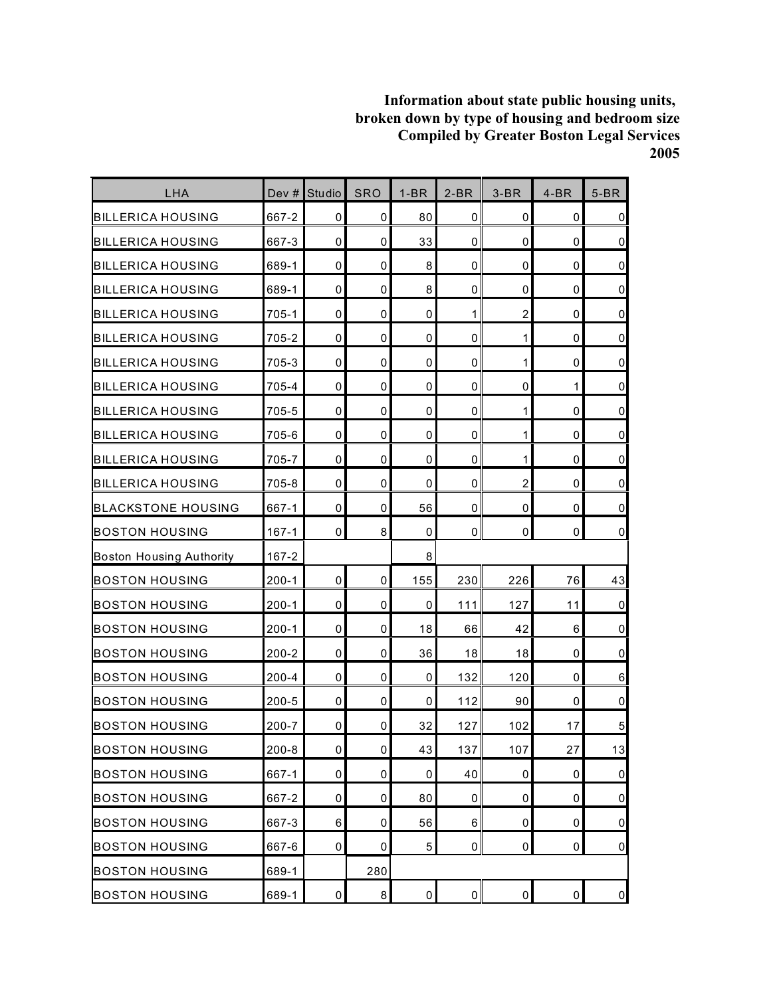| LHA                             | Dev #     | Studio         | <b>SRO</b>     | $1-BR$      | $2-BR$      | $3-BR$           | $4-BR$              | $5-BR$              |
|---------------------------------|-----------|----------------|----------------|-------------|-------------|------------------|---------------------|---------------------|
| <b>BILLERICA HOUSING</b>        | 667-2     | 0              | 0              | 80          | $\mathbf 0$ | 0                | 0                   | $\pmb{0}$           |
| <b>BILLERICA HOUSING</b>        | 667-3     | 0              | 0              | 33          | $\mathbf 0$ | 0                | 0                   | $\mathsf 0$         |
| <b>BILLERICA HOUSING</b>        | 689-1     | 0              | 0              | 8           | 0           | 0                | $\mathbf 0$         | $\pmb{0}$           |
| <b>BILLERICA HOUSING</b>        | 689-1     | 0              | 0              | 8           | $\mathbf 0$ | 0                | 0                   | $\mathbf 0$         |
| <b>BILLERICA HOUSING</b>        | 705-1     | 0              | 0              | 0           | 1           | $\overline{c}$   | $\mathbf 0$         | $\mathsf 0$         |
| <b>BILLERICA HOUSING</b>        | 705-2     | 0              | 0              | 0           | 0           | 1                | 0                   | $\mathsf 0$         |
| <b>BILLERICA HOUSING</b>        | 705-3     | 0              | 0              | 0           | $\pmb{0}$   | $\mathbf{1}$     | $\mathbf 0$         | $\overline{0}$      |
| <b>BILLERICA HOUSING</b>        | 705-4     | 0              | 0              | 0           | 0           | 0                | 1                   | $\pmb{0}$           |
| <b>BILLERICA HOUSING</b>        | 705-5     | 0              | 0              | 0           | $\mathbf 0$ | 1                | 0                   | $\pmb{0}$           |
| <b>BILLERICA HOUSING</b>        | 705-6     | 0              | 0              | $\pmb{0}$   | $\mathbf 0$ | 1                | $\mathbf 0$         | $\mathbf 0$         |
| <b>BILLERICA HOUSING</b>        | 705-7     | 0              | 0              | 0           | 0           | 1                | 0                   | $\mathsf 0$         |
| <b>BILLERICA HOUSING</b>        | 705-8     | 0              | 0              | 0           | $\mathbf 0$ | $\boldsymbol{2}$ | 0                   | $\mathbf 0$         |
| <b>BLACKSTONE HOUSING</b>       | 667-1     | 0              | 0              | 56          | $\pmb{0}$   | 0                | 0                   | $\mathsf{O}\xspace$ |
| <b>BOSTON HOUSING</b>           | $167 - 1$ | 0              | 8              | 0           | 0           | 0                | 0                   | $\overline{0}$      |
| <b>Boston Housing Authority</b> | $167 - 2$ |                |                | 8           |             |                  |                     |                     |
| <b>BOSTON HOUSING</b>           | $200-1$   | 0              | 0              | 155         | 230         | 226              | 76                  | 43                  |
| <b>BOSTON HOUSING</b>           | $200 - 1$ | 0              | 0              | 0           | 111         | 127              | 11                  | $\pmb{0}$           |
| <b>BOSTON HOUSING</b>           | $200 - 1$ | 0              | 0              | 18          | 66          | 42               | 6                   | $\mathsf{O}\xspace$ |
| <b>BOSTON HOUSING</b>           | $200 - 2$ | 0              | 0              | 36          | 18          | 18               | 0                   | $\mathbf 0$         |
| <b>BOSTON HOUSING</b>           | 200-4     | 0              | 0              | 0           | 132         | 120              | $\mathbf 0$         | $6\phantom{a}$      |
| <b>BOSTON HOUSING</b>           | $200 - 5$ | 0              | 0              | 0           | 112         | 90               | 0                   | $\mathsf 0$         |
| <b>BOSTON HOUSING</b>           | 200-7     | 0              | 0              | 32          | 127         | 102              | 17                  | 5                   |
| <b>BOSTON HOUSING</b>           | $200 - 8$ | 0              | $\overline{0}$ | 43          | 137         | 107              | 27                  | 13                  |
| <b>BOSTON HOUSING</b>           | 667-1     | $\pmb{0}$      | 0              | 0           | 40          | 0                | $\pmb{0}$           | $\overline{0}$      |
| <b>BOSTON HOUSING</b>           | 667-2     | 0              | 0              | 80          | 0           | 0                | 0                   | $\overline{0}$      |
| <b>BOSTON HOUSING</b>           | 667-3     | $6\phantom{.}$ | 0              | 56          | $\,6\,$     | 0                | $\pmb{0}$           | $\overline{0}$      |
| <b>BOSTON HOUSING</b>           | 667-6     | 0              | 0              | $\mathbf 5$ | 0           | 0                | $\pmb{0}$           | $\overline{0}$      |
| <b>BOSTON HOUSING</b>           | 689-1     |                | 280            |             |             |                  |                     |                     |
| <b>BOSTON HOUSING</b>           | 689-1     | 0              | 8              | $\mathsf 0$ | $\pmb{0}$   | 0                | $\mathsf{O}\xspace$ | $\overline{0}$      |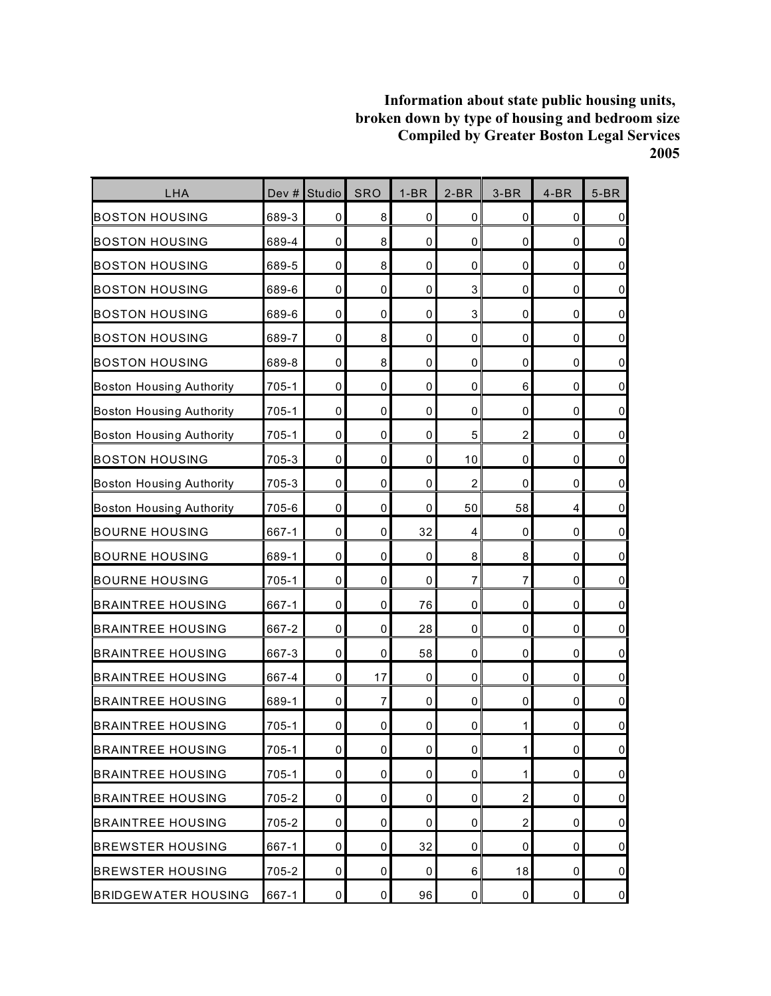| LHA                             | Dev #     | Studio      | <b>SRO</b>  | $1-BR$      | $2-BR$         | $3-BR$         | $4-BR$      | $5-BR$         |
|---------------------------------|-----------|-------------|-------------|-------------|----------------|----------------|-------------|----------------|
| <b>BOSTON HOUSING</b>           | 689-3     | 0           | 8           | 0           | 0              | 0              | 0           | $\overline{0}$ |
| <b>BOSTON HOUSING</b>           | 689-4     | 0           | 8           | 0           | 0              | 0              | $\mathbf 0$ | $\overline{0}$ |
| <b>BOSTON HOUSING</b>           | 689-5     | $\mathbf 0$ | 8           | 0           | 0              | 0              | $\mathbf 0$ | $\overline{0}$ |
| <b>BOSTON HOUSING</b>           | 689-6     | 0           | 0           | 0           | 3              | 0              | 0           | $\overline{0}$ |
| <b>BOSTON HOUSING</b>           | 689-6     | $\mathbf 0$ | 0           | 0           | 3              | 0              | 0           | $\overline{0}$ |
| <b>BOSTON HOUSING</b>           | 689-7     | 0           | 8           | 0           | 0              | 0              | $\mathbf 0$ | $\overline{0}$ |
| <b>BOSTON HOUSING</b>           | 689-8     | 0           | 8           | 0           | $\mathbf 0$    | 0              | $\mathbf 0$ | $\overline{0}$ |
| <b>Boston Housing Authority</b> | $705 - 1$ | 0           | 0           | 0           | $\mathbf 0$    | 6              | $\mathbf 0$ | $\overline{0}$ |
| <b>Boston Housing Authority</b> | 705-1     | 0           | 0           | 0           | 0              | 0              | 0           | $\overline{0}$ |
| <b>Boston Housing Authority</b> | $705 - 1$ | 0           | 0           | 0           | 5              | $\overline{c}$ | $\mathbf 0$ | $\overline{0}$ |
| <b>BOSTON HOUSING</b>           | 705-3     | $\pmb{0}$   | $\mathbf 0$ | 0           | 10             | 0              | $\mathbf 0$ | $\overline{0}$ |
| <b>Boston Housing Authority</b> | 705-3     | 0           | $\mathbf 0$ | 0           | $\overline{c}$ | 0              | $\mathbf 0$ | $\overline{0}$ |
| <b>Boston Housing Authority</b> | 705-6     | $\pmb{0}$   | $\mathbf 0$ | 0           | 50             | 58             | 4           | $\pmb{0}$      |
| <b>BOURNE HOUSING</b>           | 667-1     | 0           | 0           | 32          | 4              | 0              | 0           | $\overline{0}$ |
| <b>BOURNE HOUSING</b>           | 689-1     | 0           | 0           | $\mathbf 0$ | 8              | 8              | 0           | $\pmb{0}$      |
| <b>BOURNE HOUSING</b>           | $705 - 1$ | $\pmb{0}$   | $\mathbf 0$ | 0           | $\overline{7}$ | 7              | 0           | $\overline{0}$ |
| <b>BRAINTREE HOUSING</b>        | 667-1     | 0           | 0           | 76          | $\mathbf 0$    | 0              | $\mathbf 0$ | $\overline{0}$ |
| <b>BRAINTREE HOUSING</b>        | 667-2     | $\pmb{0}$   | $\mathbf 0$ | 28          | 0              | 0              | $\mathbf 0$ | $\overline{0}$ |
| <b>BRAINTREE HOUSING</b>        | 667-3     | 0           | 0           | 58          | 0              | 0              | 0           | $\overline{0}$ |
| <b>BRAINTREE HOUSING</b>        | 667-4     | 0           | 17          | 0           | 0              | $\mathbf 0$    | $\mathbf 0$ | $\overline{0}$ |
| <b>BRAINTREE HOUSING</b>        | 689-1     | $\pmb{0}$   | 7           | 0           | 0              | 0              | $\mathbf 0$ | $\overline{0}$ |
| <b>BRAINTREE HOUSING</b>        | $705 - 1$ | 0           | 0           | 0           | 0              | 1              | 0           | $\pmb{0}$      |
| <b>BRAINTREE HOUSING</b>        | $705 - 1$ | $\mathbf 0$ | 0           | $\mathbf 0$ | $\pmb{0}$      | $\mathbf{1}$   | 0           | $\overline{0}$ |
| <b>BRAINTREE HOUSING</b>        | $705 - 1$ | 0           | $\mathbf 0$ | 0           | 0              | $\mathbf{1}$   | 0           | $\overline{0}$ |
| <b>BRAINTREE HOUSING</b>        | 705-2     | 0           | 0           | 0           | 0              | $\overline{2}$ | 0           | $\overline{0}$ |
| <b>BRAINTREE HOUSING</b>        | 705-2     | 0           | $\mathbf 0$ | 0           | 0              | $\overline{2}$ | 0           | $\overline{0}$ |
| <b>BREWSTER HOUSING</b>         | 667-1     | 0           | $\mathbf 0$ | 32          | 0              | 0              | $\mathbf 0$ | $\overline{0}$ |
| <b>BREWSTER HOUSING</b>         | 705-2     | 0           | 0           | 0           | 6              | 18             | 0           | $\overline{0}$ |
| <b>BRIDGEWATER HOUSING</b>      | 667-1     | 0           | $\mathbf 0$ | 96          | $\pmb{0}$      | $\mathbf 0$    | $\pmb{0}$   | $\overline{0}$ |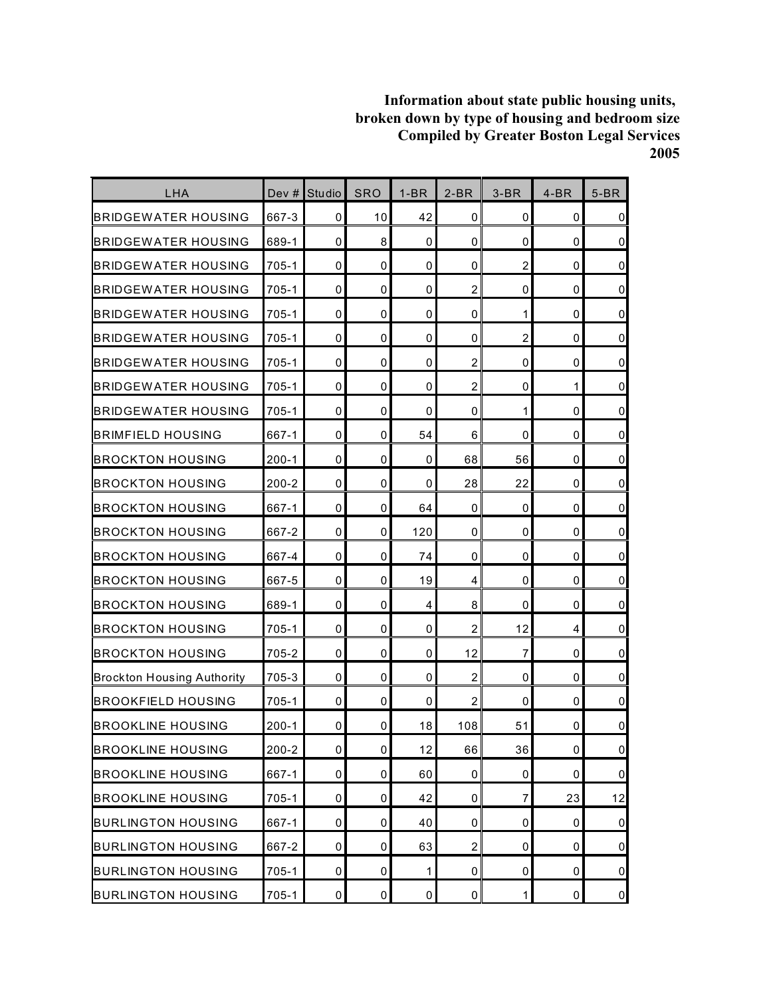| <b>LHA</b>                        | Dev $#$   | Studio      | SRO         | $1-BR$      | $2-BR$           | $3-BR$         | $4-BR$ | $5-BR$         |
|-----------------------------------|-----------|-------------|-------------|-------------|------------------|----------------|--------|----------------|
| <b>BRIDGEWATER HOUSING</b>        | 667-3     | 0           | 10          | 42          | 0                | 0              | 0      | 0              |
| <b>BRIDGEWATER HOUSING</b>        | 689-1     | $\mathbf 0$ | 8           | 0           | $\mathbf 0$      | 0              | 0      | $\overline{0}$ |
| <b>BRIDGEWATER HOUSING</b>        | 705-1     | 0           | $\mathbf 0$ | 0           | 0                | $\overline{2}$ | 0      | $\mathbf 0$    |
| <b>BRIDGEWATER HOUSING</b>        | 705-1     | 0           | 0           | 0           | $\boldsymbol{2}$ | 0              | 0      | $\pmb{0}$      |
| <b>BRIDGEWATER HOUSING</b>        | 705-1     | 0           | $\mathbf 0$ | 0           | 0                | 1              | 0      | $\mathbf 0$    |
| BRIDGEWATER HOUSING               | 705-1     | 0           | 0           | 0           | 0                | $\overline{c}$ | 0      | $\mathbf 0$    |
| BRIDGEWATER HOUSING               | $705 - 1$ | $\mathbf 0$ | 0           | 0           | $\overline{c}$   | 0              | 0      | $\pmb{0}$      |
| <b>BRIDGEWATER HOUSING</b>        | 705-1     | 0           | $\mathbf 0$ | 0           | $\overline{2}$   | 0              | 1      | $\mathbf 0$    |
| <b>BRIDGEWATER HOUSING</b>        | $705 - 1$ | $\mathbf 0$ | 0           | 0           | 0                | 1              | 0      | $\pmb{0}$      |
| BRIMFIELD HOUSING                 | 667-1     | 0           | $\mathbf 0$ | 54          | 6                | 0              | 0      | $\pmb{0}$      |
| <b>BROCKTON HOUSING</b>           | $200-1$   | 0           | 0           | 0           | 68               | 56             | 0      | $\mathbf 0$    |
| <b>BROCKTON HOUSING</b>           | $200 - 2$ | 0           | $\mathbf 0$ | 0           | 28               | 22             | 0      | $\overline{0}$ |
| <b>BROCKTON HOUSING</b>           | 667-1     | $\mathbf 0$ | $\mathbf 0$ | 64          | $\mathbf 0$      | 0              | 0      | $\mathbf 0$    |
| <b>BROCKTON HOUSING</b>           | 667-2     | 0           | 0           | 120         | 0                | 0              | 0      | $\mathbf 0$    |
| BROCKTON HOUSING                  | 667-4     | $\mathbf 0$ | $\mathbf 0$ | 74          | $\mathbf 0$      | $\mathbf 0$    | 0      | $\pmb{0}$      |
| <b>BROCKTON HOUSING</b>           | 667-5     | 0           | 0           | 19          | $\overline{4}$   | 0              | 0      | $\pmb{0}$      |
| <b>BROCKTON HOUSING</b>           | 689-1     | 0           | $\mathbf 0$ | 4           | 8                | 0              | 0      | $\overline{0}$ |
| <b>BROCKTON HOUSING</b>           | 705-1     | $\mathbf 0$ | $\mathbf 0$ | 0           | $\overline{2}$   | 12             | 4      | $\pmb{0}$      |
| <b>BROCKTON HOUSING</b>           | 705-2     | 0           | 0           | 0           | 12               | $\overline{7}$ | 0      | $\overline{0}$ |
| <b>Brockton Housing Authority</b> | 705-3     | $\mathbf 0$ | 0           | $\mathbf 0$ | $\overline{c}$   | 0              | 0      | $\mathbf 0$    |
| <b>BROOKFIELD HOUSING</b>         | 705-1     | $\mathbf 0$ | 0           | 0           | $\overline{c}$   | 0              | 0      | $\overline{0}$ |
| <b>BROOKLINE HOUSING</b>          | $200 - 1$ | 0           | 0           | 18          | 108              | 51             | 0      | $\pmb{0}$      |
| <b>BROOKLINE HOUSING</b>          | $200 - 2$ | $\pmb{0}$   | $\mathbf 0$ | 12          | 66               | 36             | 0      | $\overline{0}$ |
| <b>BROOKLINE HOUSING</b>          | 667-1     | 0           | 0           | 60          | $\pmb{0}$        | 0              | 0      | $\overline{0}$ |
| <b>BROOKLINE HOUSING</b>          | $705-1$   | 0           | $\mathbf 0$ | 42          | 0                | 7              | 23     | 12             |
| <b>BURLINGTON HOUSING</b>         | 667-1     | 0           | 0           | 40          | 0                | $\mathbf 0$    | 0      | $\overline{0}$ |
| <b>BURLINGTON HOUSING</b>         | 667-2     | 0           | 0           | 63          | $\overline{c}$   | 0              | 0      | $\overline{0}$ |
| <b>BURLINGTON HOUSING</b>         | $705 - 1$ | 0           | 0           | 1           | 0                | 0              | 0      | $\overline{0}$ |
| <b>BURLINGTON HOUSING</b>         | 705-1     | $\pmb{0}$   | $\pmb{0}$   | 0           | $\pmb{0}$        | $\mathbf{1}$   | 0      | $\overline{0}$ |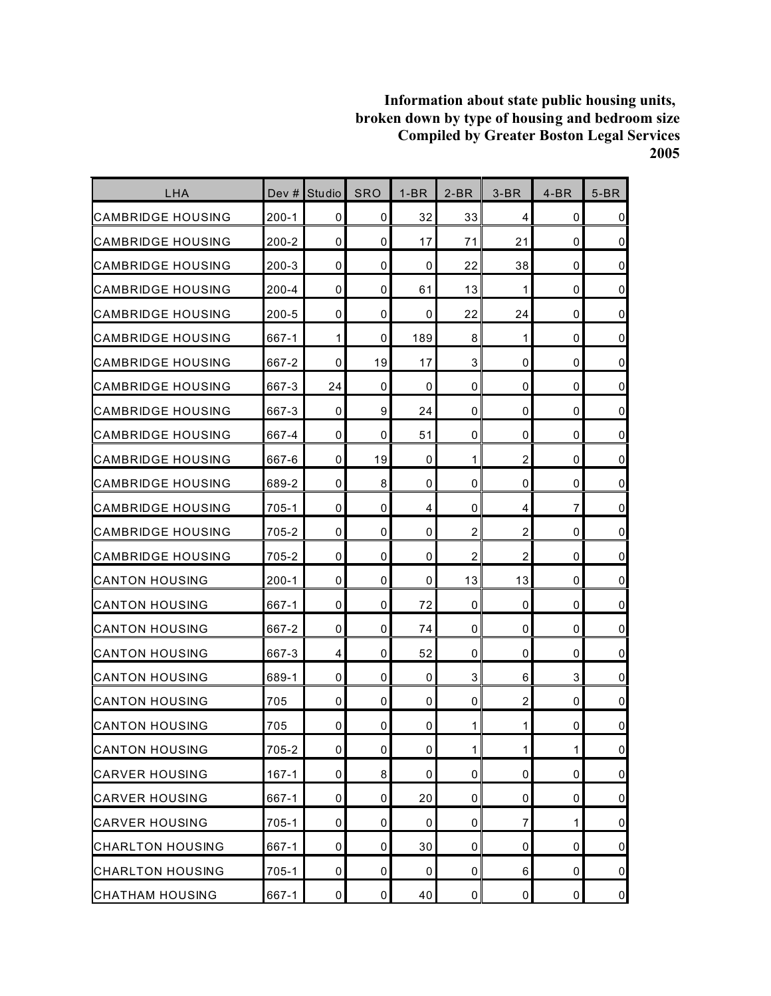| <b>LHA</b>               | Dev #     | Studio       | <b>SRO</b>          | $1-BR$ | $2-BR$         | $3-BR$         | $4-BR$       | $5-BR$         |
|--------------------------|-----------|--------------|---------------------|--------|----------------|----------------|--------------|----------------|
| <b>CAMBRIDGE HOUSING</b> | $200 - 1$ | 0            | 0                   | 32     | 33             | 4              | 0            | $\mathbf 0$    |
| <b>CAMBRIDGE HOUSING</b> | $200 - 2$ | 0            | 0                   | 17     | 71             | 21             | $\mathbf 0$  | $\overline{0}$ |
| <b>CAMBRIDGE HOUSING</b> | $200 - 3$ | 0            | 0                   | 0      | 22             | 38             | $\mathbf 0$  | $\pmb{0}$      |
| <b>CAMBRIDGE HOUSING</b> | 200-4     | 0            | 0                   | 61     | 13             | 1              | 0            | $\mathbf 0$    |
| CAMBRIDGE HOUSING        | $200 - 5$ | 0            | 0                   | 0      | 22             | 24             | 0            | $\mathbf 0$    |
| <b>CAMBRIDGE HOUSING</b> | 667-1     | $\mathbf{1}$ | 0                   | 189    | 8              | 1              | 0            | $\pmb{0}$      |
| <b>CAMBRIDGE HOUSING</b> | 667-2     | 0            | 19                  | 17     | 3              | 0              | 0            | $\pmb{0}$      |
| <b>CAMBRIDGE HOUSING</b> | 667-3     | 24           | 0                   | 0      | $\mathbf 0$    | 0              | $\mathbf 0$  | $\pmb{0}$      |
| <b>CAMBRIDGE HOUSING</b> | 667-3     | 0            | 9                   | 24     | 0              | 0              | 0            | $\mathbf 0$    |
| <b>CAMBRIDGE HOUSING</b> | 667-4     | 0            | 0                   | 51     | 0              | 0              | 0            | $\mathbf 0$    |
| ICAMBRIDGE HOUSING       | 667-6     | 0            | 19                  | 0      | 1              | $\overline{c}$ | 0            | $\mathbf 0$    |
| <b>CAMBRIDGE HOUSING</b> | 689-2     | 0            | 8                   | 0      | 0              | 0              | 0            | $\mathbf 0$    |
| <b>CAMBRIDGE HOUSING</b> | $705 - 1$ | 0            | 0                   | 4      | 0              | 4              | 7            | $\pmb{0}$      |
| <b>CAMBRIDGE HOUSING</b> | 705-2     | 0            | 0                   | 0      | $\overline{c}$ | $\overline{c}$ | 0            | $\pmb{0}$      |
| <b>CAMBRIDGE HOUSING</b> | 705-2     | 0            | 0                   | 0      | $\overline{c}$ | $\overline{c}$ | 0            | $\mathbf 0$    |
| <b>CANTON HOUSING</b>    | $200 - 1$ | 0            | 0                   | 0      | 13             | 13             | 0            | $\pmb{0}$      |
| <b>CANTON HOUSING</b>    | 667-1     | 0            | 0                   | 72     | 0              | 0              | 0            | $\mathbf 0$    |
| <b>CANTON HOUSING</b>    | 667-2     | 0            | 0                   | 74     | $\mathbf 0$    | 0              | 0            | $\pmb{0}$      |
| <b>CANTON HOUSING</b>    | 667-3     | 4            | 0                   | 52     | 0              | 0              | 0            | $\pmb{0}$      |
| ICANTON HOUSING          | 689-1     | 0            | 0                   | 0      | 3              | 6              | 3            | $\pmb{0}$      |
| <b>CANTON HOUSING</b>    | 705       | 0            | 0                   | 0      | $\mathbf 0$    | $\overline{c}$ | 0            | $\mathsf 0$    |
| <b>CANTON HOUSING</b>    | 705       | 0            | 0                   | 0      | 1              | 1              | 0            | $\mathbf 0$    |
| <b>CANTON HOUSING</b>    | 705-2     | 0            | $\mathsf{O}\xspace$ | 0      | $\mathbf{1}$   | $\mathbf{1}$   | $\mathbf{1}$ | $\pmb{0}$      |
| <b>CARVER HOUSING</b>    | $167 - 1$ | 0            | 8                   | 0      | 0              | 0              | $\mathbf 0$  | $\overline{0}$ |
| <b>CARVER HOUSING</b>    | 667-1     | 0            | 0                   | 20     | 0              | 0              | 0            | $\overline{0}$ |
| <b>CARVER HOUSING</b>    | 705-1     | 0            | 0                   | 0      | 0              | 7              | 1            | $\overline{0}$ |
| <b>CHARLTON HOUSING</b>  | 667-1     | 0            | 0                   | 30     | 0              | 0              | 0            | $\pmb{0}$      |
| <b>CHARLTON HOUSING</b>  | $705-1$   | 0            | 0                   | 0      | 0              | 6              | 0            | $\overline{0}$ |
| <b>CHATHAM HOUSING</b>   | 667-1     | 0            | 0                   | 40     | $\mathbf 0$    | 0              | 0            | $\overline{0}$ |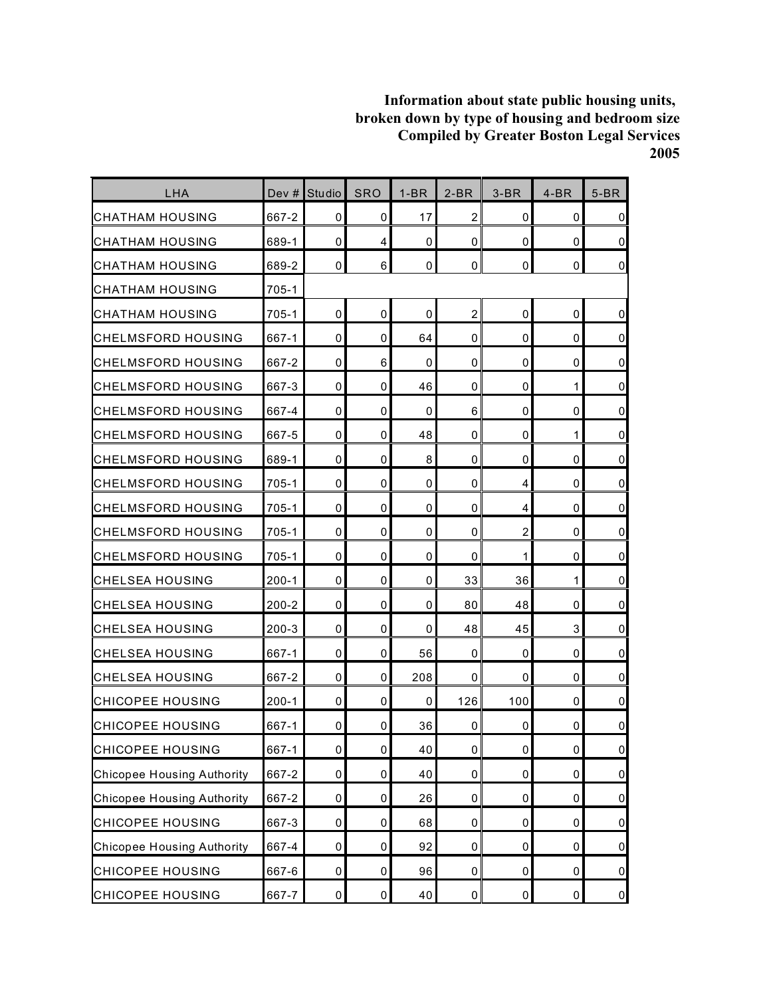| LHA                               | Dev $#$   | <b>Studio</b> | <b>SRO</b>  | $1-BR$      | $2-BR$         | $3-BR$         | $4-BR$    | $5-BR$         |
|-----------------------------------|-----------|---------------|-------------|-------------|----------------|----------------|-----------|----------------|
| <b>CHATHAM HOUSING</b>            | 667-2     | 0             | 0           | 17          | $\overline{2}$ | 0              | 0         | $\overline{0}$ |
| CHATHAM HOUSING                   | 689-1     | $\mathbf 0$   | 4           | 0           | $\mathbf 0$    | 0              | 0         | $\overline{0}$ |
| CHATHAM HOUSING                   | 689-2     | 0             | 6           | 0           | $\mathbf 0$    | 0              | 0         | $\overline{0}$ |
| CHATHAM HOUSING                   | 705-1     |               |             |             |                |                |           |                |
| CHATHAM HOUSING                   | 705-1     | $\mathbf 0$   | $\mathbf 0$ | $\mathbf 0$ | $\overline{c}$ | 0              | 0         | $\mathbf 0$    |
| ICHELMSFORD HOUSING               | 667-1     | 0             | 0           | 64          | 0              | 0              | 0         | $\overline{0}$ |
| CHELMSFORD HOUSING                | 667-2     | 0             | 6           | 0           | 0              | 0              | 0         | $\overline{0}$ |
| <b>CHELMSFORD HOUSING</b>         | 667-3     | 0             | $\mathbf 0$ | 46          | $\mathbf 0$    | 0              | 1         | $\overline{0}$ |
| CHELMSFORD HOUSING                | 667-4     | 0             | 0           | 0           | 6              | 0              | 0         | $\overline{0}$ |
| CHELMSFORD HOUSING                | 667-5     | 0             | 0           | 48          | 0              | 0              | 1         | $\mathbf 0$    |
| CHELMSFORD HOUSING                | 689-1     | 0             | 0           | 8           | 0              | 0              | 0         | $\overline{0}$ |
| CHELMSFORD HOUSING                | 705-1     | 0             | 0           | 0           | 0              | 4              | 0         | $\overline{0}$ |
| <b>CHELMSFORD HOUSING</b>         | $705-1$   | $\mathbf 0$   | $\mathbf 0$ | 0           | 0              | 4              | 0         | $\overline{0}$ |
| CHELMSFORD HOUSING                | 705-1     | 0             | 0           | 0           | 0              | $\overline{c}$ | 0         | $\overline{0}$ |
| <b>CHELMSFORD HOUSING</b>         | 705-1     | 0             | 0           | 0           | 0              | 1              | 0         | $\overline{0}$ |
| CHELSEA HOUSING                   | $200 - 1$ | 0             | 0           | 0           | 33             | 36             | 1         | $\overline{0}$ |
| CHELSEA HOUSING                   | 200-2     | 0             | 0           | 0           | 80             | 48             | 0         | $\overline{0}$ |
| CHELSEA HOUSING                   | $200 - 3$ | $\mathbf 0$   | $\mathbf 0$ | 0           | 48             | 45             | 3         | $\pmb{0}$      |
| CHELSEA HOUSING                   | 667-1     | 0             | 0           | 56          | 0              | 0              | 0         | $\overline{0}$ |
| <b>CHELSEA HOUSING</b>            | 667-2     | 0             | 0           | 208         | 0              | 0              | 0         | $\overline{0}$ |
| CHICOPEE HOUSING                  | $200 - 1$ | $\mathbf 0$   | $\mathbf 0$ | 0           | 126            | 100            | 0         | $\pmb{0}$      |
| CHICOPEE HOUSING                  | 667-1     | 0             | 0           | 36          | 0              | 0              | 0         | $\pmb{0}$      |
| <b>CHICOPEE HOUSING</b>           | 667-1     | $\pmb{0}$     | $\pmb{0}$   | 40          | $\pmb{0}$      | 0              | $\pmb{0}$ | $\overline{0}$ |
| <b>Chicopee Housing Authority</b> | 667-2     | $\pmb{0}$     | $\pmb{0}$   | 40          | $\pmb{0}$      | $\pmb{0}$      | 0         | $\overline{0}$ |
| <b>Chicopee Housing Authority</b> | 667-2     | $\pmb{0}$     | 0           | 26          | 0              | 0              | 0         | $\overline{0}$ |
| <b>CHICOPEE HOUSING</b>           | 667-3     | $\pmb{0}$     | $\pmb{0}$   | 68          | $\pmb{0}$      | $\pmb{0}$      | 0         | $\overline{0}$ |
| <b>Chicopee Housing Authority</b> | 667-4     | $\pmb{0}$     | $\pmb{0}$   | 92          | 0              | 0              | 0         | $\overline{0}$ |
| <b>CHICOPEE HOUSING</b>           | 667-6     | $\pmb{0}$     | 0           | 96          | 0              | 0              | 0         | $\overline{0}$ |
| <b>CHICOPEE HOUSING</b>           | 667-7     | $\pmb{0}$     | $\pmb{0}$   | 40          | $\pmb{0}$      | 0              | $\pmb{0}$ | $\overline{0}$ |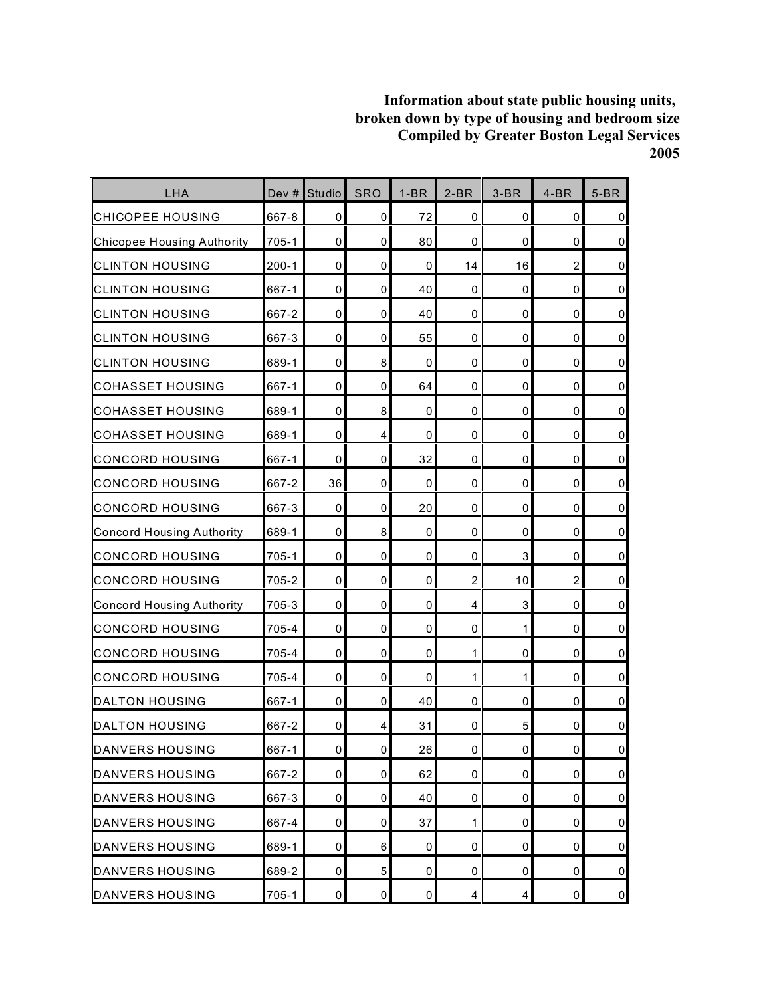| LHA                               | Dev #     | <b>Studio</b> | <b>SRO</b>     | $1-BR$      | $2-BR$              | $3-BR$                  | $4-BR$         | $5-BR$              |
|-----------------------------------|-----------|---------------|----------------|-------------|---------------------|-------------------------|----------------|---------------------|
| <b>CHICOPEE HOUSING</b>           | 667-8     | 0             | $\mathbf 0$    | 72          | 0                   | 0                       | 0              | $\mathbf 0$         |
| <b>Chicopee Housing Authority</b> | 705-1     | $\mathbf 0$   | 0              | 80          | 0                   | 0                       | $\mathbf 0$    | $\mathsf 0$         |
| <b>CLINTON HOUSING</b>            | $200-1$   | $\mathbf 0$   | 0              | $\mathbf 0$ | 14                  | 16                      | $\overline{2}$ | $\pmb{0}$           |
| <b>CLINTON HOUSING</b>            | 667-1     | $\mathbf 0$   | 0              | 40          | 0                   | 0                       | 0              | $\mathbf 0$         |
| <b>CLINTON HOUSING</b>            | 667-2     | $\mathbf 0$   | $\mathbf 0$    | 40          | 0                   | 0                       | $\mathbf 0$    | $\mathsf 0$         |
| <b>CLINTON HOUSING</b>            | 667-3     | 0             | 0              | 55          | 0                   | 0                       | 0              | $\mathsf 0$         |
| <b>CLINTON HOUSING</b>            | 689-1     | $\mathbf 0$   | 8              | 0           | $\mathbf 0$         | 0                       | $\mathbf 0$    | $\mathsf{O}\xspace$ |
| <b>COHASSET HOUSING</b>           | 667-1     | 0             | 0              | 64          | 0                   | 0                       | $\mathbf 0$    | $\pmb{0}$           |
| <b>COHASSET HOUSING</b>           | 689-1     | $\mathbf 0$   | 8              | 0           | 0                   | 0                       | 0              | $\pmb{0}$           |
| <b>COHASSET HOUSING</b>           | 689-1     | $\mathbf 0$   | 4              | $\mathbf 0$ | $\mathbf 0$         | 0                       | $\mathbf 0$    | $\mathsf 0$         |
| <b>CONCORD HOUSING</b>            | 667-1     | 0             | 0              | 32          | 0                   | 0                       | 0              | $\mathsf 0$         |
| <b>CONCORD HOUSING</b>            | 667-2     | 36            | 0              | $\mathbf 0$ | 0                   | 0                       | $\mathbf 0$    | $\mathbf 0$         |
| <b>CONCORD HOUSING</b>            | 667-3     | $\mathbf 0$   | 0              | 20          | 0                   | 0                       | $\mathbf 0$    | $\mathsf{O}\xspace$ |
| <b>Concord Housing Authority</b>  | 689-1     | 0             | 8              | 0           | 0                   | 0                       | 0              | $\pmb{0}$           |
| <b>CONCORD HOUSING</b>            | $705 - 1$ | $\mathbf 0$   | $\mathbf 0$    | $\mathbf 0$ | $\mathbf 0$         | 3                       | 0              | $\mathsf 0$         |
| <b>CONCORD HOUSING</b>            | 705-2     | 0             | 0              | 0           | $\overline{2}$      | 10                      | $\overline{2}$ | $\mathsf 0$         |
| <b>Concord Housing Authority</b>  | 705-3     | $\mathbf 0$   | 0              | 0           | 4                   | 3                       | $\mathbf 0$    | $\pmb{0}$           |
| <b>CONCORD HOUSING</b>            | 705-4     | 0             | 0              | 0           | 0                   | 1                       | $\mathbf 0$    | $\pmb{0}$           |
| <b>CONCORD HOUSING</b>            | 705-4     | $\mathbf 0$   | $\mathbf 0$    | 0           | 1                   | 0                       | 0              | $\pmb{0}$           |
| <b>CONCORD HOUSING</b>            | 705-4     | $\mathbf 0$   | 0              | 0           | 1                   | 1                       | $\mathbf 0$    | $\mathsf 0$         |
| DALTON HOUSING                    | 667-1     | 0             | 0              | 40          | 0                   | 0                       | 0              | $\mathsf 0$         |
| <b>DALTON HOUSING</b>             | 667-2     | 0             | 4              | 31          | 0                   | 5                       | 0              | $\pmb{0}$           |
| DANVERS HOUSING                   | 667-1     | $\pmb{0}$     | $\overline{0}$ | 26          | $\mathsf{O}\xspace$ | 0                       | $\pmb{0}$      | $\pmb{0}$           |
| DANVERS HOUSING                   | 667-2     | $\pmb{0}$     | 0              | 62          | 0                   | 0                       | 0              | $\overline{0}$      |
| <b>DANVERS HOUSING</b>            | 667-3     | 0             | 0              | 40          | 0                   | 0                       | 0              | $\overline{0}$      |
| DANVERS HOUSING                   | 667-4     | $\mathbf 0$   | 0              | 37          | 1                   | 0                       | 0              | $\overline{0}$      |
| DANVERS HOUSING                   | 689-1     | 0             | 6              | 0           | 0                   | 0                       | $\pmb{0}$      | $\pmb{0}$           |
| DANVERS HOUSING                   | 689-2     | 0             | 5              | 0           | 0                   | 0                       | 0              | $\overline{0}$      |
| <b>DANVERS HOUSING</b>            | $705 - 1$ | $\pmb{0}$     | $\pmb{0}$      | $\pmb{0}$   | $\overline{4}$      | $\overline{\mathbf{4}}$ | $\pmb{0}$      | $\overline{0}$      |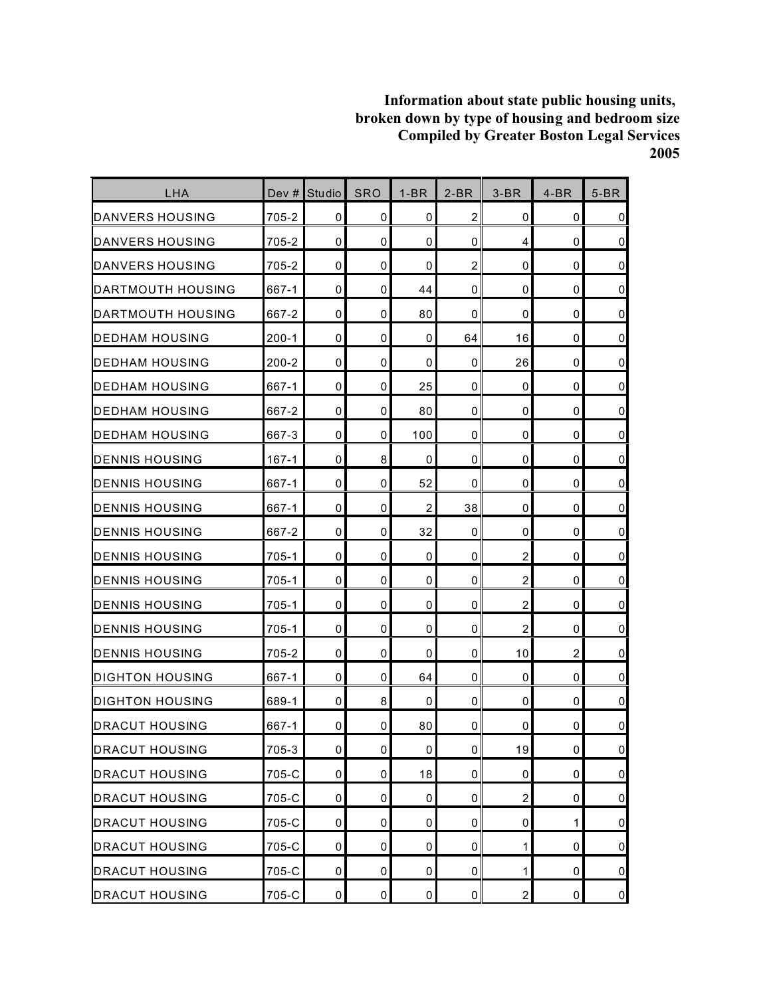| LHA                      |           | Dev # Studio | <b>SRO</b>          | $1-BR$         | $2-BR$         | $3-BR$         | $4-BR$      | $5-BR$              |
|--------------------------|-----------|--------------|---------------------|----------------|----------------|----------------|-------------|---------------------|
| <b>DANVERS HOUSING</b>   | 705-2     | 0            | 0                   | 0              | $\overline{2}$ | 0              | 0           | $\mathbf 0$         |
| IDANVERS HOUSING         | 705-2     | 0            | 0                   | 0              | 0              | 4              | 0           | $\mathbf 0$         |
| <b>DANVERS HOUSING</b>   | 705-2     | 0            | 0                   | 0              | $\overline{2}$ | 0              | $\mathbf 0$ | $\mathbf 0$         |
| DARTMOUTH HOUSING        | 667-1     | 0            | 0                   | 44             | 0              | 0              | 0           | $\pmb{0}$           |
| <b>DARTMOUTH HOUSING</b> | 667-2     | 0            | 0                   | 80             | $\mathbf 0$    | 0              | $\mathbf 0$ | $\pmb{0}$           |
| <b>IDEDHAM HOUSING</b>   | $200 - 1$ | 0            | 0                   | 0              | 64             | 16             | 0           | $\pmb{0}$           |
| <b>DEDHAM HOUSING</b>    | $200 - 2$ | 0            | 0                   | 0              | $\mathbf 0$    | 26             | $\mathbf 0$ | $\pmb{0}$           |
| DEDHAM HOUSING           | 667-1     | 0            | 0                   | 25             | 0              | 0              | $\mathbf 0$ | $\pmb{0}$           |
| IDEDHAM HOUSING          | 667-2     | 0            | 0                   | 80             | 0              | 0              | 0           | $\pmb{0}$           |
| <b>IDEDHAM HOUSING</b>   | 667-3     | 0            | 0                   | 100            | $\mathbf 0$    | 0              | 0           | $\pmb{0}$           |
| <b>DENNIS HOUSING</b>    | $167 - 1$ | 0            | 8                   | 0              | $\mathbf 0$    | 0              | 0           | $\mathsf 0$         |
| <b>DENNIS HOUSING</b>    | 667-1     | 0            | 0                   | 52             | $\mathbf 0$    | 0              | $\mathbf 0$ | $\overline{0}$      |
| DENNIS HOUSING           | 667-1     | 0            | 0                   | $\overline{2}$ | 38             | 0              | $\mathbf 0$ | $\pmb{0}$           |
| <b>DENNIS HOUSING</b>    | 667-2     | 0            | 0                   | 32             | $\mathbf 0$    | 0              | 0           | $\pmb{0}$           |
| <b>DENNIS HOUSING</b>    | 705-1     | $\mathbf 0$  | 0                   | $\mathbf 0$    | $\mathbf 0$    | $\overline{c}$ | 0           | $\pmb{0}$           |
| <b>DENNIS HOUSING</b>    | 705-1     | 0            | 0                   | 0              | $\mathbf 0$    | $\overline{c}$ | 0           | $\mathsf 0$         |
| <b>DENNIS HOUSING</b>    | 705-1     | 0            | 0                   | 0              | $\mathbf 0$    | $\overline{c}$ | $\mathbf 0$ | $\overline{0}$      |
| DENNIS HOUSING           | 705-1     | 0            | 0                   | 0              | $\mathbf 0$    | $\overline{2}$ | $\mathbf 0$ | $\mathsf 0$         |
| <b>DENNIS HOUSING</b>    | 705-2     | 0            | 0                   | 0              | 0              | 10             | 2           | $\overline{0}$      |
| DIGHTON HOUSING          | 667-1     | 0            | 0                   | 64             | 0              | 0              | 0           | $\mathbf 0$         |
| <b>I</b> DIGHTON HOUSING | 689-1     | 0            | 8                   | 0              | $\mathbf 0$    | 0              | 0           | $\mathsf 0$         |
| <b>DRACUT HOUSING</b>    | 667-1     | 0            | 0                   | 80             | 0              | 0              | 0           | $\pmb{0}$           |
| <b>DRACUT HOUSING</b>    | 705-3     | 0            | $\mathsf{O}\xspace$ | 0              | 0              | 19             | $\mathbf 0$ | $\mathsf{O}\xspace$ |
| <b>DRACUT HOUSING</b>    | 705-C     | 0            | 0                   | 18             | 0              | 0              | 0           | $\overline{0}$      |
| <b>DRACUT HOUSING</b>    | 705-C     | 0            | 0                   | 0              | 0              | $\overline{c}$ | 0           | $\overline{0}$      |
| <b>DRACUT HOUSING</b>    | 705-C     | 0            | 0                   | 0              | $\pmb{0}$      | 0              | 1           | $\overline{0}$      |
| <b>DRACUT HOUSING</b>    | 705-C     | 0            | 0                   | $\pmb{0}$      | $\pmb{0}$      | 1              | $\pmb{0}$   | $\overline{0}$      |
| <b>DRACUT HOUSING</b>    | 705-C     | 0            | 0                   | 0              | 0              | 1              | 0           | $\overline{0}$      |
| <b>DRACUT HOUSING</b>    | 705-C     | $\pmb{0}$    | $\mathsf 0$         | $\pmb{0}$      | $\pmb{0}$      | $\overline{c}$ | $\pmb{0}$   | $\overline{0}$      |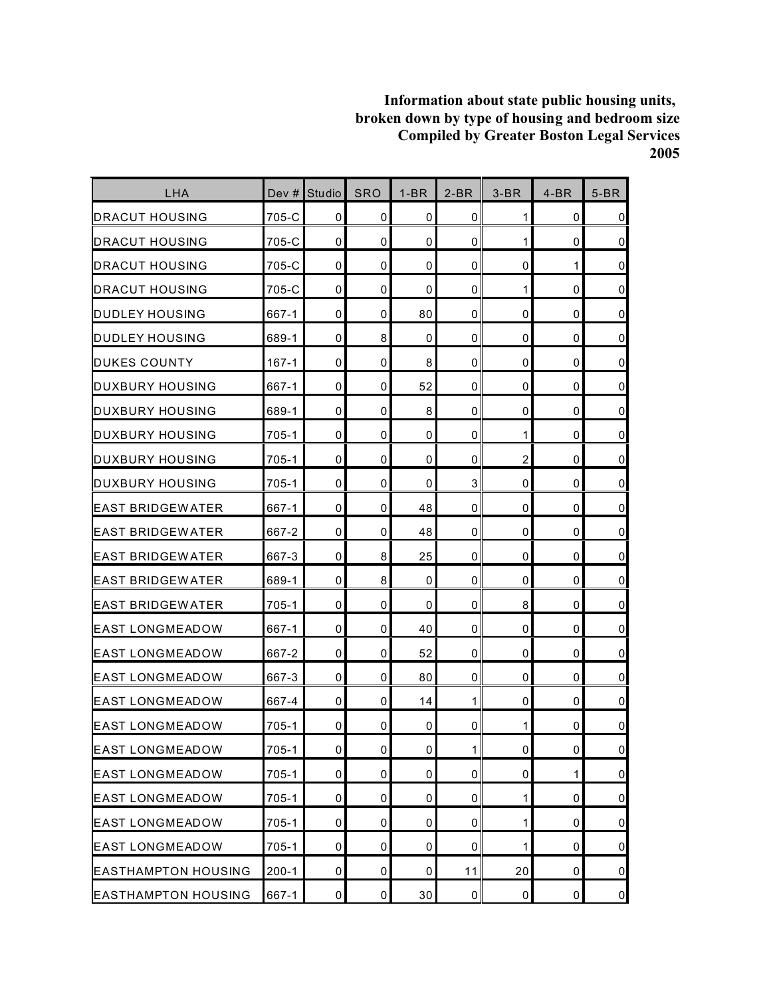| LHA                        | Dev #     | Studio      | <b>SRO</b>  | $1-BR$      | $2-BR$       | $3-BR$         | $4-BR$      | $5-BR$         |
|----------------------------|-----------|-------------|-------------|-------------|--------------|----------------|-------------|----------------|
| <b>DRACUT HOUSING</b>      | 705-C     | 0           | 0           | 0           | $\mathbf 0$  | 1              | 0           | $\overline{0}$ |
| <b>DRACUT HOUSING</b>      | 705-C     | $\mathbf 0$ | $\mathbf 0$ | 0           | $\mathbf 0$  | 1              | 0           | $\overline{0}$ |
| <b>DRACUT HOUSING</b>      | 705-C     | $\mathbf 0$ | 0           | $\mathbf 0$ | $\mathbf 0$  | $\mathbf 0$    | 1           | $\overline{0}$ |
| <b>DRACUT HOUSING</b>      | 705-C     | 0           | 0           | 0           | $\mathbf 0$  | 1              | 0           | $\overline{0}$ |
| DUDLEY HOUSING             | 667-1     | 0           | 0           | 80          | 0            | 0              | 0           | $\overline{0}$ |
| <b>DUDLEY HOUSING</b>      | 689-1     | 0           | 8           | 0           | 0            | 0              | 0           | $\overline{0}$ |
| DUKES COUNTY               | 167-1     | $\mathbf 0$ | 0           | 8           | 0            | 0              | 0           | $\overline{0}$ |
| DUXBURY HOUSING            | 667-1     | $\mathbf 0$ | 0           | 52          | $\mathbf 0$  | $\mathbf 0$    | $\mathbf 0$ | $\overline{0}$ |
| <b>DUXBURY HOUSING</b>     | 689-1     | 0           | 0           | 8           | 0            | 0              | 0           | $\overline{0}$ |
| DUXBURY HOUSING            | 705-1     | 0           | 0           | 0           | $\mathbf 0$  | 1              | 0           | $\overline{0}$ |
| <b>DUXBURY HOUSING</b>     | 705-1     | 0           | 0           | 0           | $\mathbf 0$  | $\overline{c}$ | 0           | $\overline{0}$ |
| DUXBURY HOUSING            | 705-1     | 0           | 0           | 0           | 3            | 0              | 0           | $\overline{0}$ |
| <b>EAST BRIDGEWATER</b>    | 667-1     | 0           | 0           | 48          | $\mathbf 0$  | 0              | 0           | $\overline{0}$ |
| <b>EAST BRIDGEWATER</b>    | 667-2     | 0           | 0           | 48          | 0            | 0              | 0           | $\overline{0}$ |
| <b>EAST BRIDGEWATER</b>    | 667-3     | 0           | 8           | 25          | $\mathbf 0$  | 0              | 0           | $\overline{0}$ |
| <b>EAST BRIDGEWATER</b>    | 689-1     | $\mathbf 0$ | 8           | 0           | $\mathbf 0$  | 0              | 0           | $\overline{0}$ |
| <b>IEAST BRIDGEWATER</b>   | 705-1     | 0           | 0           | 0           | 0            | 8              | 0           | $\overline{0}$ |
| EAST LONGMEADOW            | 667-1     | $\mathbf 0$ | 0           | 40          | 0            | 0              | 0           | $\overline{0}$ |
| <b>EAST LONGMEADOW</b>     | 667-2     | 0           | 0           | 52          | 0            | 0              | 0           | $\overline{0}$ |
| IEAST LONGMEADOW           | 667-3     | $\mathbf 0$ | 0           | 80          | 0            | 0              | 0           | $\overline{0}$ |
| <b>EAST LONGMEADOW</b>     | 667-4     | $\mathbf 0$ | 0           | 14          | 1            | $\mathbf 0$    | 0           | $\overline{0}$ |
| <b>EAST LONGMEADOW</b>     | 705-1     | 0           | 0           | 0           | 0            | 1              | 0           | $\overline{0}$ |
| <b>EAST LONGMEADOW</b>     | $705 - 1$ | $\pmb{0}$   | 0           | 0           | $\mathbf{1}$ | $\pmb{0}$      | 0           | $\overline{0}$ |
| <b>EAST LONGMEADOW</b>     | 705-1     | 0           | 0           | 0           | 0            | 0              | 1           | $\overline{0}$ |
| <b>EAST LONGMEADOW</b>     | 705-1     | 0           | 0           | 0           | 0            | $\mathbf{1}$   | 0           | $\overline{0}$ |
| <b>EAST LONGMEADOW</b>     | 705-1     | 0           | 0           | 0           | 0            | $\mathbf{1}$   | 0           | $\overline{0}$ |
| <b>EAST LONGMEADOW</b>     | $705 - 1$ | $\mathbf 0$ | 0           | 0           | $\mathbf 0$  | 1              | 0           | $\overline{0}$ |
| <b>EASTHAMPTON HOUSING</b> | $200 - 1$ | 0           | 0           | 0           | 11           | 20             | 0           | $\overline{0}$ |
| <b>EASTHAMPTON HOUSING</b> | 667-1     | $\pmb{0}$   | 0           | 30          | $\mathbf 0$  | $\mathbf 0$    | 0           | $\overline{0}$ |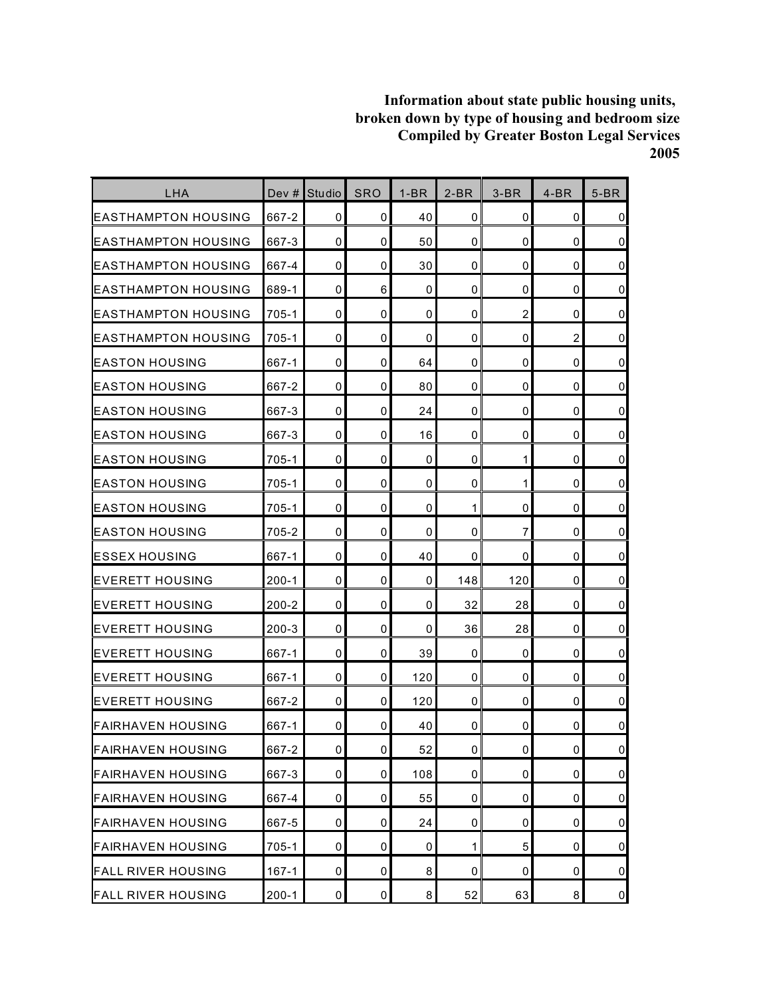| LHA                        | Dev #     | <b>Studio</b> | <b>SRO</b>  | $1-BR$ | $2-BR$      | $3-BR$         | $4-BR$         | $5-BR$         |
|----------------------------|-----------|---------------|-------------|--------|-------------|----------------|----------------|----------------|
| <b>EASTHAMPTON HOUSING</b> | 667-2     | 0             | 0           | 40     | 0           | 0              | 0              | $\overline{0}$ |
| <b>EASTHAMPTON HOUSING</b> | 667-3     | $\mathbf 0$   | $\mathbf 0$ | 50     | $\mathbf 0$ | 0              | 0              | $\overline{0}$ |
| IEASTHAMPTON HOUSING       | 667-4     | 0             | 0           | 30     | 0           | 0              | 0              | $\mathbf 0$    |
| IEASTHAMPTON HOUSING       | 689-1     | $\mathbf 0$   | 6           | 0      | 0           | 0              | 0              | $\overline{0}$ |
| EASTHAMPTON HOUSING        | 705-1     | 0             | 0           | 0      | 0           | $\overline{2}$ | 0              | $\pmb{0}$      |
| IEASTHAMPTON HOUSING       | $705 - 1$ | 0             | 0           | 0      | 0           | 0              | $\overline{2}$ | $\overline{0}$ |
| <b>EASTON HOUSING</b>      | 667-1     | $\mathbf 0$   | 0           | 64     | 0           | 0              | 0              | $\overline{0}$ |
| <b>EASTON HOUSING</b>      | 667-2     | $\mathbf 0$   | $\mathbf 0$ | 80     | $\mathbf 0$ | 0              | 0              | $\overline{0}$ |
| EASTON HOUSING             | 667-3     | $\mathbf 0$   | 0           | 24     | 0           | 0              | 0              | $\overline{0}$ |
| <b>IEASTON HOUSING</b>     | 667-3     | $\mathbf 0$   | 0           | 16     | $\mathbf 0$ | 0              | 0              | $\overline{0}$ |
| IEASTON HOUSING            | $705 - 1$ | $\mathbf 0$   | 0           | 0      | 0           | $\mathbf{1}$   | 0              | $\overline{0}$ |
| IEASTON HOUSING            | 705-1     | 0             | 0           | 0      | 0           | 1              | 0              | $\overline{0}$ |
| <b>EASTON HOUSING</b>      | 705-1     | $\mathbf 0$   | $\mathbf 0$ | 0      | 1           | 0              | 0              | $\overline{0}$ |
| <b>IEASTON HOUSING</b>     | 705-2     | 0             | 0           | 0      | 0           | 7              | 0              | $\overline{0}$ |
| <b>ESSEX HOUSING</b>       | 667-1     | $\mathbf 0$   | 0           | 40     | 0           | 0              | 0              | $\overline{0}$ |
| <b>IEVERETT HOUSING</b>    | $200 - 1$ | $\mathbf 0$   | $\mathbf 0$ | 0      | 148         | 120            | 0              | $\overline{0}$ |
| <b>EVERETT HOUSING</b>     | 200-2     | 0             | 0           | 0      | 32          | 28             | 0              | $\overline{0}$ |
| <b>EVERETT HOUSING</b>     | $200 - 3$ | $\mathbf 0$   | $\mathbf 0$ | 0      | 36          | 28             | 0              | $\pmb{0}$      |
| <b>EVERETT HOUSING</b>     | 667-1     | 0             | 0           | 39     | 0           | 0              | 0              | $\overline{0}$ |
| <b>EVERETT HOUSING</b>     | 667-1     | $\mathbf 0$   | 0           | 120    | 0           | 0              | 0              | $\overline{0}$ |
| <b>EVERETT HOUSING</b>     | 667-2     | $\mathbf 0$   | $\mathbf 0$ | 120    | 0           | 0              | 0              | $\pmb{0}$      |
| FAIRHAVEN HOUSING          | 667-1     | 0             | 0           | 40     | 0           | 0              | 0              | $\pmb{0}$      |
| <b>FAIRHAVEN HOUSING</b>   | 667-2     | $\pmb{0}$     | 0           | 52     | $\mathbf 0$ | 0              | 0              | $\overline{0}$ |
| <b>FAIRHAVEN HOUSING</b>   | 667-3     | $\pmb{0}$     | $\mathbf 0$ | 108    | 0           | 0              | 0              | $\overline{0}$ |
| <b>FAIRHAVEN HOUSING</b>   | 667-4     | 0             | 0           | 55     | 0           | 0              | 0              | $\overline{0}$ |
| <b>FAIRHAVEN HOUSING</b>   | 667-5     | 0             | $\mathbf 0$ | 24     | 0           | 0              | 0              | $\overline{0}$ |
| <b>FAIRHAVEN HOUSING</b>   | $705 - 1$ | 0             | 0           | 0      | 1           | 5              | 0              | $\overline{0}$ |
| <b>FALL RIVER HOUSING</b>  | $167 - 1$ | 0             | 0           | 8      | 0           | 0              | 0              | $\overline{0}$ |
| <b>FALL RIVER HOUSING</b>  | $200 - 1$ | $\pmb{0}$     | 0           | 8      | 52          | 63             | 8              | $\overline{0}$ |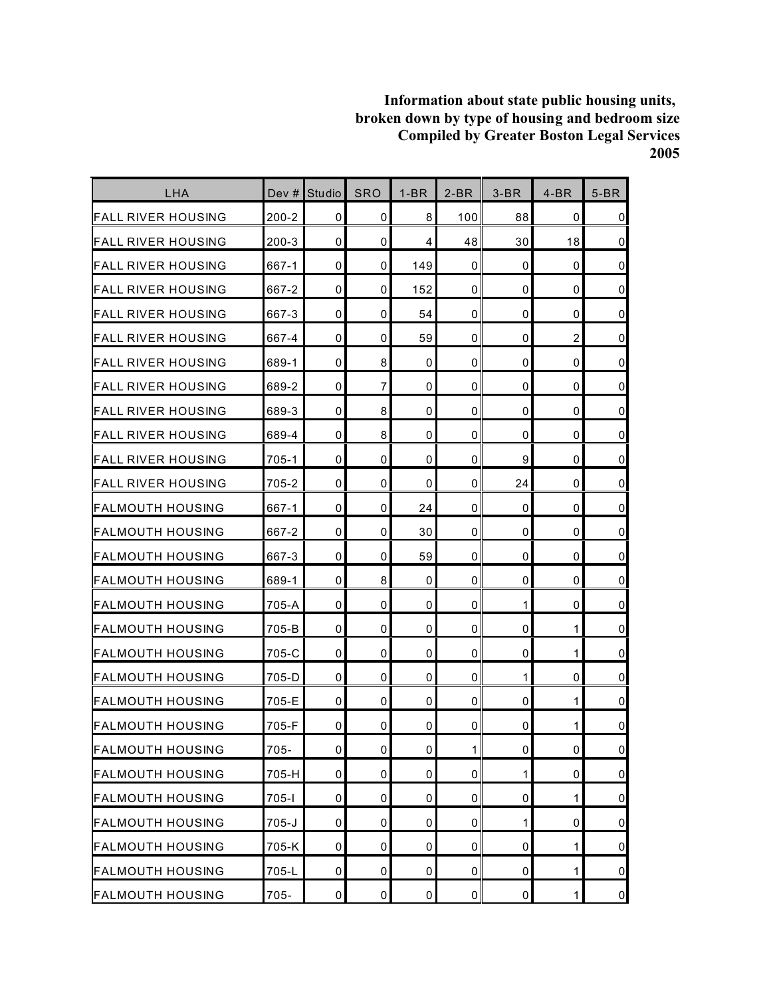| LHA                       | Dev $#$   | <b>Studio</b> | SRO            | $1-BR$      | $2-BR$       | $3-BR$       | $4-BR$         | $5-BR$         |
|---------------------------|-----------|---------------|----------------|-------------|--------------|--------------|----------------|----------------|
| FALL RIVER HOUSING        | $200 - 2$ | 0             | 0              | 8           | 100          | 88           | 0              | $\mathbf 0$    |
| <b>FALL RIVER HOUSING</b> | $200 - 3$ | $\mathbf 0$   | 0              | 4           | 48           | 30           | 18             | $\mathbf 0$    |
| <b>FALL RIVER HOUSING</b> | 667-1     | 0             | 0              | 149         | 0            | 0            | $\mathbf 0$    | $\mathbf 0$    |
| IFALL RIVER HOUSING       | 667-2     | $\mathbf 0$   | 0              | 152         | 0            | 0            | 0              | $\pmb{0}$      |
| FALL RIVER HOUSING        | 667-3     | $\mathbf 0$   | 0              | 54          | 0            | 0            | 0              | $\pmb{0}$      |
| <b>FALL RIVER HOUSING</b> | 667-4     | 0             | 0              | 59          | 0            | 0            | $\overline{2}$ | $\mathbf 0$    |
| <b>FALL RIVER HOUSING</b> | 689-1     | $\mathbf 0$   | 8              | 0           | $\mathbf 0$  | 0            | $\mathbf 0$    | $\overline{0}$ |
| <b>FALL RIVER HOUSING</b> | 689-2     | 0             | $\overline{7}$ | 0           | 0            | 0            | $\mathbf 0$    | $\mathbf 0$    |
| FALL RIVER HOUSING        | 689-3     | $\mathbf 0$   | 8              | 0           | 0            | 0            | 0              | $\pmb{0}$      |
| IFALL RIVER HOUSING       | 689-4     | $\mathbf 0$   | 8              | $\mathbf 0$ | 0            | 0            | 0              | $\mathbf 0$    |
| <b>FALL RIVER HOUSING</b> | 705-1     | 0             | 0              | 0           | 0            | 9            | 0              | $\mathbf 0$    |
| FALL RIVER HOUSING        | 705-2     | $\mathbf 0$   | 0              | 0           | 0            | 24           | 0              | $\pmb{0}$      |
| FALMOUTH HOUSING          | 667-1     | $\mathbf 0$   | 0              | 24          | 0            | 0            | $\mathbf 0$    | $\mathbf 0$    |
| <b>IFALMOUTH HOUSING</b>  | 667-2     | $\mathbf 0$   | 0              | 30          | 0            | 0            | 0              | $\mathbf 0$    |
| <b>FALMOUTH HOUSING</b>   | 667-3     | $\mathbf 0$   | 0              | 59          | 0            | 0            | 0              | $\mathbf 0$    |
| <b>FALMOUTH HOUSING</b>   | 689-1     | $\mathbf 0$   | 8              | 0           | 0            | 0            | 0              | $\mathbf 0$    |
| FALMOUTH HOUSING          | 705-A     | $\mathbf 0$   | 0              | 0           | 0            | 1            | 0              | $\mathbf 0$    |
| FALMOUTH HOUSING          | 705-B     | 0             | 0              | 0           | 0            | 0            | 1              | $\mathbf 0$    |
| <b>FALMOUTH HOUSING</b>   | 705-C     | 0             | 0              | 0           | 0            | 0            | 1              | $\pmb{0}$      |
| <b>FALMOUTH HOUSING</b>   | 705-D     | $\mathbf 0$   | $\mathbf 0$    | 0           | $\mathbf 0$  | 1            | 0              | $\mathbf 0$    |
| <b>FALMOUTH HOUSING</b>   | 705-E     | $\mathbf 0$   | 0              | 0           | $\mathbf{0}$ | 0            | 1              | $\mathbf 0$    |
| IFALMOUTH HOUSING         | 705-F     | 0             | 0              | 0           | 0            | 0            | 1              | $\pmb{0}$      |
| <b>FALMOUTH HOUSING</b>   | $705 -$   | $\pmb{0}$     | $\overline{0}$ | $\pmb{0}$   | $\mathbf{1}$ | 0            | $\pmb{0}$      | $\pmb{0}$      |
| <b>FALMOUTH HOUSING</b>   | 705-H     | $\pmb{0}$     | 0              | 0           | 0            | 1            | $\mathbf 0$    | $\overline{0}$ |
| <b>FALMOUTH HOUSING</b>   | $705 - 1$ | 0             | 0              | 0           | 0            | 0            | 1              | $\overline{0}$ |
| <b>FALMOUTH HOUSING</b>   | $705 - J$ | $\mathbf 0$   | 0              | 0           | 0            | $\mathbf{1}$ | 0              | $\overline{0}$ |
| <b>FALMOUTH HOUSING</b>   | 705-K     | $\pmb{0}$     | 0              | 0           | 0            | 0            | 1              | $\pmb{0}$      |
| <b>FALMOUTH HOUSING</b>   | 705-L     | 0             | 0              | 0           | 0            | 0            | 1              | $\overline{0}$ |
| <b>FALMOUTH HOUSING</b>   | $705 -$   | $\pmb{0}$     | $\pmb{0}$      | $\pmb{0}$   | $\pmb{0}$    | 0            | $\mathbf{1}$   | $\overline{0}$ |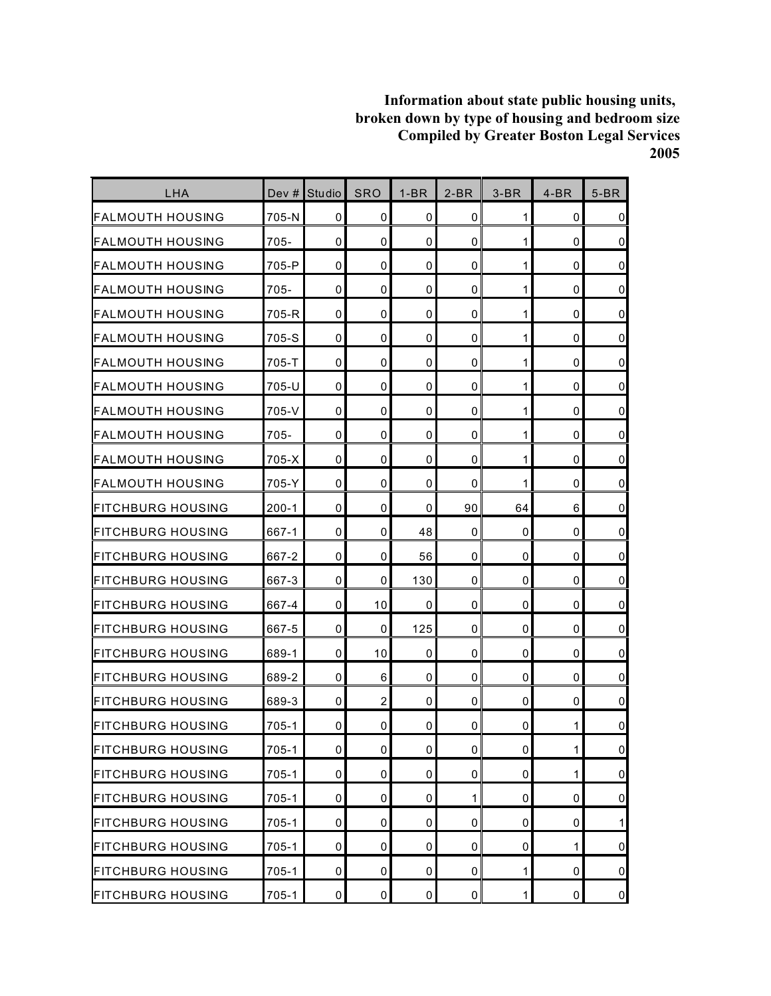| <b>LHA</b>                | Dev #     | Studio      | <b>SRO</b>     | $1-BR$      | $2-BR$      | $3-BR$       | $4-BR$       | $5-BR$         |
|---------------------------|-----------|-------------|----------------|-------------|-------------|--------------|--------------|----------------|
| FALMOUTH HOUSING          | 705-N     | 0           | 0              | 0           | 0           | $\mathbf{1}$ | 0            | $\overline{0}$ |
| <b>FALMOUTH HOUSING</b>   | $705 -$   | 0           | $\mathbf 0$    | 0           | $\mathbf 0$ | 1            | 0            | $\overline{0}$ |
| FALMOUTH HOUSING          | 705-P     | 0           | $\mathbf 0$    | 0           | $\mathbf 0$ | 1            | 0            | $\mathbf 0$    |
| <b>FALMOUTH HOUSING</b>   | 705-      | 0           | 0              | 0           | 0           | 1            | 0            | $\overline{0}$ |
| FALMOUTH HOUSING          | 705-R     | 0           | 0              | $\mathbf 0$ | 0           | 1            | 0            | $\mathbf 0$    |
| <b>FALMOUTH HOUSING</b>   | 705-S     | 0           | 0              | 0           | 0           | 1            | 0            | $\pmb{0}$      |
| FALMOUTH HOUSING          | $705 - T$ | 0           | 0              | 0           | 0           | 1            | 0            | $\mathbf 0$    |
| FALMOUTH HOUSING          | 705-U     | $\mathbf 0$ | $\mathbf 0$    | 0           | $\mathbf 0$ | 1            | 0            | $\pmb{0}$      |
| <b>FALMOUTH HOUSING</b>   | 705-V     | 0           | 0              | 0           | 0           | 1            | 0            | $\overline{0}$ |
| FALMOUTH HOUSING          | $705 -$   | 0           | 0              | $\mathbf 0$ | 0           | 1            | 0            | $\mathbf 0$    |
| FALMOUTH HOUSING          | 705-X     | $\mathbf 0$ | 0              | 0           | 0           | 1            | 0            | $\overline{0}$ |
| FALMOUTH HOUSING          | 705-Y     | 0           | 0              | 0           | 0           | 1            | 0            | $\mathbf 0$    |
| FITCHBURG HOUSING         | $200-1$   | $\mathbf 0$ | $\mathbf 0$    | 0           | 90          | 64           | 6            | $\pmb{0}$      |
| <b>IFITCHBURG HOUSING</b> | 667-1     | 0           | 0              | 48          | 0           | 0            | 0            | $\mathbf 0$    |
| <b>FITCHBURG HOUSING</b>  | 667-2     | $\mathbf 0$ | 0              | 56          | $\mathbf 0$ | 0            | 0            | $\overline{0}$ |
| <b>FITCHBURG HOUSING</b>  | 667-3     | $\mathbf 0$ | 0              | 130         | 0           | 0            | 0            | $\overline{0}$ |
| FITCHBURG HOUSING         | 667-4     | 0           | 10             | 0           | 0           | 0            | 0            | $\mathbf 0$    |
| FITCHBURG HOUSING         | 667-5     | $\mathbf 0$ | 0              | 125         | $\mathbf 0$ | 0            | 0            | $\overline{0}$ |
| <b>FITCHBURG HOUSING</b>  | 689-1     | 0           | 10             | 0           | 0           | 0            | 0            | $\mathbf 0$    |
| IFITCHBURG HOUSING        | 689-2     | $\mathbf 0$ | 6              | 0           | 0           | 0            | 0            | $\mathbf 0$    |
| <b>IFITCHBURG HOUSING</b> | 689-3     | $\mathbf 0$ | $\overline{2}$ | 0           | $\mathbf 0$ | 0            | 0            | $\pmb{0}$      |
| <b>FITCHBURG HOUSING</b>  | 705-1     | 0           | 0              | 0           | 0           | 0            | 1            | $\pmb{0}$      |
| <b>FITCHBURG HOUSING</b>  | $705 - 1$ | $\pmb{0}$   | $\pmb{0}$      | 0           | $\pmb{0}$   | $\pmb{0}$    | $\mathbf{1}$ | $\overline{0}$ |
| <b>FITCHBURG HOUSING</b>  | $705-1$   | 0           | 0              | 0           | 0           | 0            | 1            | $\overline{0}$ |
| <b>FITCHBURG HOUSING</b>  | $705-1$   | 0           | 0              | 0           | 1           | 0            | 0            | $\overline{0}$ |
| <b>FITCHBURG HOUSING</b>  | 705-1     | 0           | 0              | 0           | 0           | 0            | 0            | 1              |
| <b>FITCHBURG HOUSING</b>  | $705 - 1$ | $\pmb{0}$   | 0              | 0           | $\mathbf 0$ | 0            | 1            | $\overline{0}$ |
| <b>FITCHBURG HOUSING</b>  | 705-1     | 0           | 0              | 0           | 0           | 1            | 0            | $\overline{0}$ |
| <b>FITCHBURG HOUSING</b>  | $705-1$   | $\pmb{0}$   | 0              | $\pmb{0}$   | 0           | $\mathbf 1$  | 0            | $\overline{0}$ |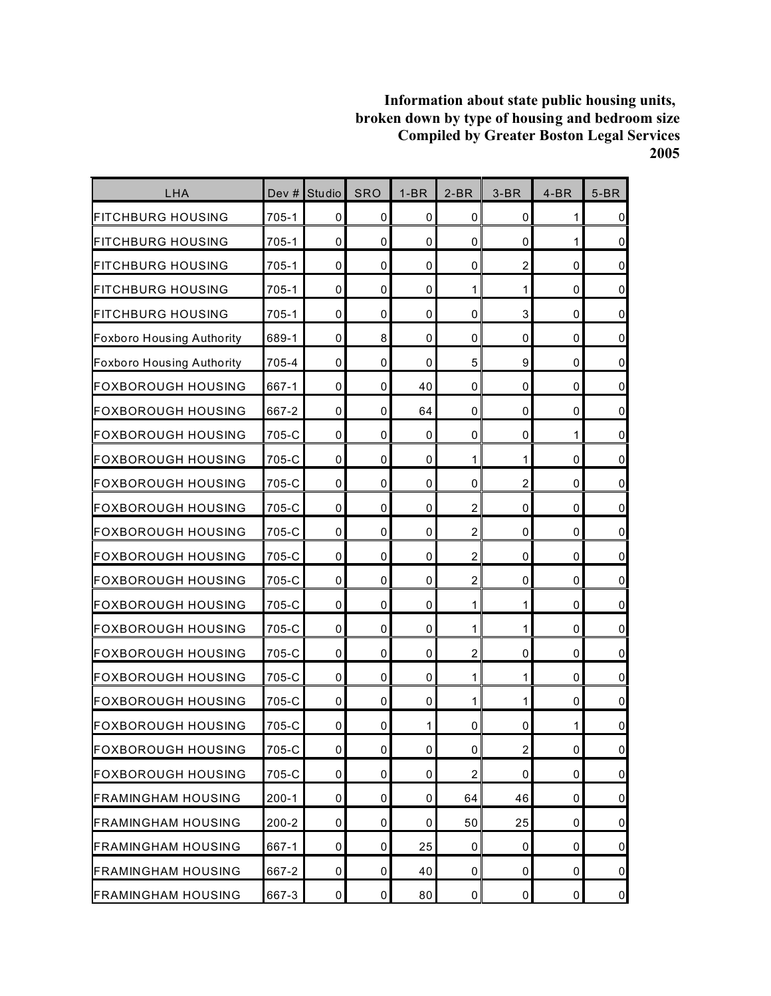| LHA                              | Dev $#$   | <b>Studio</b>       | <b>SRO</b> | $1-BR$    | $2-BR$         | $3-BR$         | $4-BR$      | $5-BR$         |
|----------------------------------|-----------|---------------------|------------|-----------|----------------|----------------|-------------|----------------|
| FITCHBURG HOUSING                | 705-1     | 0                   | 0          | 0         | 0              | 0              | 1           | $\overline{0}$ |
| <b>FITCHBURG HOUSING</b>         | $705 - 1$ | $\mathbf 0$         | 0          | 0         | $\mathbf 0$    | 0              | 1           | $\overline{0}$ |
| FITCHBURG HOUSING                | 705-1     | 0                   | 0          | 0         | 0              | $\overline{c}$ | $\mathbf 0$ | $\pmb{0}$      |
| FITCHBURG HOUSING                | 705-1     | 0                   | 0          | 0         | 1              | 1              | 0           | $\overline{0}$ |
| FITCHBURG HOUSING                | $705 - 1$ | 0                   | 0          | 0         | 0              | 3              | 0           | $\overline{0}$ |
| <b>Foxboro Housing Authority</b> | 689-1     | 0                   | 8          | 0         | 0              | 0              | 0           | $\overline{0}$ |
| <b>Foxboro Housing Authority</b> | 705-4     | $\mathbf 0$         | 0          | 0         | 5              | 9              | 0           | $\overline{0}$ |
| <b>FOXBOROUGH HOUSING</b>        | 667-1     | $\mathbf 0$         | 0          | 40        | $\mathbf 0$    | 0              | $\mathbf 0$ | $\overline{0}$ |
| FOXBOROUGH HOUSING               | 667-2     | 0                   | 0          | 64        | 0              | 0              | 0           | $\overline{0}$ |
| FOXBOROUGH HOUSING               | 705-C     | $\mathbf 0$         | 0          | 0         | 0              | 0              | 1           | $\overline{0}$ |
| IFOXBOROUGH HOUSING              | 705-C     | 0                   | 0          | 0         | 1              | $\mathbf{1}$   | 0           | $\overline{0}$ |
| FOXBOROUGH HOUSING               | 705-C     | 0                   | 0          | 0         | 0              | $\overline{c}$ | 0           | $\overline{0}$ |
| <b>FOXBOROUGH HOUSING</b>        | 705-C     | $\mathbf 0$         | 0          | 0         | $\overline{2}$ | 0              | $\mathbf 0$ | $\pmb{0}$      |
| IFOXBOROUGH HOUSING              | 705-C     | 0                   | 0          | 0         | $\overline{2}$ | 0              | 0           | $\overline{0}$ |
| FOXBOROUGH HOUSING               | 705-C     | $\mathbf 0$         | 0          | 0         | $\overline{2}$ | 0              | 0           | $\pmb{0}$      |
| FOXBOROUGH HOUSING               | 705-C     | 0                   | 0          | 0         | $\overline{c}$ | 0              | 0           | $\overline{0}$ |
| <b>FOXBOROUGH HOUSING</b>        | 705-C     | 0                   | 0          | 0         | 1              | 1              | 0           | $\overline{0}$ |
| <b>FOXBOROUGH HOUSING</b>        | 705-C     | $\mathbf 0$         | 0          | 0         | 1              | 1              | 0           | $\pmb{0}$      |
| FOXBOROUGH HOUSING               | 705-C     | 0                   | 0          | 0         | $\overline{c}$ | 0              | 0           | $\overline{0}$ |
| FOXBOROUGH HOUSING               | 705-C     | $\mathbf 0$         | 0          | 0         | 1              | $\mathbf{1}$   | 0           | $\overline{0}$ |
| FOXBOROUGH HOUSING               | 705-C     | $\mathbf 0$         | 0          | 0         | 1              | $\mathbf{1}$   | 0           | $\overline{0}$ |
| IFOXBOROUGH HOUSING              | 705-C     | 0                   | 0          | 1         | 0              | 0              | 1           | $\pmb{0}$      |
| <b>FOXBOROUGH HOUSING</b>        | 705-C     | $\mathsf{O}\xspace$ | 0          | $\pmb{0}$ | $\mathbf 0$    | $\overline{2}$ | 0           | $\overline{0}$ |
| <b>FOXBOROUGH HOUSING</b>        | 705-C     | 0                   | 0          | 0         | $\overline{c}$ | 0              | 0           | $\overline{0}$ |
| <b>FRAMINGHAM HOUSING</b>        | $200 - 1$ | 0                   | 0          | 0         | 64             | 46             | 0           | $\overline{0}$ |
| <b>FRAMINGHAM HOUSING</b>        | $200 - 2$ | $\mathbf 0$         | 0          | 0         | 50             | 25             | 0           | $\overline{0}$ |
| <b>FRAMINGHAM HOUSING</b>        | 667-1     | $\mathbf 0$         | 0          | 25        | 0              | 0              | 0           | $\overline{0}$ |
| <b>FRAMINGHAM HOUSING</b>        | 667-2     | 0                   | 0          | 40        | 0              | 0              | 0           | $\overline{0}$ |
| <b>FRAMINGHAM HOUSING</b>        | 667-3     | $\mathbf 0$         | 0          | 80        | $\pmb{0}$      | 0              | $\pmb{0}$   | $\overline{0}$ |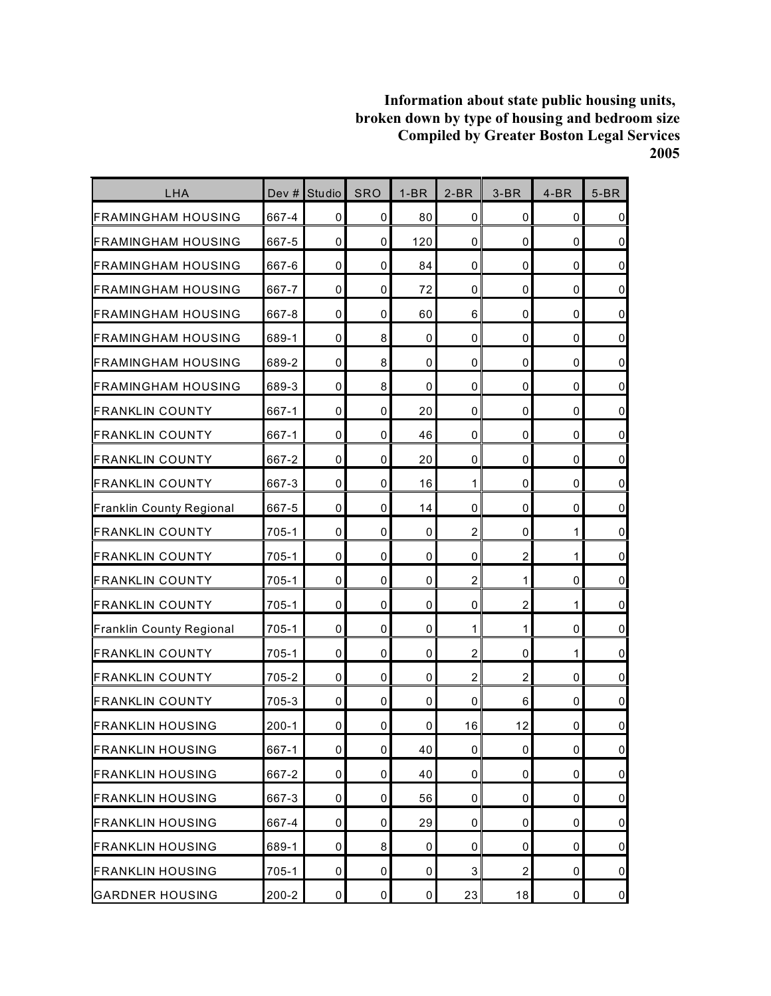| LHA                         | Dev #     | Studio              | <b>SRO</b>  | $1-BR$      | $2-BR$              | $3-BR$         | $4-BR$      | $5-BR$              |
|-----------------------------|-----------|---------------------|-------------|-------------|---------------------|----------------|-------------|---------------------|
| FRAMINGHAM HOUSING          | 667-4     | $\mathbf 0$         | 0           | 80          | $\mathbf 0$         | 0              | 0           | $\pmb{0}$           |
| FRAMINGHAM HOUSING          | 667-5     | $\mathbf 0$         | 0           | 120         | $\mathbf 0$         | 0              | $\mathbf 0$ | $\overline{0}$      |
| <b>I</b> FRAMINGHAM HOUSING | 667-6     | $\mathbf{0}$        | 0           | 84          | 0                   | 0              | $\mathbf 0$ | $\pmb{0}$           |
| FRAMINGHAM HOUSING          | 667-7     | $\mathbf 0$         | 0           | 72          | $\mathbf 0$         | 0              | 0           | $\mathbf 0$         |
| <b>FRAMINGHAM HOUSING</b>   | 667-8     | $\mathbf 0$         | 0           | 60          | 6                   | 0              | $\mathbf 0$ | $\mathsf 0$         |
| <b>I</b> FRAMINGHAM HOUSING | 689-1     | 0                   | 8           | 0           | 0                   | 0              | $\mathbf 0$ | $\mathsf 0$         |
| <b>FRAMINGHAM HOUSING</b>   | 689-2     | $\mathbf 0$         | 8           | 0           | $\mathbf 0$         | 0              | $\mathbf 0$ | $\overline{0}$      |
| <b>FRAMINGHAM HOUSING</b>   | 689-3     | $\mathbf 0$         | 8           | $\mathbf 0$ | $\Omega$            | 0              | $\mathbf 0$ | $\pmb{0}$           |
| <b>FRANKLIN COUNTY</b>      | 667-1     | $\mathbf 0$         | 0           | 20          | $\mathbf 0$         | 0              | 0           | $\pmb{0}$           |
| <b>FRANKLIN COUNTY</b>      | 667-1     | $\mathbf 0$         | $\mathbf 0$ | 46          | $\mathbf 0$         | 0              | $\mathbf 0$ | $\pmb{0}$           |
| <b>FRANKLIN COUNTY</b>      | 667-2     | 0                   | 0           | 20          | 0                   | 0              | 0           | $\mathsf 0$         |
| <b>FRANKLIN COUNTY</b>      | 667-3     | $\mathbf 0$         | 0           | 16          | 1                   | 0              | 0           | $\mathbf 0$         |
| Franklin County Regional    | 667-5     | $\mathbf 0$         | 0           | 14          | $\mathbf 0$         | $\mathbf 0$    | $\mathbf 0$ | $\mathsf{O}\xspace$ |
| <b>FRANKLIN COUNTY</b>      | 705-1     | 0                   | 0           | 0           | $\overline{c}$      | 0              | 1           | $\overline{0}$      |
| FRANKLIN COUNTY             | 705-1     | $\mathbf 0$         | $\mathbf 0$ | $\mathbf 0$ | $\mathbf 0$         | $\overline{c}$ | 1           | $\mathbf 0$         |
| FRANKLIN COUNTY             | 705-1     | $\mathbf 0$         | 0           | 0           | $\overline{2}$      | 1              | 0           | $\overline{0}$      |
| <b>FRANKLIN COUNTY</b>      | 705-1     | $\mathbf 0$         | 0           | 0           | $\mathbf 0$         | $\overline{c}$ | 1           | $\pmb{0}$           |
| Franklin County Regional    | 705-1     | $\mathbf 0$         | 0           | 0           | 1                   | $\mathbf{1}$   | $\mathbf 0$ | $\mathsf{O}\xspace$ |
| <b>FRANKLIN COUNTY</b>      | 705-1     | 0                   | $\mathbf 0$ | 0           | 2                   | 0              | 1           | $\mathbf 0$         |
| <b>FRANKLIN COUNTY</b>      | 705-2     | $\mathbf 0$         | 0           | 0           | $\overline{c}$      | $\overline{c}$ | $\mathbf 0$ | $\mathbf 0$         |
| <b>FRANKLIN COUNTY</b>      | 705-3     | 0                   | 0           | 0           | $\mathbf 0$         | 6              | 0           | $\mathsf 0$         |
| <b>FRANKLIN HOUSING</b>     | $200 - 1$ | 0                   | 0           | 0           | 16                  | 12             | 0           | $\mathbf 0$         |
| <b>FRANKLIN HOUSING</b>     | 667-1     | $\mathsf{O}\xspace$ | 0           | 40          | $\mathsf{O}\xspace$ | 0              | $\mathbf 0$ | $\mathbf 0$         |
| <b>FRANKLIN HOUSING</b>     | 667-2     | 0                   | 0           | 40          | 0                   | 0              | $\mathbf 0$ | $\overline{0}$      |
| <b>FRANKLIN HOUSING</b>     | 667-3     | 0                   | 0           | 56          | 0                   | 0              | 0           | $\overline{0}$      |
| <b>FRANKLIN HOUSING</b>     | 667-4     | $\mathbf 0$         | 0           | 29          | $\mathbf 0$         | 0              | 0           | $\overline{0}$      |
| <b>FRANKLIN HOUSING</b>     | 689-1     | 0                   | 8           | 0           | 0                   | 0              | 0           | $\pmb{0}$           |
| <b>FRANKLIN HOUSING</b>     | 705-1     | 0                   | 0           | 0           | 3                   | $\overline{c}$ | 0           | $\overline{0}$      |
| <b>GARDNER HOUSING</b>      | $200 - 2$ | $\mathbf 0$         | $\pmb{0}$   | $\pmb{0}$   | 23                  | 18             | $\pmb{0}$   | $\overline{0}$      |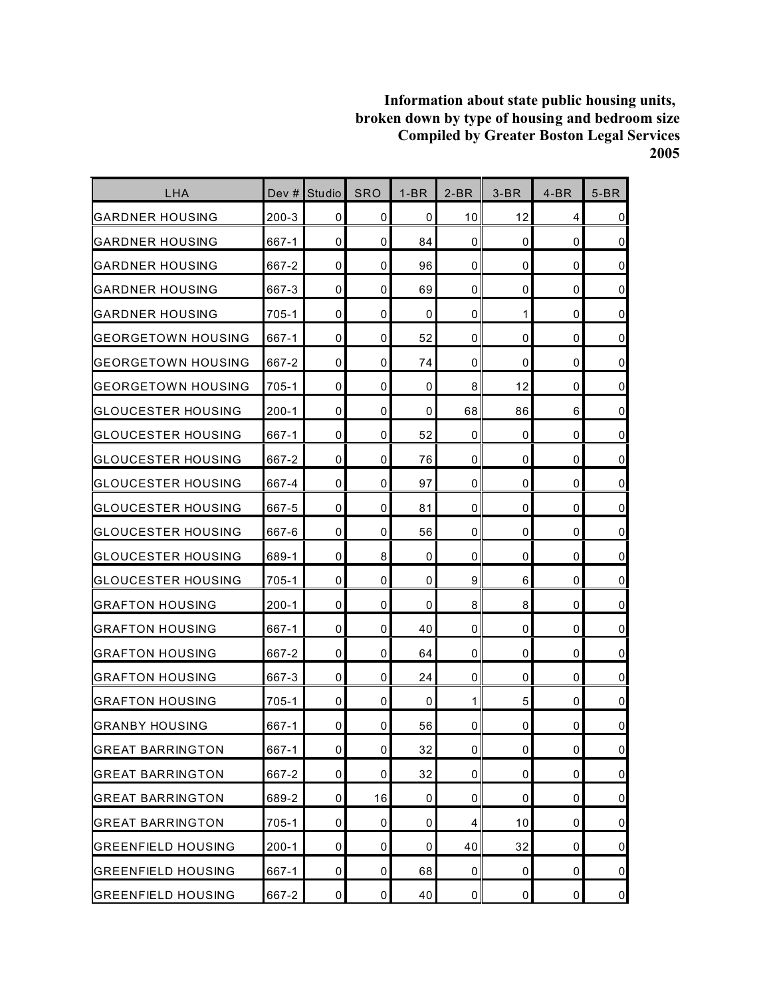| LHA                       | Dev $#$   | Studio      | <b>SRO</b>     | $1-BR$ | $2-BR$         | $3-BR$       | $4-BR$      | $5-BR$         |
|---------------------------|-----------|-------------|----------------|--------|----------------|--------------|-------------|----------------|
| GARDNER HOUSING           | 200-3     | 0           | 0              | 0      | 10             | 12           | 4           | $\mathbf 0$    |
| <b>GARDNER HOUSING</b>    | 667-1     | $\mathbf 0$ | 0              | 84     | 0              | 0            | 0           | $\mathbf 0$    |
| <b>GARDNER HOUSING</b>    | 667-2     | $\mathbf 0$ | 0              | 96     | 0              | 0            | 0           | $\mathbf 0$    |
| GARDNER HOUSING           | 667-3     | 0           | 0              | 69     | 0              | 0            | 0           | $\mathbf 0$    |
| <b>GARDNER HOUSING</b>    | $705 - 1$ | $\mathbf 0$ | 0              | 0      | 0              | $\mathbf{1}$ | 0           | $\pmb{0}$      |
| <b>GEORGETOWN HOUSING</b> | 667-1     | 0           | 0              | 52     | 0              | 0            | 0           | $\mathbf 0$    |
| <b>GEORGETOWN HOUSING</b> | 667-2     | $\mathbf 0$ | 0              | 74     | 0              | 0            | 0           | $\mathbf 0$    |
| <b>GEORGETOWN HOUSING</b> | 705-1     | 0           | 0              | 0      | 8              | 12           | 0           | $\mathbf 0$    |
| GLOUCESTER HOUSING        | $200 - 1$ | $\mathbf 0$ | 0              | 0      | 68             | 86           | 6           | $\mathbf 0$    |
| <b>GLOUCESTER HOUSING</b> | 667-1     | $\mathbf 0$ | 0              | 52     | 0              | 0            | 0           | $\pmb{0}$      |
| GLOUCESTER HOUSING        | 667-2     | $\mathbf 0$ | 0              | 76     | 0              | 0            | 0           | $\mathbf 0$    |
| <b>GLOUCESTER HOUSING</b> | 667-4     | $\mathbf 0$ | 0              | 97     | 0              | 0            | 0           | $\mathbf 0$    |
| <b>GLOUCESTER HOUSING</b> | 667-5     | 0           | 0              | 81     | 0              | 0            | $\mathbf 0$ | $\mathbf 0$    |
| GLOUCESTER HOUSING        | 667-6     | 0           | 0              | 56     | 0              | 0            | 0           | $\mathbf 0$    |
| <b>GLOUCESTER HOUSING</b> | 689-1     | $\mathbf 0$ | 8              | 0      | 0              | 0            | 0           | $\mathbf 0$    |
| GLOUCESTER HOUSING        | 705-1     | 0           | 0              | 0      | 9              | 6            | 0           | $\pmb{0}$      |
| <b>GRAFTON HOUSING</b>    | $200 - 1$ | $\mathbf 0$ | 0              | 0      | 8              | 8            | 0           | $\pmb{0}$      |
| <b>GRAFTON HOUSING</b>    | 667-1     | $\mathbf 0$ | 0              | 40     | 0              | 0            | $\mathbf 0$ | $\pmb{0}$      |
| <b>GRAFTON HOUSING</b>    | 667-2     | 0           | 0              | 64     | 0              | 0            | 0           | $\mathbf 0$    |
| GRAFTON HOUSING           | 667-3     | $\mathbf 0$ | 0              | 24     | 0              | 0            | 0           | $\mathbf 0$    |
| <b>GRAFTON HOUSING</b>    | 705-1     | $\mathbf 0$ | 0              | 0      | 1              | 5            | 0           | $\mathbf 0$    |
| <b>GRANBY HOUSING</b>     | 667-1     | 0           | 0              | 56     | 0              | 0            | 0           | $\pmb{0}$      |
| <b>GREAT BARRINGTON</b>   | 667-1     | 0           | $\overline{0}$ | 32     | $\mathbf 0$    | 0            | $\pmb{0}$   | $\mathsf 0$    |
| <b>GREAT BARRINGTON</b>   | 667-2     | 0           | $\mathbf 0$    | 32     | 0              | 0            | 0           | $\overline{0}$ |
| <b>GREAT BARRINGTON</b>   | 689-2     | 0           | 16             | 0      | 0              | 0            | 0           | $\overline{0}$ |
| <b>GREAT BARRINGTON</b>   | 705-1     | 0           | $\mathbf 0$    | 0      | 4              | 10           | 0           | $\overline{0}$ |
| <b>GREENFIELD HOUSING</b> | $200 - 1$ | 0           | 0              | 0      | 40             | 32           | 0           | $\overline{0}$ |
| <b>GREENFIELD HOUSING</b> | 667-1     | $\mathbf 0$ | 0              | 68     | $\overline{0}$ | 0            | 0           | $\overline{0}$ |
| <b>GREENFIELD HOUSING</b> | 667-2     | $\pmb{0}$   | 0              | 40     | $\pmb{0}$      | 0            | 0           | $\overline{0}$ |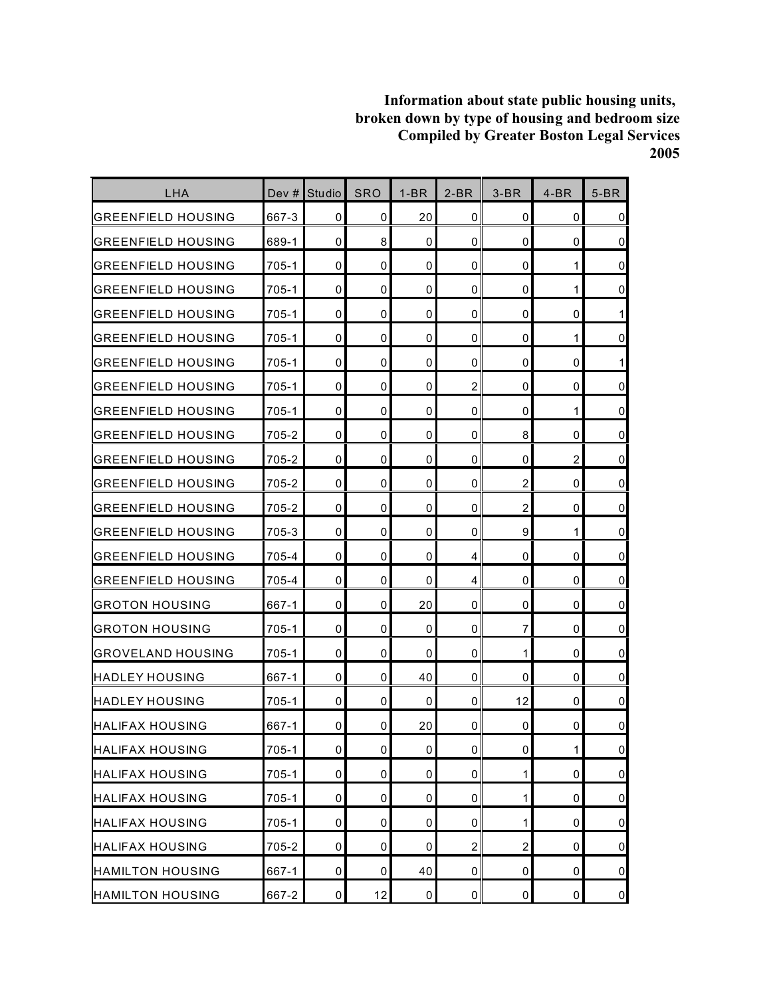| LHA                       | Dev #     | Studio      | <b>SRO</b>     | $1-BR$      | $2-BR$              | $3-BR$         | $4-BR$         | $5-BR$         |
|---------------------------|-----------|-------------|----------------|-------------|---------------------|----------------|----------------|----------------|
| <b>GREENFIELD HOUSING</b> | 667-3     | 0           | 0              | 20          | 0                   | 0              | 0              | $\mathbf 0$    |
| <b>GREENFIELD HOUSING</b> | 689-1     | $\mathbf 0$ | 8              | 0           | 0                   | 0              | 0              | $\mathbf 0$    |
| <b>GREENFIELD HOUSING</b> | 705-1     | 0           | 0              | $\mathbf 0$ | 0                   | 0              | 1              | $\mathbf 0$    |
| <b>GREENFIELD HOUSING</b> | 705-1     | 0           | 0              | 0           | 0                   | 0              | 1              | $\pmb{0}$      |
| GREENFIELD HOUSING        | 705-1     | 0           | 0              | 0           | 0                   | 0              | 0              | 1              |
| GREENFIELD HOUSING        | $705 - 1$ | 0           | 0              | 0           | 0                   | 0              | 1              | $\mathbf 0$    |
| <b>GREENFIELD HOUSING</b> | 705-1     | $\mathbf 0$ | 0              | 0           | 0                   | 0              | $\mathbf 0$    | 1              |
| <b>GREENFIELD HOUSING</b> | 705-1     | 0           | 0              | $\mathbf 0$ | $\overline{2}$      | 0              | $\mathbf 0$    | $\mathbf 0$    |
| <b>GREENFIELD HOUSING</b> | 705-1     | 0           | 0              | 0           | 0                   | 0              | 1              | $\mathbf 0$    |
| <b>GREENFIELD HOUSING</b> | 705-2     | $\mathbf 0$ | 0              | $\mathbf 0$ | 0                   | 8              | 0              | $\mathbf 0$    |
| <b>GREENFIELD HOUSING</b> | 705-2     | 0           | 0              | 0           | 0                   | 0              | $\overline{c}$ | $\mathbf 0$    |
| <b>GREENFIELD HOUSING</b> | 705-2     | $\mathbf 0$ | 0              | 0           | 0                   | $\overline{c}$ | 0              | $\mathbf 0$    |
| <b>GREENFIELD HOUSING</b> | 705-2     | $\mathbf 0$ | 0              | $\mathbf 0$ | 0                   | $\overline{2}$ | 0              | $\pmb{0}$      |
| <b>GREENFIELD HOUSING</b> | 705-3     | 0           | 0              | 0           | 0                   | 9              | 1              | $\mathbf 0$    |
| GREENFIELD HOUSING        | 705-4     | 0           | 0              | $\mathbf 0$ | 4                   | 0              | 0              | $\mathbf 0$    |
| GREENFIELD HOUSING        | 705-4     | 0           | 0              | 0           | 4                   | 0              | 0              | $\mathbf 0$    |
| <b>GROTON HOUSING</b>     | 667-1     | $\mathbf 0$ | 0              | 20          | 0                   | 0              | 0              | $\mathbf 0$    |
| <b>GROTON HOUSING</b>     | $705 - 1$ | 0           | 0              | 0           | 0                   | 7              | 0              | $\pmb{0}$      |
| <b>GROVELAND HOUSING</b>  | 705-1     | 0           | 0              | 0           | 0                   | 1              | 0              | $\mathbf 0$    |
| <b>HADLEY HOUSING</b>     | 667-1     | $\mathbf 0$ | 0              | 40          | 0                   | 0              | 0              | $\mathbf 0$    |
| <b>HADLEY HOUSING</b>     | $705 - 1$ | $\mathbf 0$ | 0              | 0           | 0                   | 12             | $\mathbf 0$    | $\mathbf 0$    |
| <b>HALIFAX HOUSING</b>    | 667-1     | 0           | 0              | 20          | 0                   | 0              | 0              | 0              |
| <b>HALIFAX HOUSING</b>    | $705 - 1$ | $\pmb{0}$   | $\overline{0}$ | $\pmb{0}$   | $\mathsf{O}\xspace$ | 0              | $\mathbf{1}$   | $\pmb{0}$      |
| <b>HALIFAX HOUSING</b>    | 705-1     | $\pmb{0}$   | 0              | 0           | 0                   | $\mathbf{1}$   | $\mathbf 0$    | $\overline{0}$ |
| <b>HALIFAX HOUSING</b>    | $705-1$   | 0           | 0              | 0           | 0                   | 1              | 0              | $\overline{0}$ |
| <b>HALIFAX HOUSING</b>    | $705 - 1$ | $\mathbf 0$ | 0              | 0           | 0                   | $\mathbf{1}$   | $\mathbf 0$    | $\overline{0}$ |
| <b>HALIFAX HOUSING</b>    | 705-2     | $\pmb{0}$   | 0              | 0           | $\overline{2}$      | $\overline{c}$ | $\pmb{0}$      | $\overline{0}$ |
| <b>HAMILTON HOUSING</b>   | 667-1     | 0           | $\mathbf 0$    | 40          | 0                   | 0              | 0              | $\overline{0}$ |
| <b>HAMILTON HOUSING</b>   | 667-2     | $\pmb{0}$   | 12             | $\mathbf 0$ | $\pmb{0}$           | 0              | $\pmb{0}$      | $\overline{0}$ |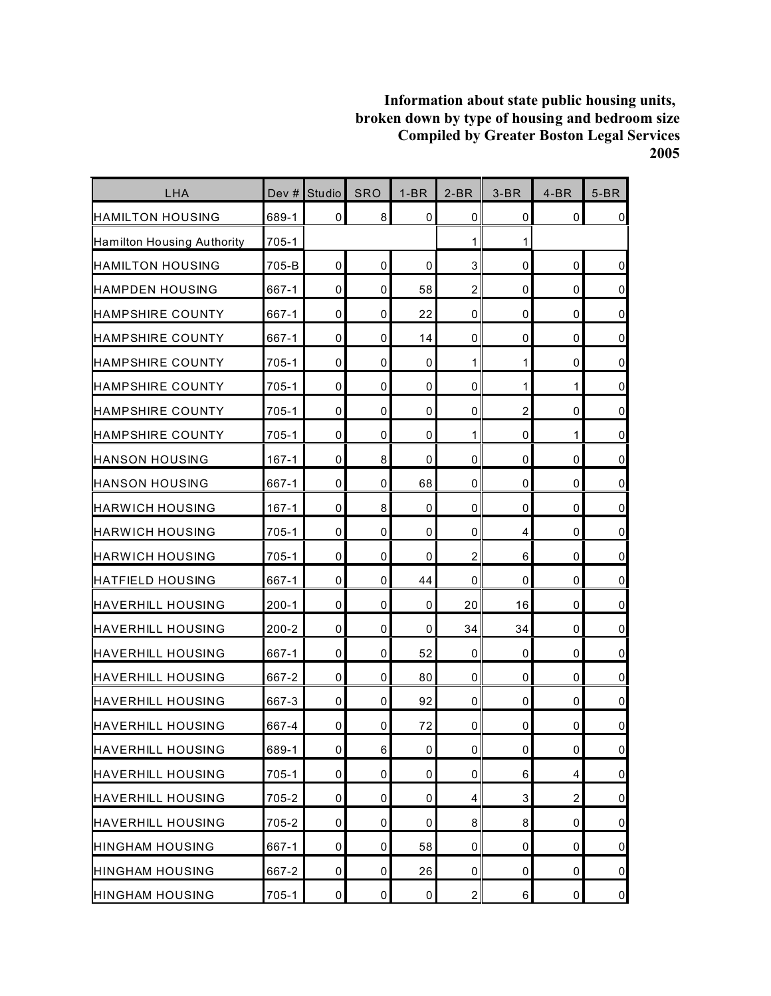| LHA                        | Dev $#$   | Studio              | <b>SRO</b>  | $1-BR$      | $2-BR$                  | $3-BR$         | $4-BR$                  | $5-BR$         |
|----------------------------|-----------|---------------------|-------------|-------------|-------------------------|----------------|-------------------------|----------------|
| <b>HAMILTON HOUSING</b>    | 689-1     | $\overline{0}$      | 8           | 0           | 0                       | 0              | 0                       | $\overline{0}$ |
| Hamilton Housing Authority | $705 - 1$ |                     |             |             | 1                       | 1              |                         |                |
| <b>HAMILTON HOUSING</b>    | 705-B     | $\Omega$            | $\mathbf 0$ | 0           | 3                       | 0              | $\mathbf 0$             | $\pmb{0}$      |
| <b>HAMPDEN HOUSING</b>     | 667-1     | $\mathbf 0$         | 0           | 58          | $\overline{2}$          | 0              | 0                       | $\overline{0}$ |
| <b>HAMPSHIRE COUNTY</b>    | 667-1     | $\mathbf 0$         | 0           | 22          | 0                       | 0              | 0                       | $\overline{0}$ |
| <b>HAMPSHIRE COUNTY</b>    | 667-1     | 0                   | 0           | 14          | 0                       | 0              | 0                       | $\overline{0}$ |
| <b>HAMPSHIRE COUNTY</b>    | 705-1     | $\mathbf 0$         | 0           | 0           | 1                       | $\mathbf{1}$   | 0                       | $\overline{0}$ |
| <b>HAMPSHIRE COUNTY</b>    | 705-1     | $\mathbf 0$         | $\mathbf 0$ | 0           | $\mathbf 0$             | 1              | 1                       | $\overline{0}$ |
| <b>HAMPSHIRE COUNTY</b>    | $705 - 1$ | $\mathbf 0$         | 0           | 0           | 0                       | $\overline{2}$ | 0                       | $\overline{0}$ |
| <b>I</b> HAMPSHIRE COUNTY  | 705-1     | $\mathbf 0$         | 0           | 0           | 1                       | 0              | 1                       | $\overline{0}$ |
| <b>HANSON HOUSING</b>      | $167 - 1$ | 0                   | 8           | 0           | $\mathbf 0$             | 0              | 0                       | $\overline{0}$ |
| <b>HANSON HOUSING</b>      | 667-1     | $\mathbf 0$         | 0           | 68          | 0                       | 0              | 0                       | $\overline{0}$ |
| <b>HARWICH HOUSING</b>     | $167 - 1$ | $\mathbf 0$         | 8           | 0           | $\mathbf 0$             | 0              | $\mathbf 0$             | $\overline{0}$ |
| <b>HARWICH HOUSING</b>     | 705-1     | $\mathbf 0$         | 0           | 0           | 0                       | 4              | 0                       | $\overline{0}$ |
| HARWICH HOUSING            | 705-1     | $\mathbf 0$         | 0           | 0           | $\overline{2}$          | 6              | 0                       | $\overline{0}$ |
| <b>HATFIELD HOUSING</b>    | 667-1     | 0                   | 0           | 44          | $\mathbf 0$             | 0              | $\mathbf 0$             | $\overline{0}$ |
| <b>HAVERHILL HOUSING</b>   | $200 - 1$ | $\mathbf 0$         | 0           | 0           | 20                      | 16             | 0                       | $\overline{0}$ |
| <b>HAVERHILL HOUSING</b>   | $200 - 2$ | $\mathbf 0$         | 0           | 0           | 34                      | 34             | 0                       | $\overline{0}$ |
| <b>HAVERHILL HOUSING</b>   | 667-1     | 0                   | 0           | 52          | 0                       | 0              | 0                       | $\overline{0}$ |
| <b>HAVERHILL HOUSING</b>   | 667-2     | $\mathbf 0$         | 0           | 80          | 0                       | 0              | 0                       | $\overline{0}$ |
| <b>HAVERHILL HOUSING</b>   | 667-3     | $\mathbf 0$         | 0           | 92          | $\mathbf 0$             | 0              | $\mathbf 0$             | $\overline{0}$ |
| HAVERHILL HOUSING          | 667-4     | 0                   | 0           | 72          | 0                       | 0              | 0                       | $\pmb{0}$      |
| <b>HAVERHILL HOUSING</b>   | 689-1     | $\mathsf{O}\xspace$ | 6           | $\pmb{0}$   | $\mathbf 0$             | $\pmb{0}$      | 0                       | $\overline{0}$ |
| <b>HAVERHILL HOUSING</b>   | $705 - 1$ | 0                   | 0           | 0           | 0                       | 6              | $\overline{\mathbf{4}}$ | $\overline{0}$ |
| <b>HAVERHILL HOUSING</b>   | 705-2     | 0                   | 0           | 0           | $\overline{\mathbf{4}}$ | 3              | $\overline{c}$          | $\overline{0}$ |
| <b>HAVERHILL HOUSING</b>   | 705-2     | $\mathbf 0$         | 0           | 0           | 8                       | 8              | 0                       | $\overline{0}$ |
| <b>HINGHAM HOUSING</b>     | 667-1     | $\mathbf 0$         | 0           | 58          | 0                       | 0              | 0                       | $\overline{0}$ |
| <b>HINGHAM HOUSING</b>     | 667-2     | 0                   | 0           | 26          | 0                       | 0              | 0                       | $\overline{0}$ |
| <b>HINGHAM HOUSING</b>     | $705 - 1$ | $\mathbf 0$         | $\pmb{0}$   | $\mathsf 0$ | $\overline{2}$          | 6              | $\pmb{0}$               | $\overline{0}$ |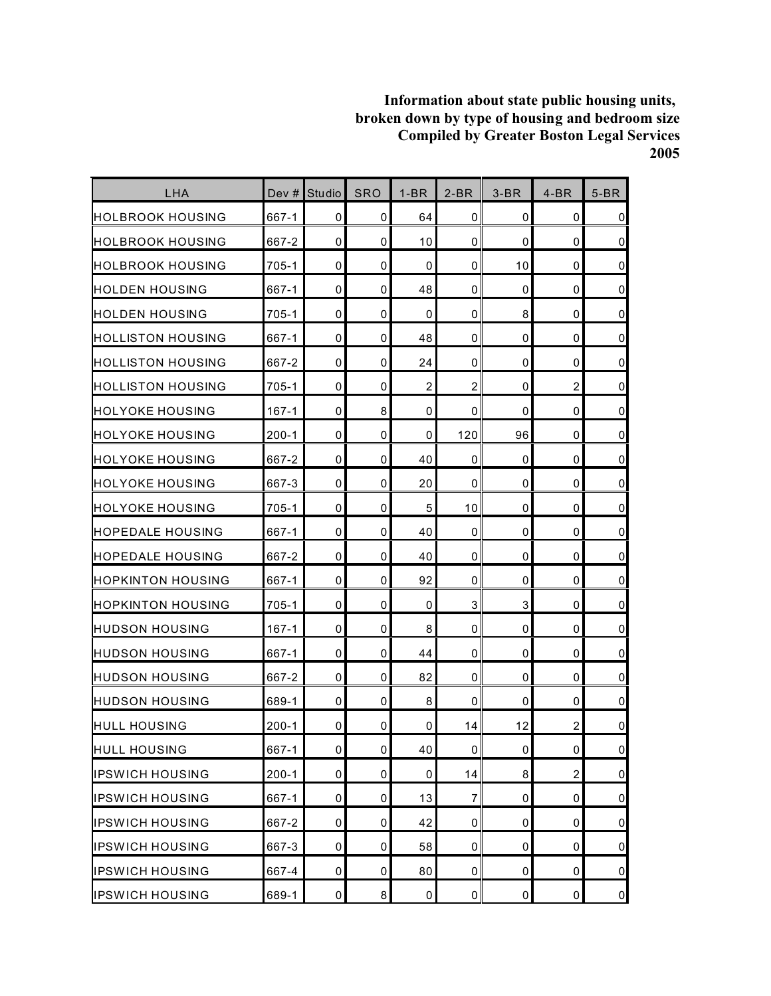| LHA                       | Dev #     | Studio | <b>SRO</b>          | $1-BR$         | $2-BR$         | $3-BR$ | $4-BR$         | $5-BR$              |
|---------------------------|-----------|--------|---------------------|----------------|----------------|--------|----------------|---------------------|
| HOLBROOK HOUSING          | 667-1     | 0      | 0                   | 64             | $\mathbf 0$    | 0      | 0              | $\pmb{0}$           |
| <b>I</b> HOLBROOK HOUSING | 667-2     | 0      | 0                   | 10             | $\mathbf 0$    | 0      | $\mathbf 0$    | $\overline{0}$      |
| HOLBROOK HOUSING          | 705-1     | 0      | 0                   | 0              | $\mathbf 0$    | 10     | $\mathbf 0$    | $\pmb{0}$           |
| <b>HOLDEN HOUSING</b>     | 667-1     | 0      | 0                   | 48             | $\mathbf 0$    | 0      | 0              | $\mathbf 0$         |
| <b>I</b> HOLDEN HOUSING   | 705-1     | 0      | 0                   | $\mathbf 0$    | $\mathbf 0$    | 8      | 0              | $\pmb{0}$           |
| <b>HOLLISTON HOUSING</b>  | 667-1     | 0      | 0                   | 48             | $\mathbf 0$    | 0      | 0              | $\pmb{0}$           |
| HOLLISTON HOUSING         | 667-2     | 0      | 0                   | 24             | $\mathbf 0$    | 0      | 0              | $\mathbf 0$         |
| HOLLISTON HOUSING         | 705-1     | 0      | 0                   | $\overline{c}$ | $\overline{2}$ | 0      | $\overline{2}$ | $\pmb{0}$           |
| <b>HOLYOKE HOUSING</b>    | $167 - 1$ | 0      | 8                   | 0              | 0              | 0      | 0              | $\mathbf 0$         |
| <b>HOLYOKE HOUSING</b>    | $200 - 1$ | 0      | 0                   | 0              | 120            | 96     | 0              | $\pmb{0}$           |
| IHOLYOKE HOUSING          | 667-2     | 0      | 0                   | 40             | $\mathbf 0$    | 0      | 0              | $\mathsf 0$         |
| HOLYOKE HOUSING           | 667-3     | 0      | 0                   | 20             | 0              | 0      | 0              | $\mathbf 0$         |
| <b>HOLYOKE HOUSING</b>    | 705-1     | 0      | 0                   | 5              | 10             | 0      | 0              | $\mathbf 0$         |
| <b>HOPEDALE HOUSING</b>   | 667-1     | 0      | 0                   | 40             | 0              | 0      | 0              | $\pmb{0}$           |
| <b>HOPEDALE HOUSING</b>   | 667-2     | 0      | 0                   | 40             | $\mathbf 0$    | 0      | $\mathbf 0$    | $\mathbf 0$         |
| <b>HOPKINTON HOUSING</b>  | 667-1     | 0      | 0                   | 92             | $\mathbf 0$    | 0      | 0              | $\pmb{0}$           |
| IHOPKINTON HOUSING        | 705-1     | 0      | 0                   | 0              | 3              | 3      | 0              | $\mathbf 0$         |
| <b>HUDSON HOUSING</b>     | $167 - 1$ | 0      | 0                   | 8              | $\mathbf 0$    | 0      | 0              | $\pmb{0}$           |
| <b>HUDSON HOUSING</b>     | 667-1     | 0      | 0                   | 44             | 0              | 0      | 0              | $\pmb{0}$           |
| IHUDSON HOUSING           | 667-2     | 0      | 0                   | 82             | $\mathbf 0$    | 0      | 0              | $\pmb{0}$           |
| <b>I</b> HUDSON HOUSING   | 689-1     | 0      | 0                   | 8              | $\mathbf 0$    | 0      | $\mathbf 0$    | $\mathsf 0$         |
| <b>HULL HOUSING</b>       | $200 - 1$ | 0      | 0                   | 0              | 14             | 12     | $\overline{c}$ | $\pmb{0}$           |
| <b>HULL HOUSING</b>       | 667-1     | 0      | $\mathsf{O}\xspace$ | 40             | $\pmb{0}$      | 0      | 0              | $\pmb{0}$           |
| <b>IPSWICH HOUSING</b>    | $200 - 1$ | 0      | 0                   | 0              | 14             | 8      | $\overline{c}$ | $\overline{0}$      |
| <b>IPSWICH HOUSING</b>    | 667-1     | 0      | 0                   | 13             | 7              | 0      | 0              | $\overline{0}$      |
| <b>IPSWICH HOUSING</b>    | 667-2     | 0      | 0                   | 42             | $\pmb{0}$      | 0      | 0              | $\overline{0}$      |
| <b>IPSWICH HOUSING</b>    | 667-3     | 0      | 0                   | 58             | 0              | 0      | 0              | $\mathsf{O}\xspace$ |
| <b>IPSWICH HOUSING</b>    | 667-4     | 0      | 0                   | 80             | 0              | 0      | 0              | $\overline{0}$      |
| <b>IPSWICH HOUSING</b>    | 689-1     | 0      | 8                   | 0              | 0              | 0      | 0              | $\overline{0}$      |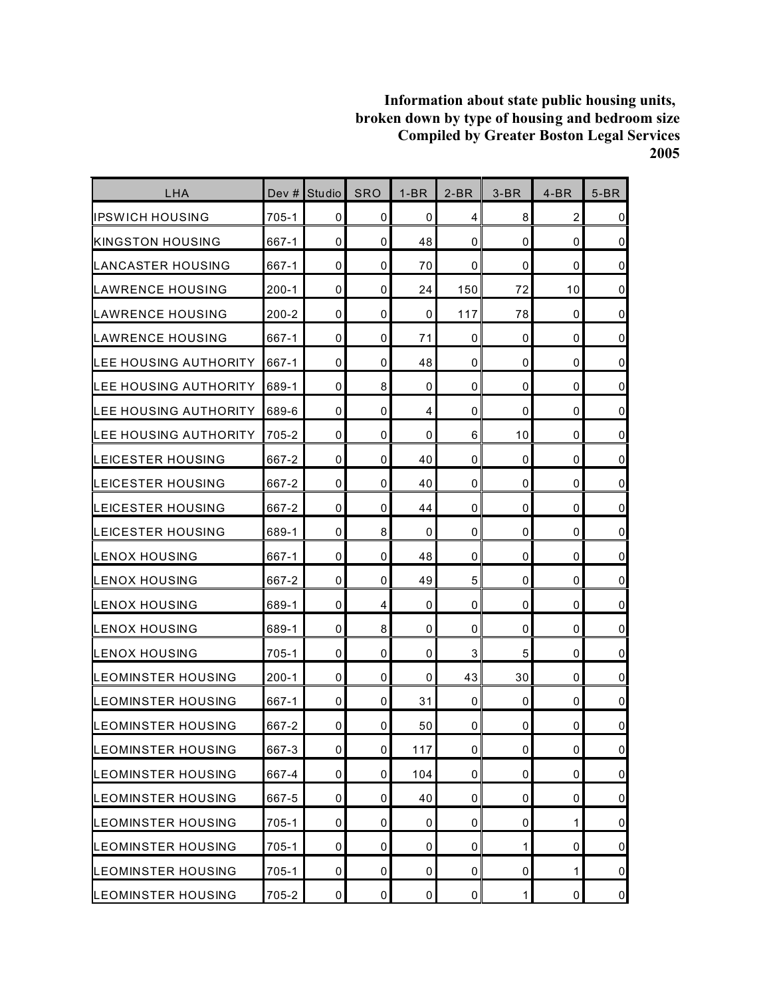| LHA                          | Dev #     | <b>Studio</b>       | <b>SRO</b> | $1-BR$      | $2-BR$      | $3-BR$      | $4-BR$         | $5-BR$         |
|------------------------------|-----------|---------------------|------------|-------------|-------------|-------------|----------------|----------------|
| liPSWICH HOUSING             | 705-1     | 0                   | 0          | 0           | 4           | 8           | $\overline{c}$ | $\mathbf 0$    |
| <b>KINGSTON HOUSING</b>      | 667-1     | $\mathbf 0$         | 0          | 48          | $\mathbf 0$ | 0           | $\mathbf 0$    | $\pmb{0}$      |
| ILANCASTER HOUSING           | 667-1     | 0                   | 0          | 70          | $\Omega$    | 0           | 0              | $\mathbf 0$    |
| ILAWRENCE HOUSING            | $200 - 1$ | $\mathbf 0$         | 0          | 24          | 150         | 72          | 10             | $\pmb{0}$      |
| LAWRENCE HOUSING             | $200 - 2$ | 0                   | 0          | 0           | 117         | 78          | 0              | $\pmb{0}$      |
| LAWRENCE HOUSING             | 667-1     | 0                   | 0          | 71          | 0           | 0           | 0              | $\mathsf 0$    |
| LEE HOUSING AUTHORITY        | 667-1     | $\mathbf 0$         | 0          | 48          | $\mathbf 0$ | 0           | $\mathbf 0$    | $\overline{0}$ |
| LEE HOUSING AUTHORITY        | 689-1     | $\mathbf 0$         | 8          | 0           | 0           | 0           | $\mathbf 0$    | $\pmb{0}$      |
| <b>LEE HOUSING AUTHORITY</b> | 689-6     | $\mathbf 0$         | 0          | 4           | $\mathbf 0$ | 0           | 0              | $\pmb{0}$      |
| LEE HOUSING AUTHORITY        | 705-2     | $\mathbf 0$         | 0          | $\mathbf 0$ | 6           | 10          | 0              | $\pmb{0}$      |
| <b>LEICESTER HOUSING</b>     | 667-2     | 0                   | 0          | 40          | 0           | 0           | 0              | $\mathsf 0$    |
| <b>LEICESTER HOUSING</b>     | 667-2     | 0                   | 0          | 40          | 0           | 0           | 0              | $\pmb{0}$      |
| LEICESTER HOUSING            | 667-2     | $\mathbf 0$         | 0          | 44          | $\mathbf 0$ | 0           | $\mathbf 0$    | $\pmb{0}$      |
| LEICESTER HOUSING            | 689-1     | 0                   | 8          | 0           | 0           | 0           | 0              | $\mathbf 0$    |
| ILENOX HOUSING               | 667-1     | 0                   | 0          | 48          | 0           | 0           | 0              | $\mathbf 0$    |
| LENOX HOUSING                | 667-2     | $\mathbf 0$         | 0          | 49          | 5           | 0           | 0              | $\mathsf 0$    |
| LENOX HOUSING                | 689-1     | 0                   | 4          | 0           | 0           | 0           | 0              | $\pmb{0}$      |
| LENOX HOUSING                | 689-1     | $\mathbf 0$         | 8          | 0           | 0           | 0           | 0              | $\pmb{0}$      |
| LENOX HOUSING                | 705-1     | 0                   | 0          | 0           | 3           | 5           | 0              | $\pmb{0}$      |
| <b>I</b> LEOMINSTER HOUSING  | $200 - 1$ | $\mathbf 0$         | 0          | 0           | 43          | 30          | 0              | $\pmb{0}$      |
| <b>LEOMINSTER HOUSING</b>    | 667-1     | $\mathbf 0$         | 0          | 31          | $\mathbf 0$ | 0           | $\mathbf 0$    | $\mathsf 0$    |
| <b>I</b> LEOMINSTER HOUSING  | 667-2     | 0                   | 0          | 50          | 0           | 0           | 0              | $\pmb{0}$      |
| LEOMINSTER HOUSING           | 667-3     | $\mathsf{O}\xspace$ | 0          | 117         | $\pmb{0}$   | 0           | $\pmb{0}$      | $\mathbf 0$    |
| <b>LEOMINSTER HOUSING</b>    | 667-4     | 0                   | 0          | 104         | 0           | 0           | 0              | $\overline{0}$ |
| <b>LEOMINSTER HOUSING</b>    | 667-5     | 0                   | 0          | 40          | 0           | 0           | 0              | $\overline{0}$ |
| <b>LEOMINSTER HOUSING</b>    | $705 - 1$ | $\mathbf 0$         | 0          | $\pmb{0}$   | $\mathbf 0$ | 0           | 1              | $\overline{0}$ |
| <b>LEOMINSTER HOUSING</b>    | $705 - 1$ | 0                   | 0          | 0           | $\mathbf 0$ | 1           | 0              | $\overline{0}$ |
| <b>LEOMINSTER HOUSING</b>    | 705-1     | 0                   | 0          | 0           | 0           | 0           | 1              | $\overline{0}$ |
| LEOMINSTER HOUSING           | 705-2     | $\mathbf 0$         | $\pmb{0}$  | $\pmb{0}$   | $\mathbf 0$ | $\mathbf 1$ | $\pmb{0}$      | $\overline{0}$ |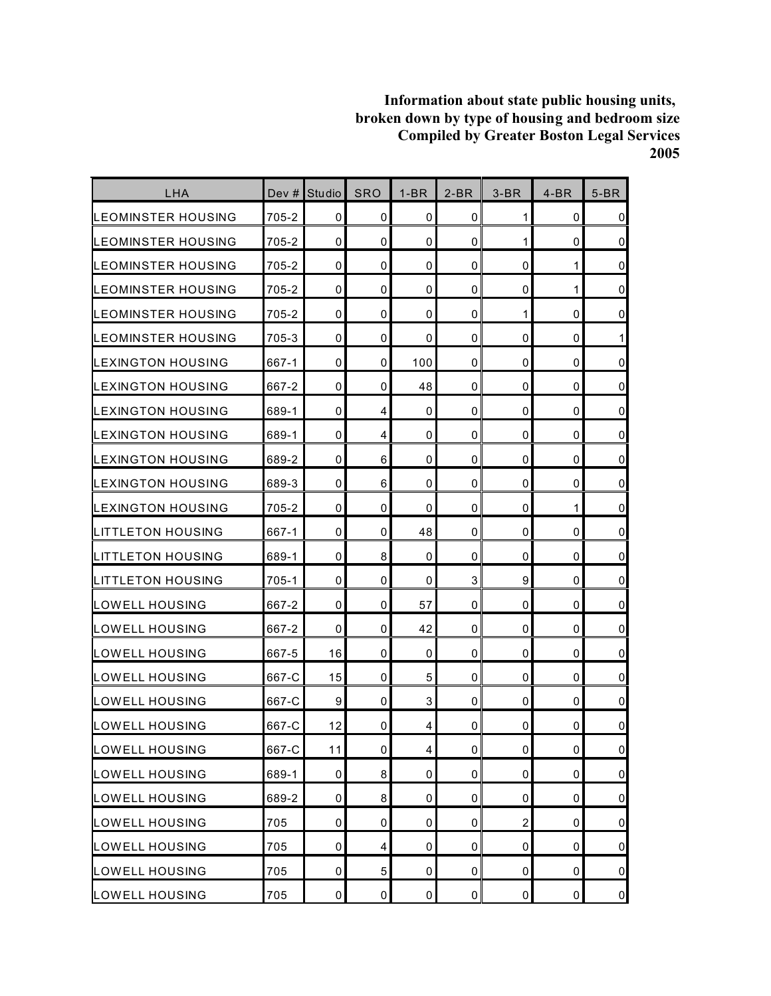| LHA                       | Dev $#$ | <b>Studio</b> | <b>SRO</b>     | $1-BR$         | $2-BR$              | $3-BR$         | $4-BR$      | $5-BR$              |
|---------------------------|---------|---------------|----------------|----------------|---------------------|----------------|-------------|---------------------|
| LEOMINSTER HOUSING        | 705-2   | 0             | 0              | 0              | $\mathbf 0$         | 1              | 0           | $\mathbf 0$         |
| <b>LEOMINSTER HOUSING</b> | 705-2   | $\mathbf 0$   | 0              | 0              | 0                   | 1              | $\mathbf 0$ | $\pmb{0}$           |
| ILEOMINSTER HOUSING       | 705-2   | 0             | 0              | $\mathbf 0$    | 0                   | 0              | 1           | $\mathbf 0$         |
| LEOMINSTER HOUSING        | 705-2   | 0             | 0              | 0              | 0                   | 0              | 1           | $\pmb{0}$           |
| ILEOMINSTER HOUSING       | 705-2   | 0             | 0              | $\mathbf 0$    | 0                   | 1              | 0           | $\mathsf 0$         |
| LEOMINSTER HOUSING        | 705-3   | 0             | 0              | 0              | 0                   | 0              | 0           | $\mathbf{1}$        |
| LEXINGTON HOUSING         | 667-1   | $\mathbf 0$   | 0              | 100            | $\mathbf 0$         | 0              | $\mathbf 0$ | $\mathsf 0$         |
| LEXINGTON HOUSING         | 667-2   | 0             | 0              | 48             | 0                   | 0              | $\mathbf 0$ | $\pmb{0}$           |
| LEXINGTON HOUSING         | 689-1   | 0             | 4              | 0              | 0                   | 0              | 0           | $\pmb{0}$           |
| LEXINGTON HOUSING         | 689-1   | $\mathbf 0$   | 4              | $\mathbf 0$    | 0                   | 0              | 0           | $\pmb{0}$           |
| <b>LEXINGTON HOUSING</b>  | 689-2   | 0             | 6              | 0              | 0                   | 0              | 0           | $\mathsf 0$         |
| LEXINGTON HOUSING         | 689-3   | 0             | 6              | 0              | 0                   | 0              | 0           | $\pmb{0}$           |
| <b>LEXINGTON HOUSING</b>  | 705-2   | $\mathbf 0$   | 0              | 0              | 0                   | 0              | 1           | $\mathsf 0$         |
| <b>LITTLETON HOUSING</b>  | 667-1   | 0             | 0              | 48             | 0                   | 0              | 0           | $\mathbf 0$         |
| ILITTLETON HOUSING        | 689-1   | 0             | 8              | $\mathbf 0$    | 0                   | 0              | 0           | $\mathbf 0$         |
| LITTLETON HOUSING         | 705-1   | 0             | 0              | 0              | 3                   | 9              | 0           | $\mathbf 0$         |
| <b>LOWELL HOUSING</b>     | 667-2   | $\mathbf 0$   | 0              | 57             | 0                   | 0              | 0           | $\pmb{0}$           |
| LOWELL HOUSING            | 667-2   | $\mathbf 0$   | 0              | 42             | 0                   | 0              | 0           | $\mathsf{O}\xspace$ |
| LOWELL HOUSING            | 667-5   | 16            | 0              | 0              | 0                   | 0              | 0           | $\pmb{0}$           |
| LOWELL HOUSING            | 667-C   | 15            | 0              | 5              | 0                   | 0              | 0           | $\mathbf 0$         |
| LOWELL HOUSING            | 667-C   | 9             | 0              | 3              | 0                   | 0              | 0           | $\mathsf 0$         |
| LOWELL HOUSING            | 667-C   | 12            | 0              | 4              | 0                   | 0              | 0           | $\pmb{0}$           |
| LOWELL HOUSING            | 667-C   | 11            | $\overline{0}$ | $\overline{a}$ | $\mathsf{O}\xspace$ | 0              | $\pmb{0}$   | $\mathbf 0$         |
| <b>LOWELL HOUSING</b>     | 689-1   | $\pmb{0}$     | 8              | 0              | 0                   | 0              | $\mathbf 0$ | $\overline{0}$      |
| LOWELL HOUSING            | 689-2   | 0             | 8              | 0              | 0                   | 0              | 0           | $\overline{0}$      |
| <b>LOWELL HOUSING</b>     | 705     | $\mathbf 0$   | 0              | 0              | $\mathbf 0$         | $\overline{2}$ | $\pmb{0}$   | $\overline{0}$      |
| LOWELL HOUSING            | 705     | 0             | 4              | 0              | 0                   | 0              | $\pmb{0}$   | $\pmb{0}$           |
| <b>LOWELL HOUSING</b>     | 705     | 0             | 5              | 0              | 0                   | 0              | 0           | $\overline{0}$      |
| <b>LOWELL HOUSING</b>     | 705     | $\pmb{0}$     | $\pmb{0}$      | $\pmb{0}$      | $\pmb{0}$           | 0              | $\pmb{0}$   | $\overline{0}$      |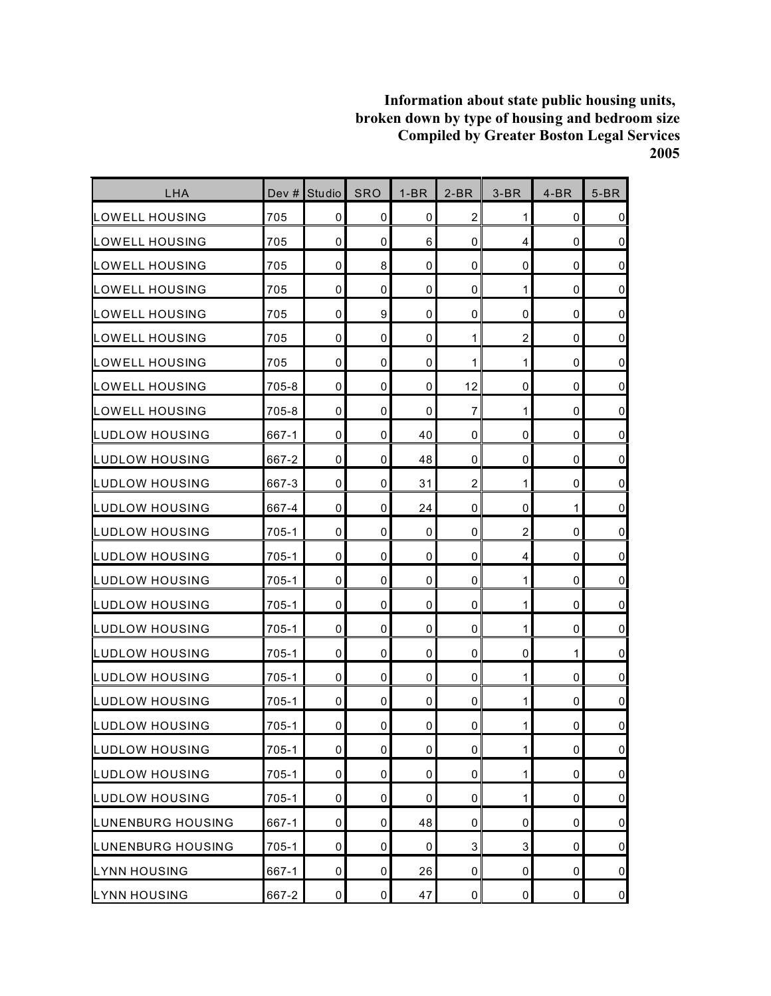| LHA                   | Dev #     | Studio      | <b>SRO</b>       | $1-BR$      | $2-BR$         | $3-BR$         | $4-BR$      | $5-BR$         |
|-----------------------|-----------|-------------|------------------|-------------|----------------|----------------|-------------|----------------|
| LOWELL HOUSING        | 705       | 0           | 0                | 0           | $\overline{2}$ | 1              | 0           | $\overline{0}$ |
| LOWELL HOUSING        | 705       | $\mathbf 0$ | 0                | 6           | $\mathbf 0$    | 4              | 0           | $\overline{0}$ |
| LOWELL HOUSING        | 705       | 0           | 8                | $\mathbf 0$ | $\mathbf 0$    | 0              | $\mathbf 0$ | $\overline{0}$ |
| LOWELL HOUSING        | 705       | 0           | 0                | 0           | $\mathbf 0$    | 1              | 0           | $\overline{0}$ |
| LOWELL HOUSING        | 705       | $\mathbf 0$ | $\boldsymbol{9}$ | $\mathbf 0$ | 0              | 0              | 0           | $\overline{0}$ |
| <b>LOWELL HOUSING</b> | 705       | $\mathbf 0$ | 0                | 0           | 1              | $\overline{c}$ | 0           | $\overline{0}$ |
| <b>LOWELL HOUSING</b> | 705       | $\mathbf 0$ | $\mathbf 0$      | 0           | 1              | 1              | 0           | $\overline{0}$ |
| LOWELL HOUSING        | 705-8     | 0           | 0                | $\mathbf 0$ | 12             | $\mathbf 0$    | $\mathbf 0$ | $\overline{0}$ |
| LOWELL HOUSING        | 705-8     | $\mathbf 0$ | 0                | 0           | 7              | 1              | 0           | $\overline{0}$ |
| LUDLOW HOUSING        | 667-1     | $\mathbf 0$ | 0                | 40          | $\mathbf 0$    | 0              | 0           | $\overline{0}$ |
| LUDLOW HOUSING        | 667-2     | 0           | 0                | 48          | 0              | 0              | 0           | $\overline{0}$ |
| LUDLOW HOUSING        | 667-3     | 0           | 0                | 31          | $\overline{c}$ | 1              | 0           | $\overline{0}$ |
| LUDLOW HOUSING        | 667-4     | $\mathbf 0$ | 0                | 24          | $\pmb{0}$      | $\mathbf 0$    | 1           | $\overline{0}$ |
| LUDLOW HOUSING        | 705-1     | 0           | 0                | 0           | 0              | $\overline{c}$ | 0           | $\overline{0}$ |
| LUDLOW HOUSING        | 705-1     | $\mathbf 0$ | $\mathbf 0$      | $\mathbf 0$ | 0              | 4              | 0           | $\overline{0}$ |
| ILUDLOW HOUSING       | 705-1     | 0           | 0                | 0           | $\pmb{0}$      | 1              | 0           | $\overline{0}$ |
| LUDLOW HOUSING        | 705-1     | $\mathbf 0$ | 0                | 0           | $\mathbf 0$    | 1              | 0           | $\overline{0}$ |
| LUDLOW HOUSING        | 705-1     | 0           | 0                | 0           | $\mathbf 0$    | $\mathbf{1}$   | 0           | $\overline{0}$ |
| LUDLOW HOUSING        | 705-1     | 0           | 0                | 0           | 0              | 0              | 1           | $\overline{0}$ |
| LUDLOW HOUSING        | 705-1     | 0           | 0                | 0           | $\mathbf 0$    | $\mathbf 1$    | 0           | $\overline{0}$ |
| LUDLOW HOUSING        | $705 - 1$ | $\mathbf 0$ | 0                | 0           | $\mathbf 0$    | $\mathbf 1$    | 0           | $\overline{0}$ |
| LUDLOW HOUSING        | 705-1     | 0           | 0                | 0           | 0              | 1              | 0           | $\overline{0}$ |
| LUDLOW HOUSING        | $705 - 1$ | $\pmb{0}$   | $\pmb{0}$        | $\pmb{0}$   | $\pmb{0}$      | $\mathbf{1}$   | $\pmb{0}$   | $\overline{0}$ |
| LUDLOW HOUSING        | $705 - 1$ | $\pmb{0}$   | 0                | 0           | 0              | $\mathbf{1}$   | 0           | $\overline{0}$ |
| LUDLOW HOUSING        | 705-1     | 0           | 0                | 0           | 0              | $\mathbf 1$    | 0           | $\overline{0}$ |
| LUNENBURG HOUSING     | 667-1     | 0           | 0                | 48          | $\pmb{0}$      | 0              | 0           | $\overline{0}$ |
| LUNENBURG HOUSING     | $705 - 1$ | $\pmb{0}$   | 0                | $\pmb{0}$   | $\mathbf{3}$   | 3              | 0           | $\overline{0}$ |
| <b>LYNN HOUSING</b>   | 667-1     | 0           | 0                | 26          | 0              | 0              | 0           | $\overline{0}$ |
| <b>LYNN HOUSING</b>   | 667-2     | $\pmb{0}$   | $\pmb{0}$        | 47          | $\mathbf 0$    | 0              | $\pmb{0}$   | $\overline{0}$ |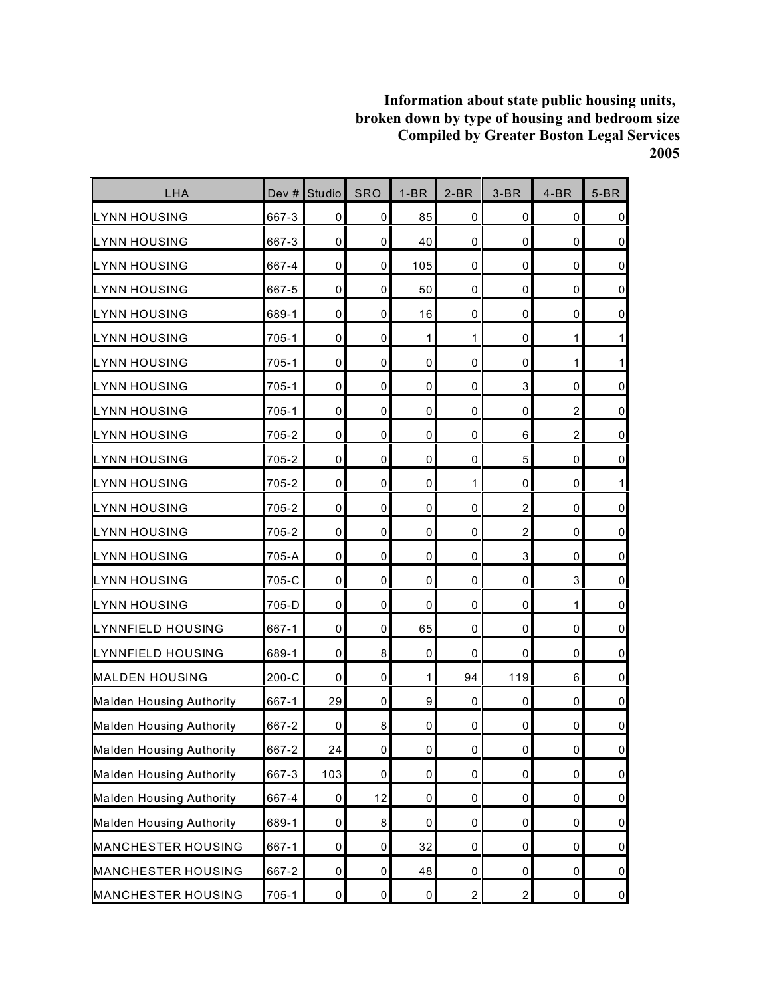| LHA                             | Dev #     | Studio      | SRO                 | $1-BR$           | $2-BR$         | $3-BR$           | $4-BR$         | $5-BR$              |
|---------------------------------|-----------|-------------|---------------------|------------------|----------------|------------------|----------------|---------------------|
| <b>LYNN HOUSING</b>             | 667-3     | 0           | $\overline{0}$      | 85               | 0              | 0                | 0              | $\pmb{0}$           |
| <b>LYNN HOUSING</b>             | 667-3     | $\mathbf 0$ | $\mathbf 0$         | 40               | 0              | 0                | 0              | $\overline{0}$      |
| <b>LYNN HOUSING</b>             | 667-4     | 0           | $\mathbf 0$         | 105              | $\pmb{0}$      | $\mathbf 0$      | $\pmb{0}$      | $\pmb{0}$           |
| <b>LYNN HOUSING</b>             | 667-5     | 0           | 0                   | 50               | 0              | 0                | 0              | $\pmb{0}$           |
| LYNN HOUSING                    | 689-1     | 0           | 0                   | 16               | 0              | 0                | 0              | $\mathsf{O}\xspace$ |
| <b>LYNN HOUSING</b>             | 705-1     | 0           | 0                   | 1                | 1              | 0                | 1              | $\mathbf 1$         |
| <b>LYNN HOUSING</b>             | 705-1     | 0           | 0                   | 0                | $\pmb{0}$      | $\mathbf 0$      | 1              | 1                   |
| <b>LYNN HOUSING</b>             | 705-1     | 0           | 0                   | 0                | $\mathbf 0$    | 3                | $\mathbf 0$    | $\mathsf{O}\xspace$ |
| <b>LYNN HOUSING</b>             | 705-1     | 0           | 0                   | 0                | 0              | 0                | 2              | $\overline{0}$      |
| <b>LYNN HOUSING</b>             | 705-2     | $\mathbf 0$ | $\mathbf 0$         | 0                | 0              | 6                | $\overline{c}$ | $\mathsf{O}\xspace$ |
| <b>LYNN HOUSING</b>             | 705-2     | 0           | 0                   | 0                | 0              | 5                | 0              | $\mathsf{O}\xspace$ |
| <b>LYNN HOUSING</b>             | 705-2     | 0           | 0                   | 0                | 1              | $\mathbf 0$      | $\mathbf 0$    | $\mathbf{1}$        |
| <b>LYNN HOUSING</b>             | 705-2     | 0           | 0                   | 0                | $\pmb{0}$      | $\overline{c}$   | 0              | $\mathbf 0$         |
| <b>LYNN HOUSING</b>             | 705-2     | 0           | 0                   | 0                | 0              | $\overline{2}$   | 0              | $\mathbf 0$         |
| <b>LYNN HOUSING</b>             | 705-A     | $\mathbf 0$ | $\mathbf 0$         | 0                | 0              | 3                | 0              | $\mathsf 0$         |
| <b>LYNN HOUSING</b>             | 705-C     | 0           | 0                   | 0                | 0              | $\mathbf 0$      | 3              | $\overline{0}$      |
| <b>LYNN HOUSING</b>             | 705-D     | 0           | 0                   | 0                | $\mathbf 0$    | 0                | 1              | $\pmb{0}$           |
| LYNNFIELD HOUSING               | 667-1     | $\mathbf 0$ | $\mathbf 0$         | 65               | 0              | 0                | 0              | $\mathsf{O}\xspace$ |
| LYNNFIELD HOUSING               | 689-1     | 0           | 8                   | 0                | 0              | 0                | 0              | $\pmb{0}$           |
| <b>MALDEN HOUSING</b>           | 200-C     | 0           | 0                   | 1                | 94             | 119              | 6              | $\mathsf{O}\xspace$ |
| Malden Housing Authority        | 667-1     | 29          | $\mathbf 0$         | $\boldsymbol{9}$ | $\pmb{0}$      | 0                | 0              | $\overline{0}$      |
| Malden Housing Authority        | 667-2     | 0           | 8                   | 0                | 0              | 0                | 0              | $\mathbf 0$         |
| <b>Malden Housing Authority</b> | 667-2     | 24          | $\mathsf{O}\xspace$ | $\mathsf 0$      | $\mathsf 0$    | $\pmb{0}$        | $\mathsf 0$    | $\mathsf{O}\xspace$ |
| Malden Housing Authority        | 667-3     | 103         | 0                   | $\pmb{0}$        | 0              | $\pmb{0}$        | 0              | $\overline{0}$      |
| Malden Housing Authority        | 667-4     | 0           | 12                  | 0                | $\pmb{0}$      | 0                | 0              | $\overline{0}$      |
| <b>Malden Housing Authority</b> | 689-1     | $\pmb{0}$   | $\bf 8$             | $\pmb{0}$        | 0              | $\pmb{0}$        | 0              | $\overline{0}$      |
| MANCHESTER HOUSING              | 667-1     | 0           | 0                   | 32               | 0              | 0                | 0              | $\mathsf{O}\xspace$ |
| <b>MANCHESTER HOUSING</b>       | 667-2     | $\pmb{0}$   | 0                   | 48               | 0              | $\pmb{0}$        | $\pmb{0}$      | $\overline{0}$      |
| MANCHESTER HOUSING              | $705 - 1$ | $\pmb{0}$   | $\pmb{0}$           | 0                | $\overline{a}$ | $\boldsymbol{2}$ | 0              | $\overline{0}$      |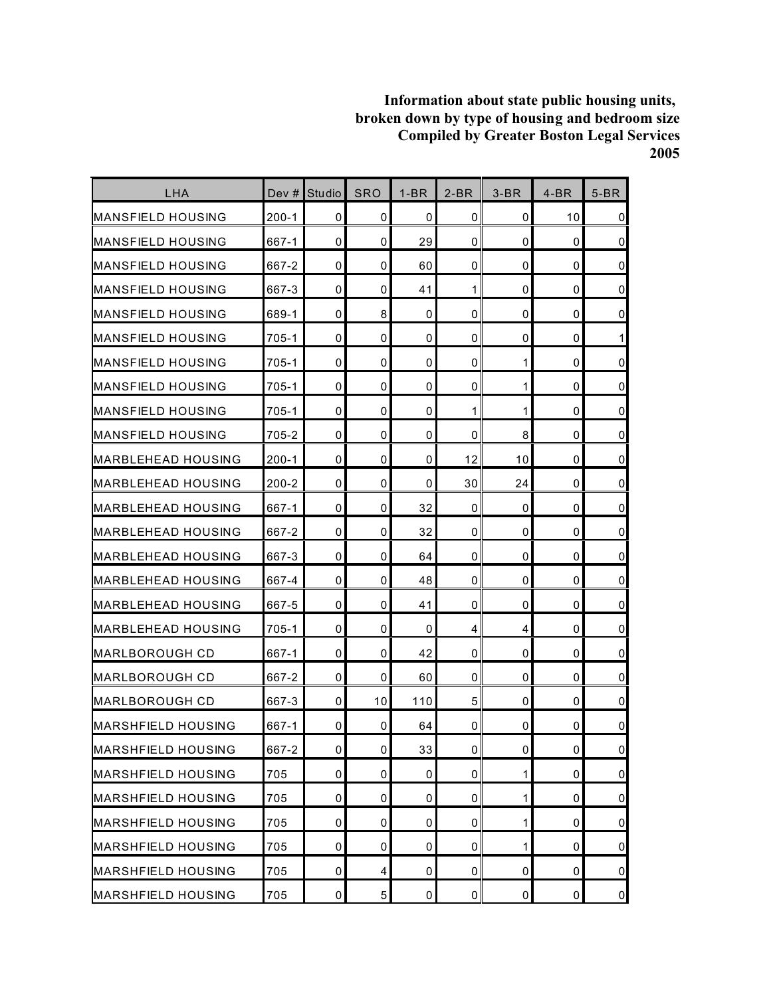| <b>LHA</b>                 | Dev #     | Studio      | <b>SRO</b> | $1-BR$    | $2-BR$      | $3-BR$       | $4-BR$      | $5-BR$         |
|----------------------------|-----------|-------------|------------|-----------|-------------|--------------|-------------|----------------|
| MANSFIELD HOUSING          | $200 - 1$ | 0           | 0          | 0         | $\mathbf 0$ | 0            | 10          | $\mathbf 0$    |
| <b>MANSFIELD HOUSING</b>   | 667-1     | $\mathbf 0$ | 0          | 29        | $\mathbf 0$ | 0            | $\mathbf 0$ | $\pmb{0}$      |
| <b>I</b> MANSFIELD HOUSING | 667-2     | 0           | 0          | 60        | $\mathbf 0$ | 0            | $\mathbf 0$ | $\pmb{0}$      |
| <b>MANSFIELD HOUSING</b>   | 667-3     | 0           | 0          | 41        | 1           | 0            | 0           | $\mathbf 0$    |
| IMANSFIELD HOUSING         | 689-1     | 0           | 8          | 0         | 0           | 0            | 0           | $\pmb{0}$      |
| IMANSFIELD HOUSING         | 705-1     | 0           | 0          | 0         | 0           | 0            | 0           | 1              |
| IMANSFIELD HOUSING         | 705-1     | 0           | 0          | 0         | 0           | 1            | 0           | $\mathbf 0$    |
| MANSFIELD HOUSING          | 705-1     | $\mathbf 0$ | 0          | 0         | $\mathbf 0$ | 1            | $\mathbf 0$ | $\pmb{0}$      |
| IMANSFIELD HOUSING         | $705 - 1$ | 0           | 0          | 0         | 1           | 1            | 0           | $\mathbf 0$    |
| <b>I</b> MANSFIELD HOUSING | 705-2     | 0           | 0          | 0         | 0           | 8            | 0           | $\mathbf 0$    |
| IMARBLEHEAD HOUSING        | $200 - 1$ | 0           | 0          | 0         | 12          | 10           | 0           | $\mathbf 0$    |
| IMARBLEHEAD HOUSING        | 200-2     | 0           | 0          | 0         | 30          | 24           | 0           | $\mathbf 0$    |
| MARBLEHEAD HOUSING         | 667-1     | 0           | 0          | 32        | $\mathbf 0$ | 0            | 0           | $\mathbf 0$    |
| <b>MARBLEHEAD HOUSING</b>  | 667-2     | 0           | 0          | 32        | 0           | 0            | 0           | $\mathbf 0$    |
| <b>MARBLEHEAD HOUSING</b>  | 667-3     | $\mathbf 0$ | 0          | 64        | 0           | 0            | 0           | $\mathbf 0$    |
| <b>MARBLEHEAD HOUSING</b>  | 667-4     | $\mathbf 0$ | 0          | 48        | $\mathbf 0$ | 0            | 0           | $\pmb{0}$      |
| IMARBLEHEAD HOUSING        | 667-5     | 0           | 0          | 41        | 0           | 0            | 0           | $\mathbf 0$    |
| IMARBLEHEAD HOUSING        | 705-1     | $\mathbf 0$ | 0          | 0         | 4           | 4            | 0           | $\pmb{0}$      |
| <b>MARLBOROUGH CD</b>      | 667-1     | 0           | 0          | 42        | 0           | 0            | 0           | $\mathbf 0$    |
| MARLBOROUGH CD             | 667-2     | 0           | 0          | 60        | 0           | 0            | 0           | $\mathbf 0$    |
| MARLBOROUGH CD             | 667-3     | $\mathbf 0$ | 10         | 110       | 5           | 0            | $\mathbf 0$ | $\mathsf 0$    |
| MARSHFIELD HOUSING         | 667-1     | 0           | 0          | 64        | 0           | 0            | 0           | 0              |
| <b>MARSHFIELD HOUSING</b>  | 667-2     | $\mathbf 0$ | $\pmb{0}$  | 33        | $\pmb{0}$   | 0            | $\pmb{0}$   | $\mathbf 0$    |
| <b>MARSHFIELD HOUSING</b>  | 705       | 0           | 0          | 0         | $\mathbf 0$ | 1            | 0           | $\overline{0}$ |
| <b>MARSHFIELD HOUSING</b>  | 705       | 0           | 0          | 0         | 0           | $\mathbf{1}$ | 0           | $\overline{0}$ |
| <b>MARSHFIELD HOUSING</b>  | 705       | $\mathbf 0$ | 0          | 0         | $\mathbf 0$ | 1            | 0           | $\overline{0}$ |
| <b>MARSHFIELD HOUSING</b>  | 705       | $\mathbf 0$ | 0          | 0         | $\mathbf 0$ | 1            | 0           | $\pmb{0}$      |
| <b>MARSHFIELD HOUSING</b>  | 705       | 0           | 4          | 0         | 0           | 0            | 0           | $\overline{0}$ |
| <b>MARSHFIELD HOUSING</b>  | 705       | $\mathbf 0$ | 5          | $\pmb{0}$ | $\mathbf 0$ | 0            | 0           | $\overline{0}$ |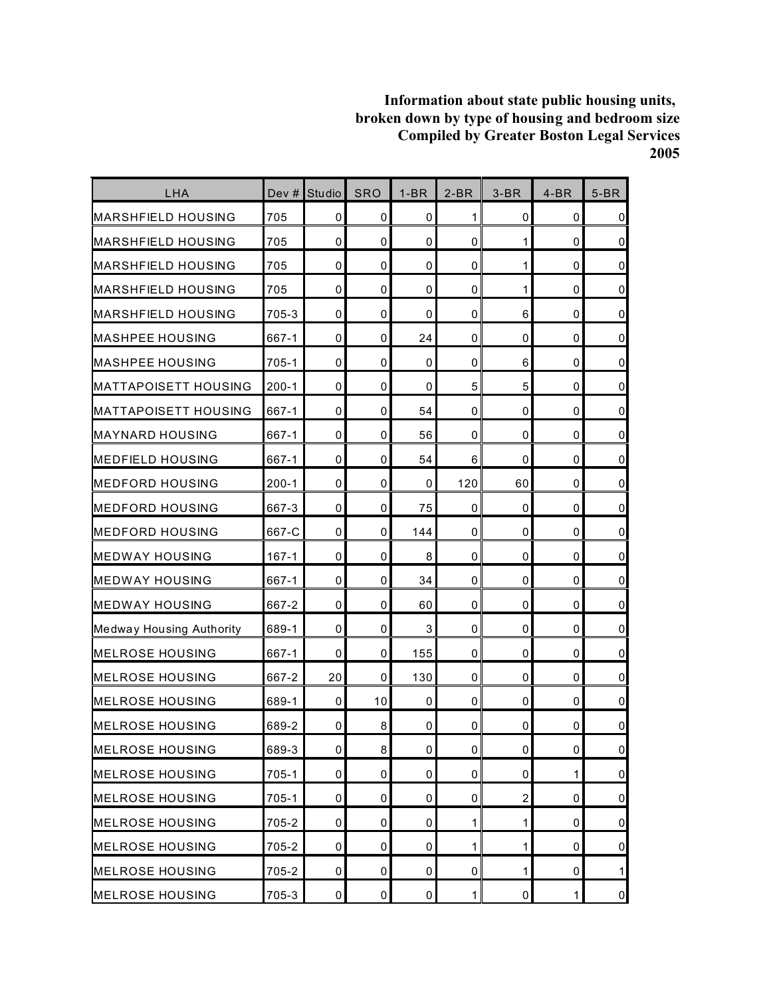| LHA                             | Dev $#$   | Studio         | <b>SRO</b>  | $1-BR$ | $2-BR$      | $3-BR$                  | $4-BR$      | $5-BR$         |
|---------------------------------|-----------|----------------|-------------|--------|-------------|-------------------------|-------------|----------------|
| <b>MARSHFIELD HOUSING</b>       | 705       | 0              | 0           | 0      | 1           | 0                       | 0           | $\overline{0}$ |
| <b>I</b> MARSHFIELD HOUSING     | 705       | 0              | 0           | 0      | $\mathbf 0$ | 1                       | 0           | $\overline{0}$ |
| MARSHFIELD HOUSING              | 705       | 0              | 0           | 0      | 0           | 1                       | $\mathbf 0$ | $\overline{0}$ |
| <b>MARSHFIELD HOUSING</b>       | 705       | 0              | 0           | 0      | 0           | 1                       | 0           | $\overline{0}$ |
| <b>I</b> MARSHFIELD HOUSING     | 705-3     | $\mathbf 0$    | $\mathbf 0$ | 0      | 0           | 6                       | 0           | $\overline{0}$ |
| <b>MASHPEE HOUSING</b>          | 667-1     | 0              | 0           | 24     | 0           | 0                       | 0           | $\overline{0}$ |
| <b>MASHPEE HOUSING</b>          | 705-1     | $\mathbf 0$    | 0           | 0      | $\mathbf 0$ | 6                       | 0           | $\overline{0}$ |
| IMATTAPOISETT HOUSING           | $200 - 1$ | $\mathbf{0}$   | 0           | 0      | 5           | 5                       | $\mathbf 0$ | $\overline{0}$ |
| <b>MATTAPOISETT HOUSING</b>     | 667-1     | 0              | 0           | 54     | 0           | 0                       | 0           | $\overline{0}$ |
| <b>MAYNARD HOUSING</b>          | 667-1     | $\mathbf 0$    | $\mathbf 0$ | 56     | 0           | 0                       | 0           | $\overline{0}$ |
| <b>MEDFIELD HOUSING</b>         | 667-1     | 0              | 0           | 54     | 6           | 0                       | 0           | $\overline{0}$ |
| <b>MEDFORD HOUSING</b>          | $200 - 1$ | $\mathbf 0$    | 0           | 0      | 120         | 60                      | 0           | $\overline{0}$ |
| <b>MEDFORD HOUSING</b>          | 667-3     | $\mathbf{0}$   | 0           | 75     | $\mathbf 0$ | 0                       | $\mathbf 0$ | $\overline{0}$ |
| <b>MEDFORD HOUSING</b>          | 667-C     | 0              | 0           | 144    | 0           | 0                       | 0           | $\overline{0}$ |
| <b>MEDWAY HOUSING</b>           | $167 - 1$ | $\mathbf 0$    | $\mathbf 0$ | 8      | $\mathbf 0$ | 0                       | 0           | $\overline{0}$ |
| <b>IMEDWAY HOUSING</b>          | 667-1     | 0              | 0           | 34     | 0           | 0                       | 0           | $\overline{0}$ |
| <b>MEDWAY HOUSING</b>           | 667-2     | $\mathbf 0$    | 0           | 60     | 0           | 0                       | $\mathbf 0$ | $\overline{0}$ |
| <b>Medway Housing Authority</b> | 689-1     | $\mathbf 0$    | 0           | 3      | $\mathbf 0$ | 0                       | $\mathbf 0$ | $\overline{0}$ |
| <b>MELROSE HOUSING</b>          | 667-1     | $\mathbf 0$    | 0           | 155    | 0           | 0                       | 0           | $\overline{0}$ |
| <b>MELROSE HOUSING</b>          | 667-2     | 20             | 0           | 130    | 0           | 0                       | 0           | $\overline{0}$ |
| <b>MELROSE HOUSING</b>          | 689-1     | $\mathbf 0$    | 10          | 0      | $\mathbf 0$ | 0                       | $\mathbf 0$ | $\overline{0}$ |
| <b>MELROSE HOUSING</b>          | 689-2     | 0              | 8           | 0      | 0           | 0                       | 0           | $\overline{0}$ |
| <b>MELROSE HOUSING</b>          | 689-3     | $\mathbf 0$    | 8           | 0      | $\mathbf 0$ | 0                       | 0           | $\overline{0}$ |
| <b>MELROSE HOUSING</b>          | $705 - 1$ | 0              | 0           | 0      | 0           | 0                       | 1           | $\overline{0}$ |
| <b>MELROSE HOUSING</b>          | 705-1     | 0              | 0           | 0      | 0           | $\overline{\mathbf{c}}$ | 0           | $\overline{0}$ |
| <b>MELROSE HOUSING</b>          | 705-2     | $\mathbf 0$    | 0           | 0      | 1           | $\mathbf{1}$            | 0           | $\overline{0}$ |
| <b>MELROSE HOUSING</b>          | 705-2     | $\overline{0}$ | 0           | 0      | 1           | 1                       | 0           | $\overline{0}$ |
| <b>MELROSE HOUSING</b>          | 705-2     | $\overline{0}$ | 0           | 0      | 0           | $\mathbf{1}$            | 0           | $\mathbf{1}$   |
| <b>MELROSE HOUSING</b>          | 705-3     | $\mathbf 0$    | 0           | 0      | 1           | 0                       | 1           | $\overline{0}$ |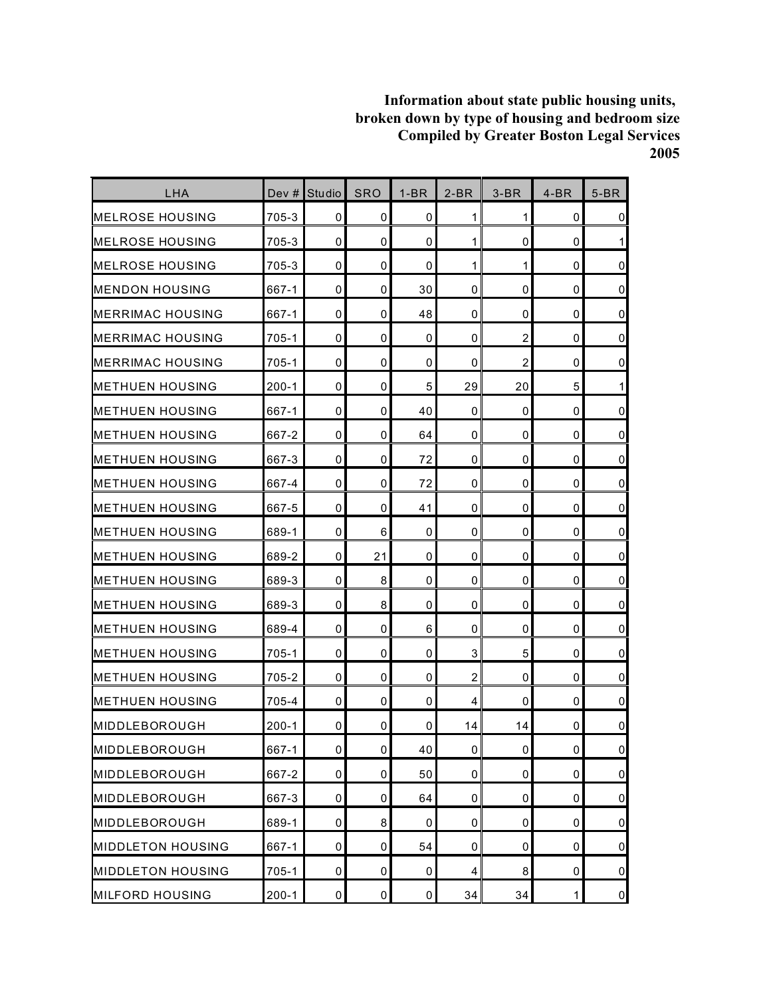| LHA                      | Dev $#$   | Studio    | <b>SRO</b>     | $1-BR$    | $2-BR$         | $3-BR$         | $4-BR$       | $5-BR$              |
|--------------------------|-----------|-----------|----------------|-----------|----------------|----------------|--------------|---------------------|
| <b>I</b> MELROSE HOUSING | 705-3     | 0         | 0              | 0         | 1              | 1              | 0            | $\mathbf 0$         |
| <b>IMELROSE HOUSING</b>  | 705-3     | 0         | 0              | 0         | 1              | 0              | $\mathbf 0$  | 1                   |
| IMELROSE HOUSING         | 705-3     | 0         | 0              | 0         | 1              | 1              | $\mathbf 0$  | $\mathbf 0$         |
| <b>MENDON HOUSING</b>    | 667-1     | 0         | 0              | 30        | $\mathbf 0$    | 0              | 0            | $\pmb{0}$           |
| <b>IMERRIMAC HOUSING</b> | 667-1     | 0         | 0              | 48        | $\mathbf 0$    | 0              | 0            | $\pmb{0}$           |
| <b>IMERRIMAC HOUSING</b> | 705-1     | 0         | 0              | 0         | $\mathbf 0$    | 2              | 0            | $\mathbf 0$         |
| <b>IMERRIMAC HOUSING</b> | $705 - 1$ | 0         | 0              | 0         | $\mathbf 0$    | $\overline{c}$ | $\mathbf 0$  | $\overline{0}$      |
| <b>METHUEN HOUSING</b>   | $200-1$   | 0         | 0              | 5         | 29             | 20             | 5            | 1                   |
| <b>IMETHUEN HOUSING</b>  | 667-1     | 0         | 0              | 40        | $\mathbf 0$    | 0              | 0            | $\pmb{0}$           |
| <b>IMETHUEN HOUSING</b>  | 667-2     | 0         | 0              | 64        | $\mathbf 0$    | 0              | 0            | $\pmb{0}$           |
| <b>IMETHUEN HOUSING</b>  | 667-3     | 0         | 0              | 72        | $\mathbf 0$    | 0              | 0            | $\mathsf 0$         |
| <b>METHUEN HOUSING</b>   | 667-4     | 0         | 0              | 72        | $\mathbf 0$    | 0              | 0            | $\mathbf 0$         |
| <b>METHUEN HOUSING</b>   | 667-5     | 0         | 0              | 41        | $\mathbf 0$    | 0              | $\mathbf 0$  | $\mathsf 0$         |
| <b>IMETHUEN HOUSING</b>  | 689-1     | 0         | 6              | 0         | $\mathbf 0$    | 0              | 0            | $\overline{0}$      |
| <b>IMETHUEN HOUSING</b>  | 689-2     | 0         | 21             | 0         | 0              | 0              | 0            | $\mathbf 0$         |
| <b>IMETHUEN HOUSING</b>  | 689-3     | 0         | 8              | 0         | $\mathbf 0$    | 0              | 0            | $\overline{0}$      |
| <b>METHUEN HOUSING</b>   | 689-3     | 0         | 8              | 0         | $\mathbf 0$    | 0              | 0            | $\pmb{0}$           |
| <b>METHUEN HOUSING</b>   | 689-4     | 0         | 0              | 6         | 0              | 0              | 0            | $\mathsf{O}\xspace$ |
| <b>IMETHUEN HOUSING</b>  | 705-1     | 0         | 0              | 0         | 3              | 5              | 0            | $\pmb{0}$           |
| <b>IMETHUEN HOUSING</b>  | 705-2     | 0         | 0              | 0         | $\overline{c}$ | 0              | 0            | $\mathbf 0$         |
| <b>IMETHUEN HOUSING</b>  | 705-4     | 0         | 0              | 0         | 4              | 0              | 0            | $\mathsf 0$         |
| IMIDDLEBOROUGH           | $200 - 1$ | 0         | 0              | 0         | 14             | 14             | 0            | $\mathbf 0$         |
| MIDDLEBOROUGH            | 667-1     | 0         | $\overline{0}$ | 40        | $\pmb{0}$      | 0              | $\pmb{0}$    | $\mathbf 0$         |
| MIDDLEBOROUGH            | 667-2     | 0         | 0              | 50        | $\pmb{0}$      | 0              | $\pmb{0}$    | $\overline{0}$      |
| MIDDLEBOROUGH            | 667-3     | 0         | 0              | 64        | 0              | 0              | 0            | $\overline{0}$      |
| MIDDLEBOROUGH            | 689-1     | $\pmb{0}$ | 8              | 0         | $\pmb{0}$      | 0              | 0            | $\overline{0}$      |
| <b>MIDDLETON HOUSING</b> | 667-1     | 0         | 0              | 54        | 0              | 0              | $\pmb{0}$    | $\overline{0}$      |
| <b>MIDDLETON HOUSING</b> | $705 - 1$ | 0         | 0              | 0         | 4              | 8              | 0            | $\overline{0}$      |
| <b>MILFORD HOUSING</b>   | $200 - 1$ | 0         | 0              | $\pmb{0}$ | 34             | 34             | $\mathbf{1}$ | $\overline{0}$      |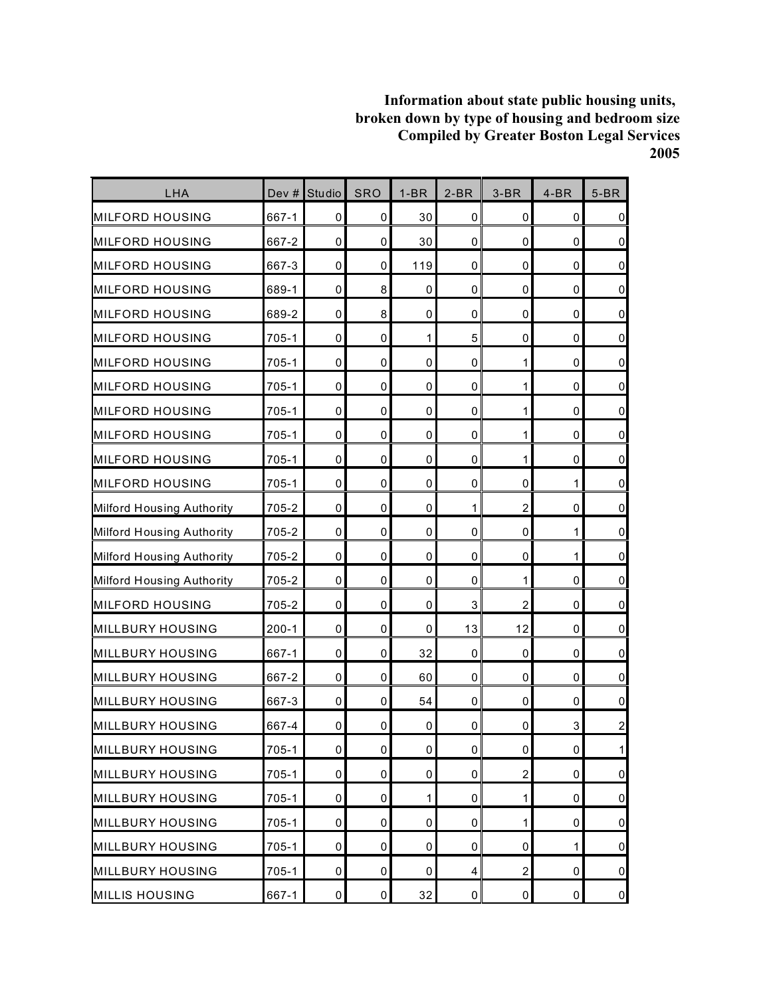| LHA                       | Dev #     | <b>Studio</b> | <b>SRO</b>          | $1-BR$      | $2-BR$      | $3-BR$                  | $4-BR$      | $5-BR$              |
|---------------------------|-----------|---------------|---------------------|-------------|-------------|-------------------------|-------------|---------------------|
| MILFORD HOUSING           | 667-1     | 0             | 0                   | 30          | 0           | 0                       | 0           | $\pmb{0}$           |
| <b>MILFORD HOUSING</b>    | 667-2     | $\mathbf 0$   | 0                   | 30          | $\mathbf 0$ | 0                       | $\mathbf 0$ | $\overline{0}$      |
| <b>MILFORD HOUSING</b>    | 667-3     | $\mathbf 0$   | 0                   | 119         | $\mathbf 0$ | 0                       | $\mathbf 0$ | $\mathbf 0$         |
| <b>MILFORD HOUSING</b>    | 689-1     | 0             | 8                   | 0           | 0           | 0                       | 0           | $\mathbf 0$         |
| <b>MILFORD HOUSING</b>    | 689-2     | $\mathbf 0$   | 8                   | 0           | $\mathbf 0$ | 0                       | 0           | $\mathsf 0$         |
| <b>MILFORD HOUSING</b>    | 705-1     | $\mathbf 0$   | 0                   | 1           | 5           | 0                       | 0           | $\mathsf 0$         |
| <b>MILFORD HOUSING</b>    | 705-1     | $\mathbf 0$   | 0                   | 0           | $\mathbf 0$ | 1                       | $\mathbf 0$ | $\mathbf 0$         |
| <b>MILFORD HOUSING</b>    | $705 - 1$ | $\pmb{0}$     | 0                   | $\mathbf 0$ | 0           | 1                       | $\mathbf 0$ | $\mathsf{O}\xspace$ |
| <b>MILFORD HOUSING</b>    | 705-1     | 0             | 0                   | 0           | 0           | 1                       | 0           | $\mathbf 0$         |
| <b>MILFORD HOUSING</b>    | 705-1     | $\mathbf 0$   | $\mathbf 0$         | 0           | 0           | 1                       | 0           | $\mathsf 0$         |
| <b>MILFORD HOUSING</b>    | 705-1     | $\mathbf 0$   | 0                   | 0           | 0           | 1                       | 0           | $\mathsf 0$         |
| <b>MILFORD HOUSING</b>    | 705-1     | $\mathbf 0$   | 0                   | 0           | 0           | 0                       | 1           | $\pmb{0}$           |
| Milford Housing Authority | 705-2     | $\pmb{0}$     | 0                   | 0           | 1           | $\overline{\mathbf{c}}$ | 0           | $\mathbf 0$         |
| Milford Housing Authority | 705-2     | 0             | $\mathbf 0$         | 0           | 0           | 0                       | 1           | $\mathsf{O}\xspace$ |
| Milford Housing Authority | 705-2     | $\mathbf 0$   | $\mathbf 0$         | 0           | $\mathbf 0$ | 0                       | 1           | $\mathsf 0$         |
| Milford Housing Authority | 705-2     | 0             | 0                   | 0           | 0           | 1                       | 0           | $\mathsf 0$         |
| <b>MILFORD HOUSING</b>    | 705-2     | $\mathbf 0$   | 0                   | 0           | 3           | $\overline{2}$          | $\mathbf 0$ | $\pmb{0}$           |
| <b>MILLBURY HOUSING</b>   | $200-1$   | $\pmb{0}$     | 0                   | 0           | 13          | 12                      | 0           | $\mathsf{O}\xspace$ |
| <b>MILLBURY HOUSING</b>   | 667-1     | 0             | 0                   | 32          | 0           | 0                       | 0           | $\pmb{0}$           |
| <b>MILLBURY HOUSING</b>   | 667-2     | $\mathbf 0$   | 0                   | 60          | 0           | 0                       | $\mathbf 0$ | $\mathsf 0$         |
| <b>MILLBURY HOUSING</b>   | 667-3     | $\mathbf 0$   | 0                   | 54          | $\mathbf 0$ | 0                       | $\mathbf 0$ | $\mathbf 0$         |
| <b>MILLBURY HOUSING</b>   | 667-4     | 0             | 0                   | 0           | 0           | 0                       | 3           | $\overline{a}$      |
| <b>MILLBURY HOUSING</b>   | $705 - 1$ | $\pmb{0}$     | $\mathsf{O}\xspace$ | $\mathbf 0$ | $\pmb{0}$   | 0                       | $\pmb{0}$   | $\mathbf{1}$        |
| <b>MILLBURY HOUSING</b>   | $705 - 1$ | $\mathbf 0$   | $\mathbf 0$         | 0           | 0           | $\overline{c}$          | 0           | $\overline{0}$      |
| <b>MILLBURY HOUSING</b>   | 705-1     | 0             | 0                   | 1           | 0           | $\mathbf{1}$            | 0           | $\overline{0}$      |
| <b>MILLBURY HOUSING</b>   | 705-1     | 0             | 0                   | 0           | $\mathbf 0$ | $\mathbf{1}$            | 0           | $\overline{0}$      |
| <b>MILLBURY HOUSING</b>   | $705 - 1$ | $\mathbf 0$   | 0                   | 0           | 0           | 0                       | 1           | $\mathsf{O}\xspace$ |
| <b>MILLBURY HOUSING</b>   | 705-1     | 0             | 0                   | 0           | 4           | $\overline{c}$          | 0           | $\overline{0}$      |
| <b>MILLIS HOUSING</b>     | 667-1     | $\pmb{0}$     | $\pmb{0}$           | 32          | $\pmb{0}$   | 0                       | $\pmb{0}$   | $\overline{0}$      |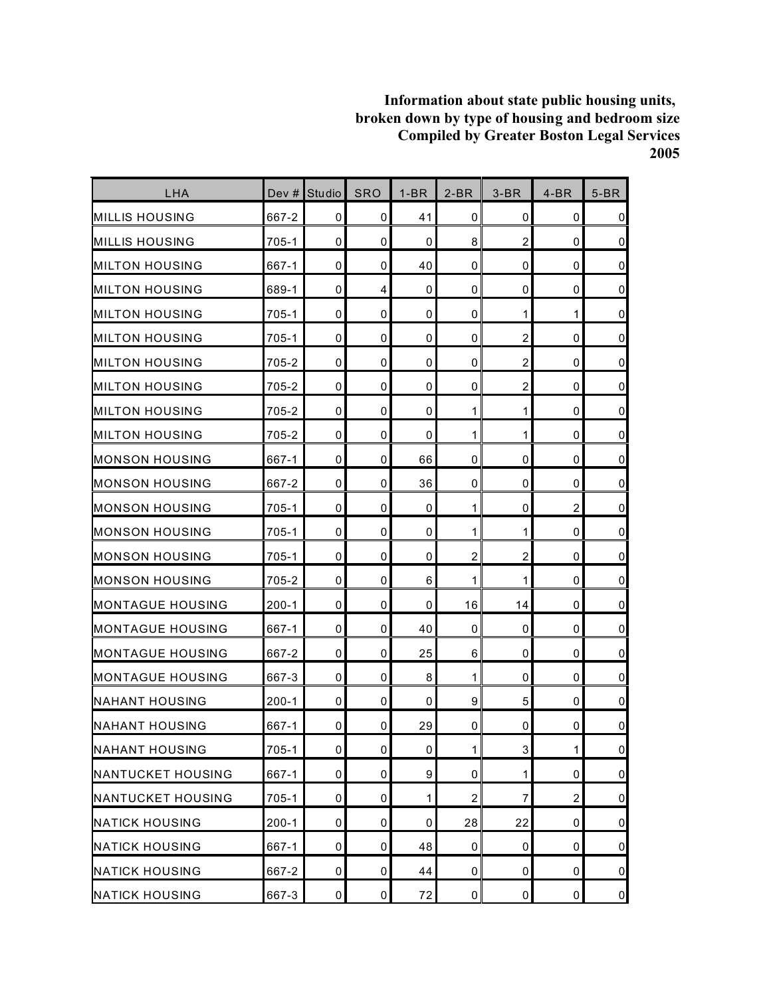| LHA                      | Dev #     | <b>Studio</b> | <b>SRO</b>          | $1-BR$      | $2-BR$         | $3-BR$                  | $4-BR$         | $5-BR$              |
|--------------------------|-----------|---------------|---------------------|-------------|----------------|-------------------------|----------------|---------------------|
| MILLIS HOUSING           | 667-2     | 0             | 0                   | 41          | 0              | 0                       | 0              | $\pmb{0}$           |
| <b>MILLIS HOUSING</b>    | 705-1     | $\mathbf 0$   | 0                   | 0           | 8              | $\overline{c}$          | $\mathbf 0$    | $\pmb{0}$           |
| <b>MILTON HOUSING</b>    | 667-1     | $\mathbf 0$   | 0                   | 40          | $\mathbf 0$    | 0                       | $\mathbf 0$    | $\pmb{0}$           |
| <b>MILTON HOUSING</b>    | 689-1     | $\mathbf 0$   | 4                   | 0           | 0              | 0                       | 0              | $\mathbf 0$         |
| <b>I</b> MILTON HOUSING  | $705 - 1$ | 0             | 0                   | $\mathbf 0$ | 0              | 1                       | 1              | $\pmb{0}$           |
| <b>MILTON HOUSING</b>    | $705 - 1$ | 0             | 0                   | 0           | 0              | $\overline{c}$          | 0              | $\pmb{0}$           |
| <b>MILTON HOUSING</b>    | 705-2     | $\mathbf 0$   | 0                   | 0           | $\mathbf 0$    | $\overline{\mathbf{c}}$ | 0              | $\mathbf 0$         |
| <b>MILTON HOUSING</b>    | 705-2     | $\mathbf 0$   | 0                   | $\mathbf 0$ | 0              | $\overline{c}$          | $\mathbf 0$    | $\pmb{0}$           |
| <b>MILTON HOUSING</b>    | 705-2     | 0             | 0                   | 0           | 1              | 1                       | 0              | $\mathbf 0$         |
| <b>MILTON HOUSING</b>    | 705-2     | $\mathbf 0$   | $\mathbf 0$         | $\mathbf 0$ | 1              | 1                       | 0              | $\pmb{0}$           |
| <b>MONSON HOUSING</b>    | 667-1     | $\mathbf 0$   | 0                   | 66          | 0              | 0                       | 0              | $\mathsf 0$         |
| <b>IMONSON HOUSING</b>   | 667-2     | $\mathbf 0$   | 0                   | 36          | 0              | 0                       | 0              | $\mathbf 0$         |
| <b>MONSON HOUSING</b>    | 705-1     | $\mathbf 0$   | 0                   | 0           | 1              | 0                       | $\overline{c}$ | $\mathbf 0$         |
| <b>MONSON HOUSING</b>    | $705 - 1$ | $\mathbf 0$   | 0                   | 0           | 1              | 1                       | 0              | $\pmb{0}$           |
| <b>MONSON HOUSING</b>    | $705 - 1$ | $\mathbf 0$   | $\mathbf 0$         | 0           | $\overline{c}$ | $\overline{c}$          | $\mathbf 0$    | $\mathsf 0$         |
| <b>MONSON HOUSING</b>    | 705-2     | $\mathbf 0$   | 0                   | 6           | 1              | 1                       | 0              | $\pmb{0}$           |
| IMONTAGUE HOUSING        | $200 - 1$ | 0             | 0                   | 0           | 16             | 14                      | 0              | $\mathbf 0$         |
| <b>MONTAGUE HOUSING</b>  | 667-1     | $\mathbf 0$   | 0                   | 40          | $\mathbf 0$    | 0                       | 0              | $\pmb{0}$           |
| <b>IMONTAGUE HOUSING</b> | 667-2     | 0             | 0                   | 25          | 6              | 0                       | 0              | $\pmb{0}$           |
| <b>IMONTAGUE HOUSING</b> | 667-3     | $\mathbf 0$   | 0                   | 8           | 1              | 0                       | 0              | $\pmb{0}$           |
| <b>INAHANT HOUSING</b>   | $200 - 1$ | $\mathbf 0$   | $\mathbf 0$         | 0           | 9              | 5                       | $\mathbf 0$    | $\mathsf 0$         |
| <b>INAHANT HOUSING</b>   | 667-1     | 0             | 0                   | 29          | 0              | 0                       | 0              | $\pmb{0}$           |
| <b>NAHANT HOUSING</b>    | $705 - 1$ | $\pmb{0}$     | $\mathsf{O}\xspace$ | 0           | $\mathbf{1}$   | $\mathsf 3$             | $\mathbf{1}$   | $\overline{0}$      |
| <b>NANTUCKET HOUSING</b> | 667-1     | $\mathbf 0$   | $\mathbf 0$         | 9           | 0              | 1                       | 0              | $\overline{0}$      |
| NANTUCKET HOUSING        | $705 - 1$ | 0             | 0                   | 1           | $\overline{2}$ | 7                       | $\overline{c}$ | $\overline{0}$      |
| <b>NATICK HOUSING</b>    | $200 - 1$ | 0             | 0                   | 0           | 28             | 22                      | 0              | $\overline{0}$      |
| <b>NATICK HOUSING</b>    | 667-1     | $\mathbf 0$   | 0                   | 48          | 0              | 0                       | 0              | $\mathsf{O}\xspace$ |
| <b>NATICK HOUSING</b>    | 667-2     | 0             | 0                   | 44          | 0              | 0                       | 0              | $\overline{0}$      |
| <b>NATICK HOUSING</b>    | 667-3     | 0             | 0                   | 72          | $\mathbf 0$    | 0                       | 0              | $\overline{0}$      |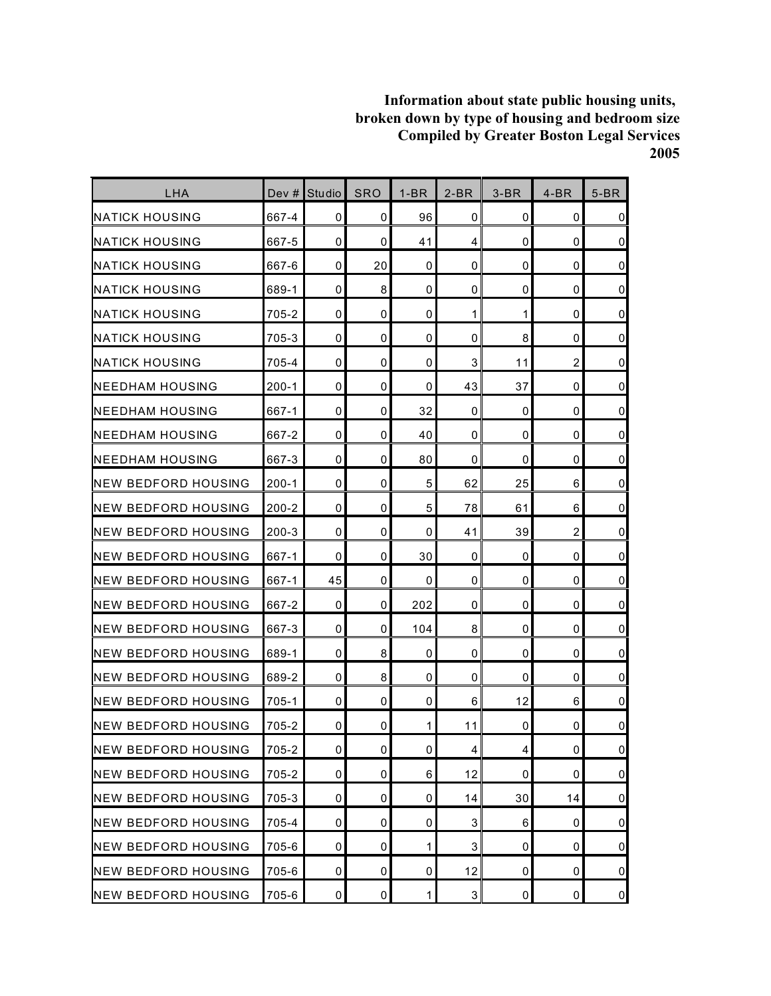| LHA                         | Dev #     | <b>Studio</b> | <b>SRO</b> | $1-BR$       | $2-BR$       | $3-BR$ | $4-BR$         | $5-BR$         |
|-----------------------------|-----------|---------------|------------|--------------|--------------|--------|----------------|----------------|
| <b>I</b> NATICK HOUSING     | 667-4     | 0             | 0          | 96           | 0            | 0      | 0              | $\mathbf 0$    |
| <b>NATICK HOUSING</b>       | 667-5     | 0             | 0          | 41           | 4            | 0      | 0              | $\pmb{0}$      |
| <b>I</b> NATICK HOUSING     | 667-6     | 0             | 20         | 0            | 0            | 0      | $\mathbf 0$    | $\mathbf 0$    |
| <b>NATICK HOUSING</b>       | 689-1     | 0             | 8          | 0            | 0            | 0      | 0              | $\mathbf 0$    |
| <b>NATICK HOUSING</b>       | 705-2     | 0             | 0          | 0            | 1            | 1      | 0              | $\pmb{0}$      |
| <b>NATICK HOUSING</b>       | 705-3     | 0             | 0          | 0            | $\mathbf 0$  | 8      | 0              | $\pmb{0}$      |
| <b>NATICK HOUSING</b>       | 705-4     | 0             | 0          | 0            | 3            | 11     | $\overline{2}$ | $\overline{0}$ |
| <b>I</b> NEEDHAM HOUSING    | $200-1$   | 0             | 0          | 0            | 43           | 37     | $\mathbf 0$    | $\pmb{0}$      |
| <b>INEEDHAM HOUSING</b>     | 667-1     | 0             | 0          | 32           | 0            | 0      | 0              | $\mathbf 0$    |
| <b>NEEDHAM HOUSING</b>      | 667-2     | 0             | 0          | 40           | 0            | 0      | 0              | $\pmb{0}$      |
| <b>NEEDHAM HOUSING</b>      | 667-3     | 0             | 0          | 80           | $\mathbf 0$  | 0      | 0              | $\pmb{0}$      |
| <b>NEW BEDFORD HOUSING</b>  | $200 - 1$ | 0             | 0          | 5            | 62           | 25     | 6              | $\pmb{0}$      |
| INEW BEDFORD HOUSING        | $200 - 2$ | 0             | 0          | 5            | 78           | 61     | 6              | $\pmb{0}$      |
| INEW BEDFORD HOUSING        | $200 - 3$ | 0             | 0          | 0            | 41           | 39     | 2              | $\mathbf 0$    |
| INEW BEDFORD HOUSING        | 667-1     | 0             | 0          | 30           | 0            | 0      | 0              | $\mathbf 0$    |
| INEW BEDFORD HOUSING        | 667-1     | 45            | 0          | 0            | $\mathbf 0$  | 0      | 0              | $\mathbf 0$    |
| INEW BEDFORD HOUSING        | 667-2     | 0             | 0          | 202          | 0            | 0      | 0              | $\pmb{0}$      |
| <b>INEW BEDFORD HOUSING</b> | 667-3     | 0             | 0          | 104          | 8            | 0      | 0              | $\mathbf 0$    |
| <b>INEW BEDFORD HOUSING</b> | 689-1     | 0             | 8          | 0            | 0            | 0      | 0              | $\pmb{0}$      |
| <b>NEW BEDFORD HOUSING</b>  | 689-2     | 0             | 8          | 0            | 0            | 0      | 0              | $\mathbf 0$    |
| <b>NEW BEDFORD HOUSING</b>  | 705-1     | 0             | 0          | 0            | 6            | 12     | 6              | $\mathsf 0$    |
| INEW BEDFORD HOUSING        | 705-2     | 0             | 0          | 1            | 11           | 0      | 0              | $\mathbf 0$    |
| <b>NEW BEDFORD HOUSING</b>  | 705-2     | 0             | $\pmb{0}$  | 0            | 4            | 4      | $\mathbf 0$    | $\pmb{0}$      |
| <b>NEW BEDFORD HOUSING</b>  | 705-2     | 0             | 0          | 6            | 12           | 0      | 0              | $\overline{0}$ |
| <b>NEW BEDFORD HOUSING</b>  | 705-3     | 0             | 0          | 0            | 14           | 30     | 14             | $\overline{0}$ |
| <b>NEW BEDFORD HOUSING</b>  | 705-4     | 0             | 0          | 0            | $\sqrt{3}$   | 6      | $\mathbf 0$    | $\overline{0}$ |
| <b>NEW BEDFORD HOUSING</b>  | 705-6     | 0             | 0          | 1            | 3            | 0      | 0              | $\pmb{0}$      |
| <b>NEW BEDFORD HOUSING</b>  | 705-6     | 0             | 0          | 0            | 12           | 0      | 0              | $\overline{0}$ |
| <b>NEW BEDFORD HOUSING</b>  | 705-6     | 0             | $\pmb{0}$  | $\mathbf{1}$ | $\mathbf{3}$ | 0      | 0              | $\overline{0}$ |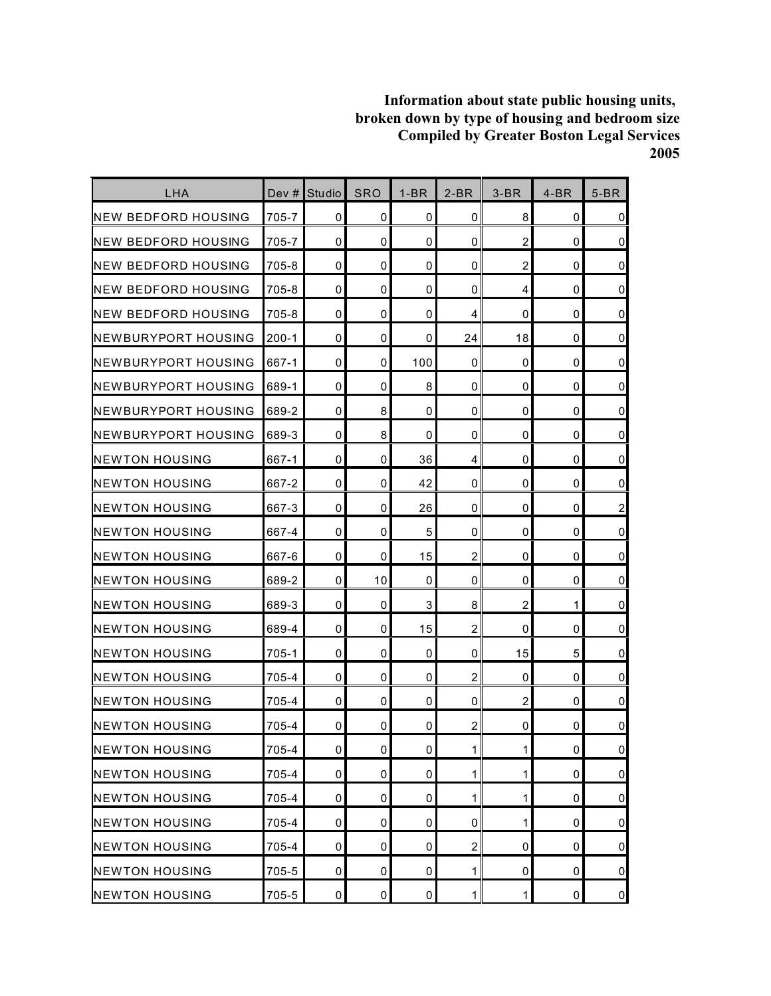| LHA                         | Dev $#$   | Studio      | <b>SRO</b>  | $1-BR$ | $2-BR$         | $3-BR$         | $4-BR$ | $5-BR$         |
|-----------------------------|-----------|-------------|-------------|--------|----------------|----------------|--------|----------------|
| INEW BEDFORD HOUSING        | 705-7     | 0           | 0           | 0      | 0              | 8              | 0      | 0              |
| INEW BEDFORD HOUSING        | 705-7     | $\mathbf 0$ | 0           | 0      | 0              | $\overline{2}$ | 0      | $\overline{0}$ |
| INEW BEDFORD HOUSING        | 705-8     | 0           | $\mathbf 0$ | 0      | 0              | $\overline{2}$ | 0      | $\mathbf 0$    |
| INEW BEDFORD HOUSING        | 705-8     | 0           | 0           | 0      | 0              | 4              | 0      | $\pmb{0}$      |
| <b>NEW BEDFORD HOUSING</b>  | 705-8     | 0           | 0           | 0      | 4              | 0              | 0      | $\mathbf 0$    |
| <b>NEWBURYPORT HOUSING</b>  | $200 - 1$ | 0           | 0           | 0      | 24             | 18             | 0      | $\overline{0}$ |
| <b>NEWBURYPORT HOUSING</b>  | 667-1     | 0           | 0           | 100    | 0              | $\mathbf 0$    | 0      | $\mathbf 0$    |
| <b>INEWBURYPORT HOUSING</b> | 689-1     | 0           | 0           | 8      | 0              | 0              | 0      | $\mathbf 0$    |
| INEWBURYPORT HOUSING        | 689-2     | 0           | 8           | 0      | 0              | 0              | 0      | $\overline{0}$ |
| <b>NEWBURYPORT HOUSING</b>  | 689-3     | 0           | 8           | 0      | 0              | 0              | 0      | $\mathbf 0$    |
| <b>INEWTON HOUSING</b>      | 667-1     | 0           | 0           | 36     | 4              | 0              | 0      | $\mathbf 0$    |
| <b>I</b> NEWTON HOUSING     | 667-2     | 0           | 0           | 42     | 0              | 0              | 0      | $\overline{0}$ |
| <b>I</b> NEWTON HOUSING     | 667-3     | 0           | $\mathbf 0$ | 26     | $\mathbf 0$    | 0              | 0      | $\overline{c}$ |
| <b>NEWTON HOUSING</b>       | 667-4     | 0           | 0           | 5      | 0              | 0              | 0      | $\overline{0}$ |
| <b>NEWTON HOUSING</b>       | 667-6     | 0           | 0           | 15     | $\overline{c}$ | 0              | 0      | $\mathbf 0$    |
| <b>INEWTON HOUSING</b>      | 689-2     | 0           | 10          | 0      | 0              | 0              | 0      | $\pmb{0}$      |
| INEWTON HOUSING             | 689-3     | 0           | 0           | 3      | 8              | 2              | 1      | $\overline{0}$ |
| <b>NEWTON HOUSING</b>       | 689-4     | $\mathbf 0$ | $\mathbf 0$ | 15     | $\overline{2}$ | $\Omega$       | 0      | $\mathbf 0$    |
| <b>NEWTON HOUSING</b>       | $705 - 1$ | 0           | 0           | 0      | 0              | 15             | 5      | $\overline{0}$ |
| <b>I</b> NEWTON HOUSING     | 705-4     | 0           | 0           | 0      | $\overline{c}$ | 0              | 0      | $\mathbf 0$    |
| <b>NEWTON HOUSING</b>       | 705-4     | $\mathbf 0$ | 0           | 0      | $\mathbf 0$    | $\overline{2}$ | 0      | $\overline{0}$ |
| INEWTON HOUSING             | 705-4     | 0           | 0           | 0      | $\overline{c}$ | 0              | 0      | $\pmb{0}$      |
| <b>NEWTON HOUSING</b>       | 705-4     | 0           | 0           | 0      | 1              | $\mathbf{1}$   | 0      | $\overline{0}$ |
| <b>NEWTON HOUSING</b>       | 705-4     | 0           | $\mathbf 0$ | 0      | 1              | 1              | 0      | $\overline{0}$ |
| <b>NEWTON HOUSING</b>       | 705-4     | 0           | 0           | 0      | 1              | 1              | 0      | $\overline{0}$ |
| <b>NEWTON HOUSING</b>       | 705-4     | 0           | 0           | 0      | 0              | 1              | 0      | $\overline{0}$ |
| <b>NEWTON HOUSING</b>       | 705-4     | 0           | 0           | 0      | $\overline{c}$ | 0              | 0      | $\overline{0}$ |
| <b>NEWTON HOUSING</b>       | 705-5     | 0           | 0           | 0      | 1              | 0              | 0      | $\overline{0}$ |
| <b>NEWTON HOUSING</b>       | 705-5     | 0           | 0           | 0      | 1              | $\mathbf 1$    | 0      | $\overline{0}$ |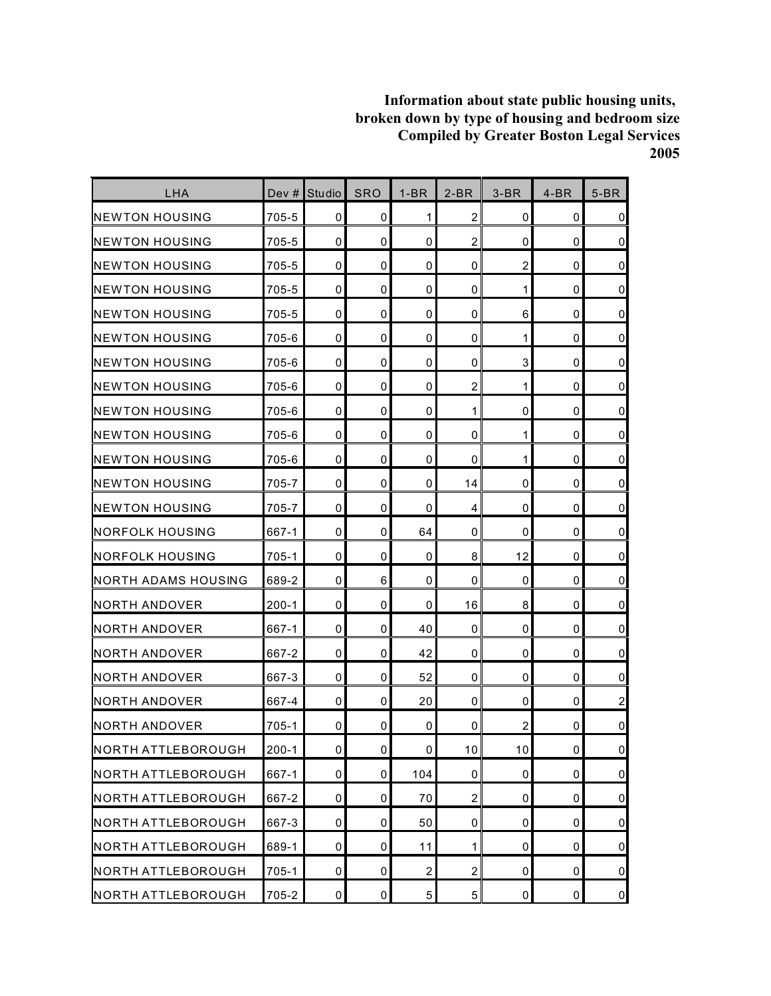| <b>LHA</b>                 | Dev #     | Studio      | <b>SRO</b>          | $1-BR$         | $2-BR$         | $3-BR$         | $4-BR$      | $5-BR$         |
|----------------------------|-----------|-------------|---------------------|----------------|----------------|----------------|-------------|----------------|
| <b>I</b> NEWTON HOUSING    | 705-5     | 0           | 0                   | 1              | $\overline{2}$ | 0              | 0           | $\overline{0}$ |
| <b>NEWTON HOUSING</b>      | 705-5     | $\mathbf 0$ | 0                   | 0              | $\overline{c}$ | 0              | 0           | $\overline{0}$ |
| <b>I</b> NEWTON HOUSING    | 705-5     | $\mathbf 0$ | 0                   | $\mathbf 0$    | $\mathbf 0$    | $\overline{c}$ | $\mathbf 0$ | $\overline{0}$ |
| <b>NEWTON HOUSING</b>      | 705-5     | 0           | 0                   | 0              | $\mathbf 0$    | 1              | 0           | $\overline{0}$ |
| <b>NEWTON HOUSING</b>      | 705-5     | 0           | 0                   | $\mathbf 0$    | 0              | 6              | 0           | $\overline{0}$ |
| INEWTON HOUSING            | 705-6     | 0           | 0                   | 0              | 0              | 1              | 0           | $\overline{0}$ |
| <b>NEWTON HOUSING</b>      | 705-6     | $\mathbf 0$ | 0                   | 0              | 0              | 3              | 0           | $\overline{0}$ |
| <b>I</b> NEWTON HOUSING    | 705-6     | $\mathbf 0$ | 0                   | 0              | $\overline{2}$ | 1              | $\mathbf 0$ | $\overline{0}$ |
| <b>NEWTON HOUSING</b>      | 705-6     | 0           | 0                   | 0              | 1              | 0              | 0           | $\overline{0}$ |
| <b>NEWTON HOUSING</b>      | 705-6     | 0           | 0                   | 0              | $\mathbf 0$    | 1              | 0           | $\overline{0}$ |
| INEWTON HOUSING            | 705-6     | 0           | 0                   | 0              | $\mathbf 0$    | 1              | 0           | $\overline{0}$ |
| <b>I</b> NEWTON HOUSING    | 705-7     | 0           | 0                   | 0              | 14             | 0              | 0           | $\overline{0}$ |
| <b>NEWTON HOUSING</b>      | 705-7     | 0           | 0                   | 0              | 4              | $\mathbf 0$    | 0           | $\overline{0}$ |
| <b>INORFOLK HOUSING</b>    | 667-1     | 0           | 0                   | 64             | 0              | 0              | 0           | $\overline{0}$ |
| <b>INORFOLK HOUSING</b>    | 705-1     | $\mathbf 0$ | $\mathbf 0$         | 0              | 8              | 12             | 0           | $\overline{0}$ |
| <b>NORTH ADAMS HOUSING</b> | 689-2     | $\mathbf 0$ | 6                   | 0              | $\mathbf 0$    | $\mathbf 0$    | 0           | $\overline{0}$ |
| INORTH ANDOVER             | $200 - 1$ | 0           | 0                   | 0              | 16             | 8              | 0           | $\overline{0}$ |
| NORTH ANDOVER              | 667-1     | 0           | 0                   | 40             | $\mathbf 0$    | 0              | 0           | $\overline{0}$ |
| NORTH ANDOVER              | 667-2     | 0           | 0                   | 42             | 0              | 0              | 0           | $\overline{0}$ |
| NORTH ANDOVER              | 667-3     | $\mathbf 0$ | 0                   | 52             | 0              | 0              | 0           | $\overline{0}$ |
| NORTH ANDOVER              | 667-4     | $\mathbf 0$ | 0                   | 20             | $\mathbf 0$    | $\mathbf 0$    | 0           | $\overline{c}$ |
| NORTH ANDOVER              | 705-1     | 0           | 0                   | 0              | 0              | $\overline{c}$ | 0           | $\overline{0}$ |
| NORTH ATTLEBOROUGH         | $200 - 1$ | $\pmb{0}$   | $\mathsf{O}\xspace$ | 0              | 10             | 10             | 0           | $\overline{0}$ |
| NORTH ATTLEBOROUGH         | 667-1     | 0           | $\mathbf 0$         | 104            | 0              | $\mathbf 0$    | 0           | $\overline{0}$ |
| NORTH ATTLEBOROUGH         | 667-2     | 0           | 0                   | 70             | $\overline{a}$ | 0              | 0           | $\overline{0}$ |
| NORTH ATTLEBOROUGH         | 667-3     | 0           | 0                   | 50             | 0              | 0              | $\pmb{0}$   | $\overline{0}$ |
| NORTH ATTLEBOROUGH         | 689-1     | $\mathbf 0$ | 0                   | 11             | 1              | $\mathbf 0$    | 0           | $\overline{0}$ |
| NORTH ATTLEBOROUGH         | $705-1$   | 0           | 0                   | $\overline{c}$ | $\overline{2}$ | 0              | 0           | $\overline{0}$ |
| NORTH ATTLEBOROUGH         | 705-2     | 0           | 0                   | 5              | $\overline{5}$ | 0              | 0           | $\overline{0}$ |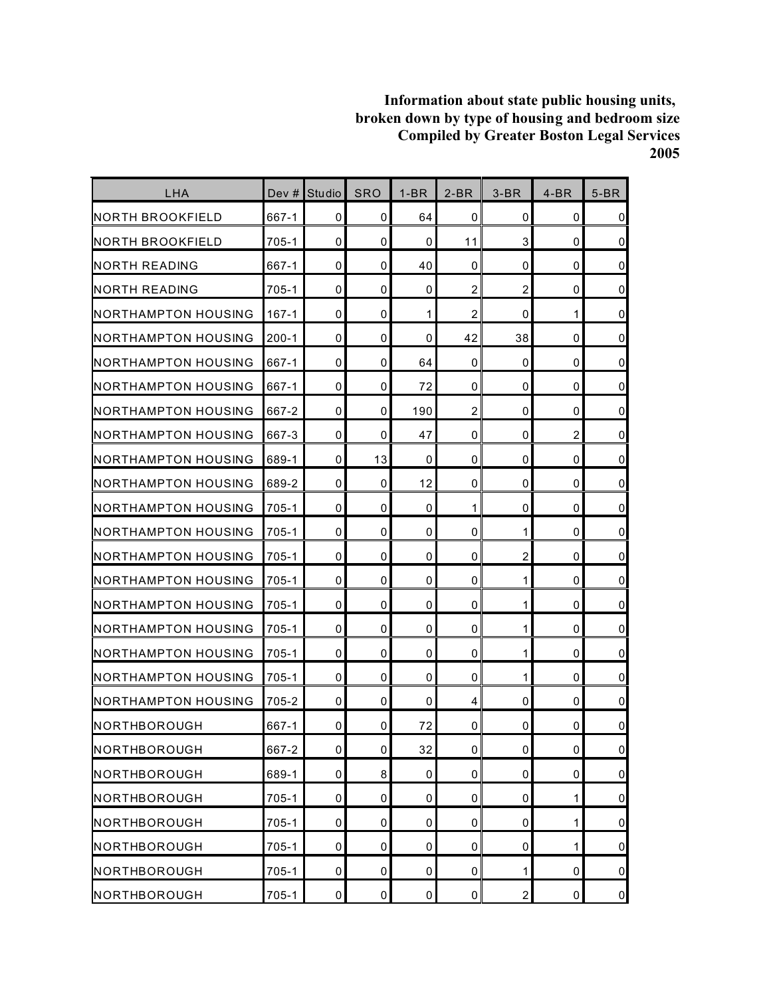| LHA                         | Dev $#$   | Studio       | <b>SRO</b> | $1-BR$ | $2-BR$         | $3-BR$         | $4-BR$         | $5-BR$         |
|-----------------------------|-----------|--------------|------------|--------|----------------|----------------|----------------|----------------|
| NORTH BROOKFIELD            | 667-1     | 0            | 0          | 64     | 0              | 0              | 0              | $\overline{0}$ |
| INORTH BROOKFIELD           | 705-1     | 0            | 0          | 0      | 11             | 3              | 0              | $\overline{0}$ |
| INORTH READING              | 667-1     | 0            | 0          | 40     | 0              | 0              | 0              | $\overline{0}$ |
| <b>NORTH READING</b>        | 705-1     | 0            | 0          | 0      | $\overline{c}$ | $\overline{2}$ | 0              | $\pmb{0}$      |
| INORTHAMPTON HOUSING        | $167 - 1$ | 0            | 0          | 1      | $\overline{2}$ | 0              | 1              | $\overline{0}$ |
| <b>INORTHAMPTON HOUSING</b> | $200 - 1$ | 0            | 0          | 0      | 42             | 38             | 0              | $\overline{0}$ |
| INORTHAMPTON HOUSING        | 667-1     | $\mathbf 0$  | 0          | 64     | 0              | 0              | 0              | $\overline{0}$ |
| NORTHAMPTON HOUSING         | 667-1     | 0            | 0          | 72     | 0              | 0              | $\mathbf 0$    | $\overline{0}$ |
| INORTHAMPTON HOUSING        | 667-2     | 0            | 0          | 190    | $\overline{c}$ | 0              | 0              | $\overline{0}$ |
| INORTHAMPTON HOUSING        | 667-3     | 0            | 0          | 47     | 0              | 0              | $\overline{2}$ | $\overline{0}$ |
| INORTHAMPTON HOUSING        | 689-1     | 0            | 13         | 0      | 0              | 0              | 0              | $\overline{0}$ |
| INORTHAMPTON HOUSING        | 689-2     | 0            | 0          | 12     | 0              | 0              | 0              | $\overline{0}$ |
| NORTHAMPTON HOUSING         | 705-1     | 0            | 0          | 0      | 1              | 0              | $\mathbf 0$    | $\overline{0}$ |
| INORTHAMPTON HOUSING        | 705-1     | 0            | 0          | 0      | 0              | 1              | 0              | $\overline{0}$ |
| <b>NORTHAMPTON HOUSING</b>  | 705-1     | 0            | 0          | 0      | 0              | $\overline{c}$ | 0              | $\overline{0}$ |
| INORTHAMPTON HOUSING        | $705 - 1$ | 0            | 0          | 0      | 0              | $\mathbf{1}$   | 0              | $\overline{0}$ |
| INORTHAMPTON HOUSING        | $705 - 1$ | 0            | 0          | 0      | 0              | 1              | 0              | $\overline{0}$ |
| NORTHAMPTON HOUSING         | $705 - 1$ | $\mathbf{0}$ | 0          | 0      | 0              | 1              | 0              | $\pmb{0}$      |
| <b>NORTHAMPTON HOUSING</b>  | $705 - 1$ | 0            | 0          | 0      | 0              | 1              | 0              | $\overline{0}$ |
| INORTHAMPTON HOUSING        | 705-1     | 0            | 0          | 0      | 0              | 1              | 0              | $\overline{0}$ |
| NORTHAMPTON HOUSING         | 705-2     | 0            | 0          | 0      | 4              | 0              | 0              | $\overline{0}$ |
| INORTHBOROUGH               | 667-1     | 0            | 0          | 72     | 0              | 0              | 0              | $\overline{0}$ |
| NORTHBOROUGH                | 667-2     | $\mathbf 0$  | 0          | 32     | $\mathbf 0$    | 0              | 0              | $\overline{0}$ |
| NORTHBOROUGH                | 689-1     | 0            | 8          | 0      | 0              | 0              | 0              | $\overline{0}$ |
| NORTHBOROUGH                | $705-1$   | 0            | 0          | 0      | 0              | 0              | 1              | $\overline{0}$ |
| NORTHBOROUGH                | 705-1     | $\pmb{0}$    | 0          | 0      | 0              | 0              | 1              | $\overline{0}$ |
| NORTHBOROUGH                | $705 - 1$ | 0            | 0          | 0      | 0              | 0              | 1              | $\overline{0}$ |
| NORTHBOROUGH                | $705 - 1$ | 0            | 0          | 0      | 0              | 1              | 0              | $\overline{0}$ |
| NORTHBOROUGH                | $705 - 1$ | $\mathbf 0$  | 0          | 0      | $\pmb{0}$      | $\overline{c}$ | 0              | $\overline{0}$ |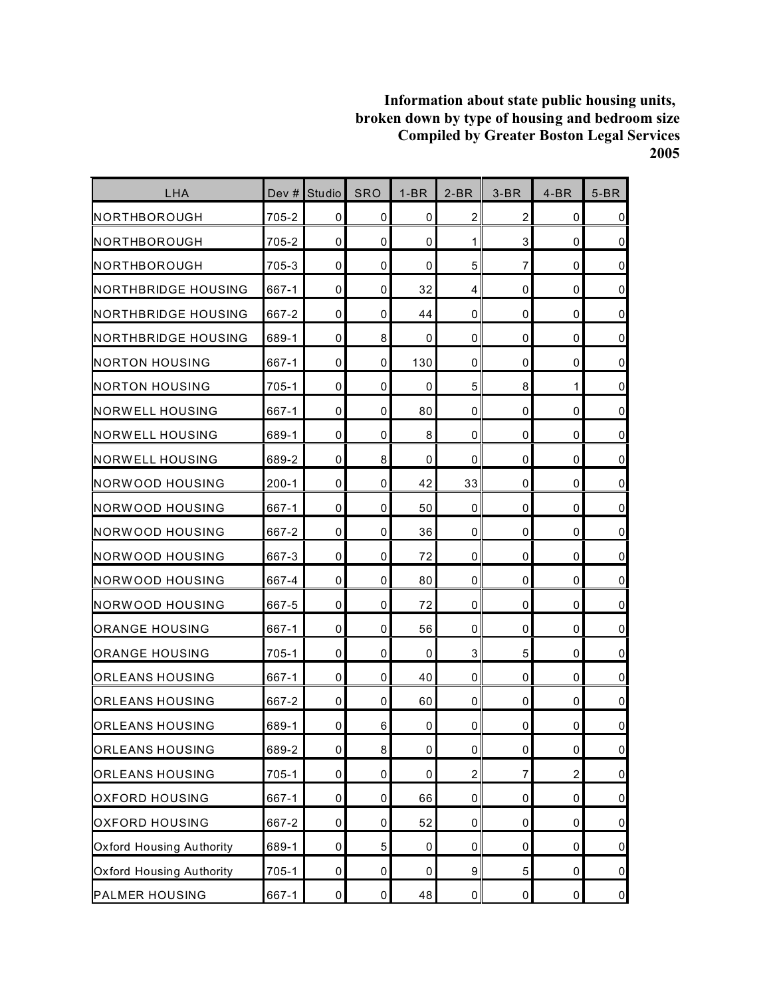| LHA                             | Dev #     | <b>Studio</b> | <b>SRO</b> | $1-BR$      | $2-BR$           | $3-BR$         | $4-BR$         | $5-BR$         |
|---------------------------------|-----------|---------------|------------|-------------|------------------|----------------|----------------|----------------|
| <b>NORTHBOROUGH</b>             | 705-2     | 0             | 0          | 0           | $\overline{2}$   | $\overline{c}$ | 0              | $\overline{0}$ |
| <b>NORTHBOROUGH</b>             | 705-2     | $\mathbf 0$   | 0          | 0           | 1                | 3              | 0              | $\overline{0}$ |
| <b>NORTHBOROUGH</b>             | 705-3     | 0             | 0          | $\mathbf 0$ | 5                | $\overline{7}$ | $\mathbf 0$    | $\overline{0}$ |
| INORTHBRIDGE HOUSING            | 667-1     | 0             | 0          | 32          | 4                | 0              | 0              | $\overline{0}$ |
| INORTHBRIDGE HOUSING            | 667-2     | $\mathbf 0$   | 0          | 44          | 0                | 0              | 0              | $\overline{0}$ |
| <b>INORTHBRIDGE HOUSING</b>     | 689-1     | $\mathbf 0$   | 8          | 0           | 0                | 0              | 0              | $\overline{0}$ |
| NORTON HOUSING                  | 667-1     | $\mathbf 0$   | 0          | 130         | $\mathbf 0$      | $\mathbf 0$    | 0              | $\overline{0}$ |
| <b>NORTON HOUSING</b>           | 705-1     | $\mathbf 0$   | 0          | $\mathbf 0$ | 5                | 8              | 1              | $\overline{0}$ |
| <b>NORWELL HOUSING</b>          | 667-1     | $\mathbf 0$   | 0          | 80          | $\mathbf 0$      | 0              | 0              | $\overline{0}$ |
| <b>INORWELL HOUSING</b>         | 689-1     | $\mathbf 0$   | 0          | 8           | $\mathbf 0$      | 0              | 0              | $\overline{0}$ |
| NORWELL HOUSING                 | 689-2     | 0             | 8          | 0           | 0                | 0              | 0              | $\overline{0}$ |
| INORWOOD HOUSING                | $200 - 1$ | $\mathbf 0$   | 0          | 42          | 33               | 0              | 0              | $\overline{0}$ |
| INORWOOD HOUSING                | 667-1     | $\mathbf 0$   | 0          | 50          | $\mathbf 0$      | $\mathbf 0$    | $\mathbf 0$    | $\overline{0}$ |
| <b>NORWOOD HOUSING</b>          | 667-2     | 0             | 0          | 36          | 0                | 0              | 0              | $\overline{0}$ |
| <b>NORWOOD HOUSING</b>          | 667-3     | $\mathbf 0$   | 0          | 72          | 0                | 0              | 0              | $\overline{0}$ |
| INORWOOD HOUSING                | 667-4     | 0             | 0          | 80          | 0                | $\mathbf 0$    | 0              | $\overline{0}$ |
| INORWOOD HOUSING                | 667-5     | $\mathbf 0$   | 0          | 72          | 0                | 0              | 0              | $\overline{0}$ |
| ORANGE HOUSING                  | 667-1     | 0             | 0          | 56          | 0                | 0              | 0              | $\overline{0}$ |
| ORANGE HOUSING                  | 705-1     | 0             | 0          | 0           | 3                | 5              | 0              | $\overline{0}$ |
| ORLEANS HOUSING                 | 667-1     | $\mathbf 0$   | 0          | 40          | $\mathbf 0$      | 0              | 0              | $\overline{0}$ |
| ORLEANS HOUSING                 | 667-2     | $\mathbf 0$   | 0          | 60          | $\mathbf 0$      | $\mathbf 0$    | 0              | $\overline{0}$ |
| IORLEANS HOUSING                | 689-1     | 0             | 6          | 0           | 0                | 0              | 0              | $\pmb{0}$      |
| <b>ORLEANS HOUSING</b>          | 689-2     | $\pmb{0}$     | $\bf 8$    | 0           | $\pmb{0}$        | $\pmb{0}$      | $\mathbf 0$    | $\overline{0}$ |
| <b>ORLEANS HOUSING</b>          | $705 - 1$ | $\pmb{0}$     | $\pmb{0}$  | 0           | $\overline{a}$   | 7              | $\overline{c}$ | $\overline{0}$ |
| <b>OXFORD HOUSING</b>           | 667-1     | 0             | 0          | 66          | 0                | 0              | 0              | $\overline{0}$ |
| <b>OXFORD HOUSING</b>           | 667-2     | $\pmb{0}$     | 0          | 52          | $\mathbf 0$      | $\pmb{0}$      | 0              | $\overline{0}$ |
| <b>Oxford Housing Authority</b> | 689-1     | $\pmb{0}$     | 5          | $\pmb{0}$   | 0                | $\mathbf 0$    | 0              | $\overline{0}$ |
| <b>Oxford Housing Authority</b> | $705 - 1$ | 0             | 0          | 0           | $\boldsymbol{9}$ | $\mathbf 5$    | 0              | $\overline{0}$ |
| <b>PALMER HOUSING</b>           | 667-1     | $\pmb{0}$     | $\pmb{0}$  | 48          | $\overline{0}$   | $\pmb{0}$      | $\pmb{0}$      | $\overline{0}$ |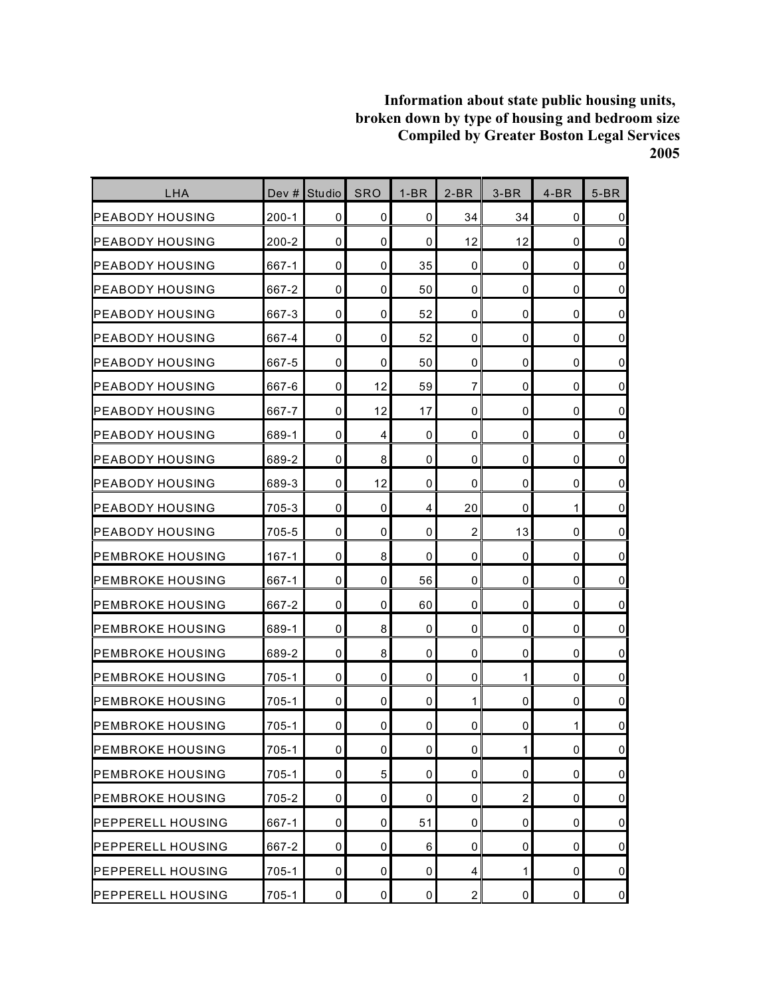| LHA                       | Dev $#$   | Studio      | <b>SRO</b>     | $1-BR$         | $2-BR$         | $3-BR$         | $4-BR$      | $5-BR$         |
|---------------------------|-----------|-------------|----------------|----------------|----------------|----------------|-------------|----------------|
| <b>PEABODY HOUSING</b>    | $200 - 1$ | 0           | 0              | 0              | 34             | 34             | 0           | $\mathbf 0$    |
| IPEABODY HOUSING          | $200 - 2$ | $\mathbf 0$ | 0              | 0              | 12             | 12             | 0           | $\mathbf 0$    |
| <b>PEABODY HOUSING</b>    | 667-1     | $\mathbf 0$ | 0              | 35             | 0              | 0              | 0           | $\mathbf 0$    |
| <b>PEABODY HOUSING</b>    | 667-2     | 0           | 0              | 50             | 0              | 0              | 0           | $\pmb{0}$      |
| <b>PEABODY HOUSING</b>    | 667-3     | $\mathbf 0$ | 0              | 52             | 0              | 0              | 0           | $\pmb{0}$      |
| <b>PEABODY HOUSING</b>    | 667-4     | 0           | 0              | 52             | 0              | 0              | 0           | $\mathbf 0$    |
| <b>PEABODY HOUSING</b>    | 667-5     | $\mathbf 0$ | 0              | 50             | 0              | 0              | $\mathbf 0$ | $\pmb{0}$      |
| <b>PEABODY HOUSING</b>    | 667-6     | 0           | 12             | 59             | $\overline{7}$ | 0              | $\mathbf 0$ | $\mathbf 0$    |
| IPEABODY HOUSING          | 667-7     | 0           | 12             | 17             | 0              | 0              | 0           | $\pmb{0}$      |
| <b>PEABODY HOUSING</b>    | 689-1     | $\mathbf 0$ | 4              | $\mathbf 0$    | 0              | 0              | 0           | $\pmb{0}$      |
| <b>PEABODY HOUSING</b>    | 689-2     | $\mathbf 0$ | 8              | 0              | 0              | 0              | 0           | $\pmb{0}$      |
| <b>IPEABODY HOUSING</b>   | 689-3     | $\mathbf 0$ | 12             | 0              | 0              | 0              | 0           | $\pmb{0}$      |
| <b>PEABODY HOUSING</b>    | 705-3     | 0           | $\Omega$       | $\overline{4}$ | 20             | 0              | 1           | $\mathbf 0$    |
| <b>PEABODY HOUSING</b>    | 705-5     | 0           | 0              | 0              | $\overline{2}$ | 13             | 0           | $\pmb{0}$      |
| IPEMBROKE HOUSING         | $167 - 1$ | $\mathbf 0$ | 8              | 0              | 0              | 0              | 0           | $\pmb{0}$      |
| <b>PEMBROKE HOUSING</b>   | 667-1     | 0           | 0              | 56             | 0              | 0              | 0           | $\pmb{0}$      |
| <b>PEMBROKE HOUSING</b>   | 667-2     | $\mathbf 0$ | 0              | 60             | 0              | 0              | $\mathbf 0$ | $\pmb{0}$      |
| <b>I</b> PEMBROKE HOUSING | 689-1     | $\mathbf 0$ | 8              | $\mathbf 0$    | 0              | 0              | $\mathbf 0$ | $\pmb{0}$      |
| <b>PEMBROKE HOUSING</b>   | 689-2     | 0           | 8              | 0              | 0              | 0              | 0           | $\mathbf 0$    |
| IPEMBROKE HOUSING         | 705-1     | $\mathbf 0$ | 0              | $\mathbf 0$    | 0              | 1              | 0           | $\mathbf 0$    |
| IPEMBROKE HOUSING         | 705-1     | $\mathbf 0$ | 0              | 0              | 1              | 0              | 0           | $\mathsf 0$    |
| <b>PEMBROKE HOUSING</b>   | $705 - 1$ | $\mathbf 0$ | 0              | 0              | 0              | 0              | 1           | $\pmb{0}$      |
| <b>PEMBROKE HOUSING</b>   | $705 - 1$ | 0           | $\overline{0}$ | $\pmb{0}$      | $\overline{0}$ | 1              | $\pmb{0}$   | $\mathsf 0$    |
| <b>PEMBROKE HOUSING</b>   | 705-1     | 0           | 5              | 0              | 0              | 0              | 0           | $\overline{0}$ |
| <b>PEMBROKE HOUSING</b>   | 705-2     | $\mathbf 0$ | 0              | 0              | 0              | $\overline{c}$ | 0           | $\overline{0}$ |
| <b>PEPPERELL HOUSING</b>  | 667-1     | 0           | 0              | 51             | $\mathbf 0$    | 0              | 0           | $\overline{0}$ |
| <b>PEPPERELL HOUSING</b>  | 667-2     | 0           | 0              | 6              | 0              | 0              | 0           | $\overline{0}$ |
| <b>PEPPERELL HOUSING</b>  | 705-1     | $\mathbf 0$ | 0              | 0              | 4              | 1              | 0           | $\overline{0}$ |
| <b>PEPPERELL HOUSING</b>  | 705-1     | $\pmb{0}$   | 0              | $\pmb{0}$      | $\overline{a}$ | 0              | 0           | $\overline{0}$ |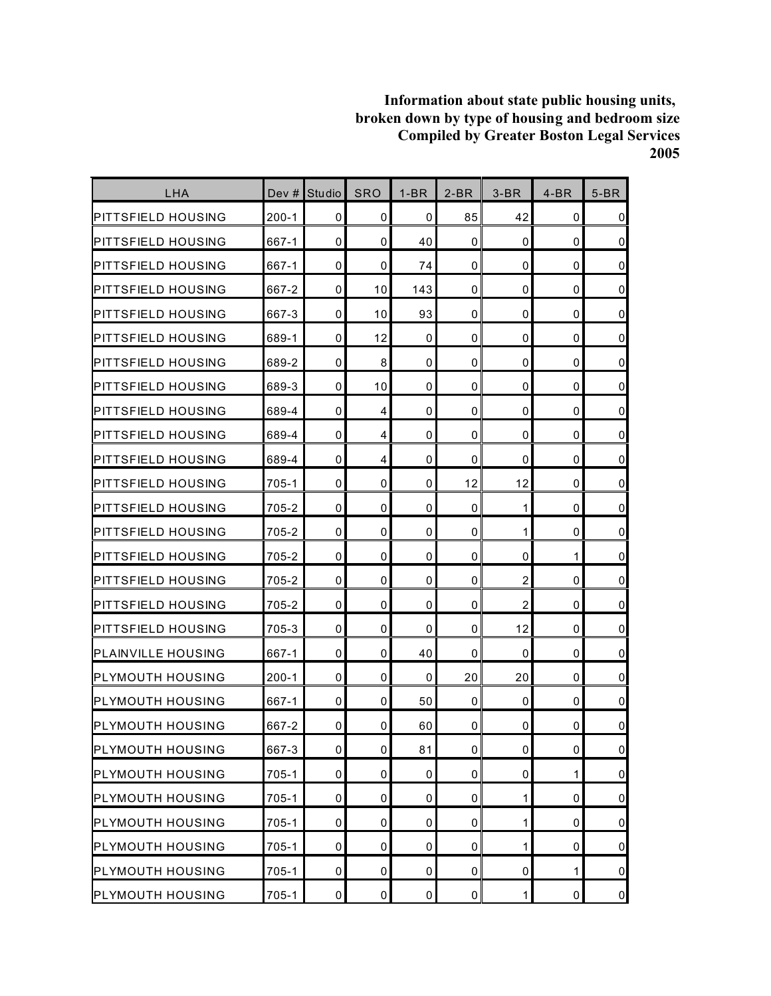| LHA                       | Dev $#$   | <b>Studio</b> | <b>SRO</b>     | $1-BR$      | $2-BR$              | $3-BR$         | $4-BR$      | $5-BR$              |
|---------------------------|-----------|---------------|----------------|-------------|---------------------|----------------|-------------|---------------------|
| PITTSFIELD HOUSING        | $200 - 1$ | 0             | 0              | 0           | 85                  | 42             | 0           | $\mathbf 0$         |
| <b>PITTSFIELD HOUSING</b> | 667-1     | $\mathbf 0$   | 0              | 40          | $\mathbf 0$         | 0              | $\mathbf 0$ | $\pmb{0}$           |
| IPITTSFIELD HOUSING       | 667-1     | 0             | 0              | 74          | 0                   | 0              | 0           | $\mathbf 0$         |
| IPITTSFIELD HOUSING       | 667-2     | $\mathbf 0$   | 10             | 143         | 0                   | 0              | 0           | $\pmb{0}$           |
| <b>PITTSFIELD HOUSING</b> | 667-3     | $\mathbf 0$   | 10             | 93          | 0                   | 0              | 0           | $\mathsf 0$         |
| <b>PITTSFIELD HOUSING</b> | 689-1     | 0             | 12             | 0           | 0                   | 0              | 0           | $\mathsf 0$         |
| <b>PITTSFIELD HOUSING</b> | 689-2     | $\mathbf 0$   | 8              | 0           | $\mathbf 0$         | 0              | $\mathbf 0$ | $\overline{0}$      |
| <b>PITTSFIELD HOUSING</b> | 689-3     | 0             | 10             | $\mathbf 0$ | 0                   | 0              | $\mathbf 0$ | $\pmb{0}$           |
| <b>PITTSFIELD HOUSING</b> | 689-4     | $\mathbf 0$   | 4              | 0           | $\mathbf 0$         | 0              | 0           | $\pmb{0}$           |
| <b>PITTSFIELD HOUSING</b> | 689-4     | $\mathbf 0$   | 4              | $\mathbf 0$ | $\mathbf 0$         | 0              | 0           | $\pmb{0}$           |
| <b>PITTSFIELD HOUSING</b> | 689-4     | 0             | 4              | 0           | 0                   | 0              | 0           | $\mathsf 0$         |
| <b>PITTSFIELD HOUSING</b> | 705-1     | $\mathbf 0$   | 0              | 0           | 12                  | 12             | 0           | $\mathbf 0$         |
| PITTSFIELD HOUSING        | 705-2     | $\mathbf 0$   | 0              | 0           | $\Omega$            | 1              | $\mathbf 0$ | $\mathsf 0$         |
| <b>PITTSFIELD HOUSING</b> | 705-2     | 0             | 0              | 0           | 0                   | 1              | 0           | $\mathbf 0$         |
| <b>PITTSFIELD HOUSING</b> | 705-2     | $\mathbf 0$   | $\mathbf 0$    | $\mathbf 0$ | 0                   | 0              | 1           | $\mathbf 0$         |
| IPITTSFIELD HOUSING       | 705-2     | 0             | 0              | 0           | $\Omega$            | 2              | 0           | $\mathbf 0$         |
| <b>PITTSFIELD HOUSING</b> | 705-2     | $\mathbf 0$   | 0              | 0           | 0                   | $\overline{c}$ | 0           | $\pmb{0}$           |
| PITTSFIELD HOUSING        | 705-3     | 0             | 0              | 0           | 0                   | 12             | 0           | $\mathsf{O}\xspace$ |
| <b>PLAINVILLE HOUSING</b> | 667-1     | 0             | 0              | 40          | 0                   | 0              | 0           | $\pmb{0}$           |
| <b>PLYMOUTH HOUSING</b>   | $200 - 1$ | $\mathbf 0$   | $\mathbf 0$    | 0           | 20                  | 20             | 0           | $\mathbf 0$         |
| <b>PLYMOUTH HOUSING</b>   | 667-1     | $\mathbf 0$   | 0              | 50          | $\mathbf 0$         | 0              | 0           | $\mathsf 0$         |
| <b>I</b> PLYMOUTH HOUSING | 667-2     | 0             | 0              | 60          | 0                   | 0              | 0           | $\pmb{0}$           |
| PLYMOUTH HOUSING          | 667-3     | $\pmb{0}$     | $\overline{0}$ | 81          | $\mathsf{O}\xspace$ | 0              | $\pmb{0}$   | $\mathbf 0$         |
| <b>PLYMOUTH HOUSING</b>   | 705-1     | $\pmb{0}$     | 0              | 0           | 0                   | 0              | 1           | $\overline{0}$      |
| <b>PLYMOUTH HOUSING</b>   | 705-1     | 0             | 0              | 0           | 0                   | 1              | 0           | $\overline{0}$      |
| <b>PLYMOUTH HOUSING</b>   | $705 - 1$ | $\mathbf 0$   | 0              | 0           | 0                   | $\mathbf{1}$   | $\mathbf 0$ | $\overline{0}$      |
| <b>PLYMOUTH HOUSING</b>   | 705-1     | $\pmb{0}$     | 0              | 0           | 0                   | 1              | 0           | $\pmb{0}$           |
| <b>PLYMOUTH HOUSING</b>   | $705 - 1$ | 0             | 0              | 0           | 0                   | 0              | 1           | $\overline{0}$      |
| <b>PLYMOUTH HOUSING</b>   | 705-1     | $\pmb{0}$     | 0              | $\pmb{0}$   | $\pmb{0}$           | $\mathbf{1}$   | $\pmb{0}$   | $\overline{0}$      |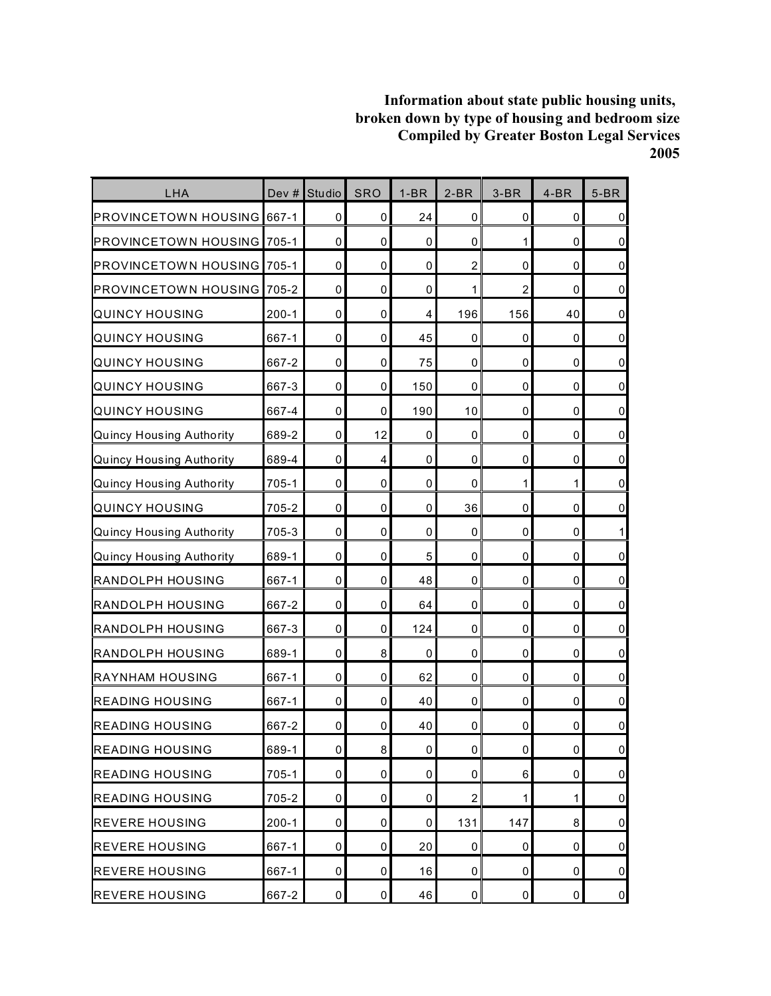| LHA                               | Dev #     | Studio      | <b>SRO</b>  | $1-BR$      | $2-BR$         | $3-BR$         | $4-BR$ | $5-BR$         |
|-----------------------------------|-----------|-------------|-------------|-------------|----------------|----------------|--------|----------------|
| <b>IPROVINCETOWN HOUSING</b>      | 667-1     | 0           | $\mathbf 0$ | 24          | $\mathbf 0$    | 0              | 0      | $\overline{0}$ |
| <b>PROVINCETOWN HOUSING</b>       | $705 - 1$ | 0           | 0           | 0           | $\mathbf 0$    | 1              | 0      | $\overline{0}$ |
| <b>PROVINCETOWN HOUSING</b>       | 705-1     | $\mathbf 0$ | 0           | 0           | $\overline{2}$ | 0              | 0      | $\pmb{0}$      |
| <b>PROVINCETOWN HOUSING 705-2</b> |           | 0           | $\mathbf 0$ | 0           | 1              | $\overline{2}$ | 0      | $\overline{0}$ |
| <b>QUINCY HOUSING</b>             | $200 - 1$ | 0           | $\mathbf 0$ | 4           | 196            | 156            | 40     | $\pmb{0}$      |
| QUINCY HOUSING                    | 667-1     | 0           | $\mathbf 0$ | 45          | 0              | 0              | 0      | $\pmb{0}$      |
| QUINCY HOUSING                    | 667-2     | $\mathbf 0$ | $\mathbf 0$ | 75          | $\mathbf 0$    | 0              | 0      | $\overline{0}$ |
| QUINCY HOUSING                    | 667-3     | $\mathbf 0$ | $\mathbf 0$ | 150         | $\mathbf 0$    | 0              | 0      | $\pmb{0}$      |
| <b>QUINCY HOUSING</b>             | 667-4     | $\mathbf 0$ | 0           | 190         | 10             | 0              | 0      | $\pmb{0}$      |
| <b>Quincy Housing Authority</b>   | 689-2     | $\mathbf 0$ | 12          | $\mathbf 0$ | $\mathbf 0$    | $\mathbf 0$    | 0      | $\pmb{0}$      |
| <b>Quincy Housing Authority</b>   | 689-4     | $\mathbf 0$ | 4           | 0           | 0              | 0              | 0      | $\pmb{0}$      |
| <b>Quincy Housing Authority</b>   | 705-1     | 0           | $\mathbf 0$ | 0           | $\mathbf 0$    | 1              | 1      | $\pmb{0}$      |
| QUINCY HOUSING                    | 705-2     | $\mathbf 0$ | $\mathbf 0$ | 0           | 36             | $\pmb{0}$      | 0      | $\pmb{0}$      |
| <b>Quincy Housing Authority</b>   | 705-3     | 0           | 0           | 0           | 0              | 0              | 0      | 1              |
| <b>Quincy Housing Authority</b>   | 689-1     | $\mathbf 0$ | $\mathbf 0$ | 5           | $\mathbf 0$    | $\mathbf 0$    | 0      | $\pmb{0}$      |
| <b>RANDOLPH HOUSING</b>           | 667-1     | $\mathbf 0$ | $\mathbf 0$ | 48          | $\mathbf 0$    | 0              | 0      | $\overline{0}$ |
| <b>RANDOLPH HOUSING</b>           | 667-2     | $\mathbf 0$ | $\mathbf 0$ | 64          | 0              | 0              | 0      | $\pmb{0}$      |
| RANDOLPH HOUSING                  | 667-3     | $\mathbf 0$ | $\mathbf 0$ | 124         | $\mathbf 0$    | 0              | 0      | $\pmb{0}$      |
| <b>RANDOLPH HOUSING</b>           | 689-1     | 0           | 8           | $\mathbf 0$ | 0              | 0              | 0      | $\pmb{0}$      |
| <b>RAYNHAM HOUSING</b>            | 667-1     | 0           | 0           | 62          | 0              | 0              | 0      | $\pmb{0}$      |
| <b>READING HOUSING</b>            | 667-1     | $\pmb{0}$   | 0           | 40          | 0              | 0              | 0      | $\pmb{0}$      |
| <b>READING HOUSING</b>            | 667-2     | 0           | 0           | 40          | 0              | 0              | 0      | $\pmb{0}$      |
| <b>READING HOUSING</b>            | 689-1     | $\pmb{0}$   | 8           | 0           | $\pmb{0}$      | 0              | 0      | $\overline{0}$ |
| <b>READING HOUSING</b>            | 705-1     | $\pmb{0}$   | $\mathbf 0$ | 0           | $\pmb{0}$      | 6              | 0      | $\overline{0}$ |
| <b>READING HOUSING</b>            | 705-2     | 0           | 0           | 0           | $\overline{2}$ | 1              | 1      | $\overline{0}$ |
| <b>REVERE HOUSING</b>             | $200 - 1$ | 0           | $\mathbf 0$ | 0           | 131            | 147            | 8      | $\overline{0}$ |
| <b>REVERE HOUSING</b>             | 667-1     | 0           | 0           | 20          | 0              | 0              | 0      | $\overline{0}$ |
| <b>REVERE HOUSING</b>             | 667-1     | 0           | 0           | 16          | 0              | 0              | 0      | $\overline{0}$ |
| <b>REVERE HOUSING</b>             | 667-2     | $\pmb{0}$   | $\pmb{0}$   | 46          | $\pmb{0}$      | 0              | 0      | $\overline{0}$ |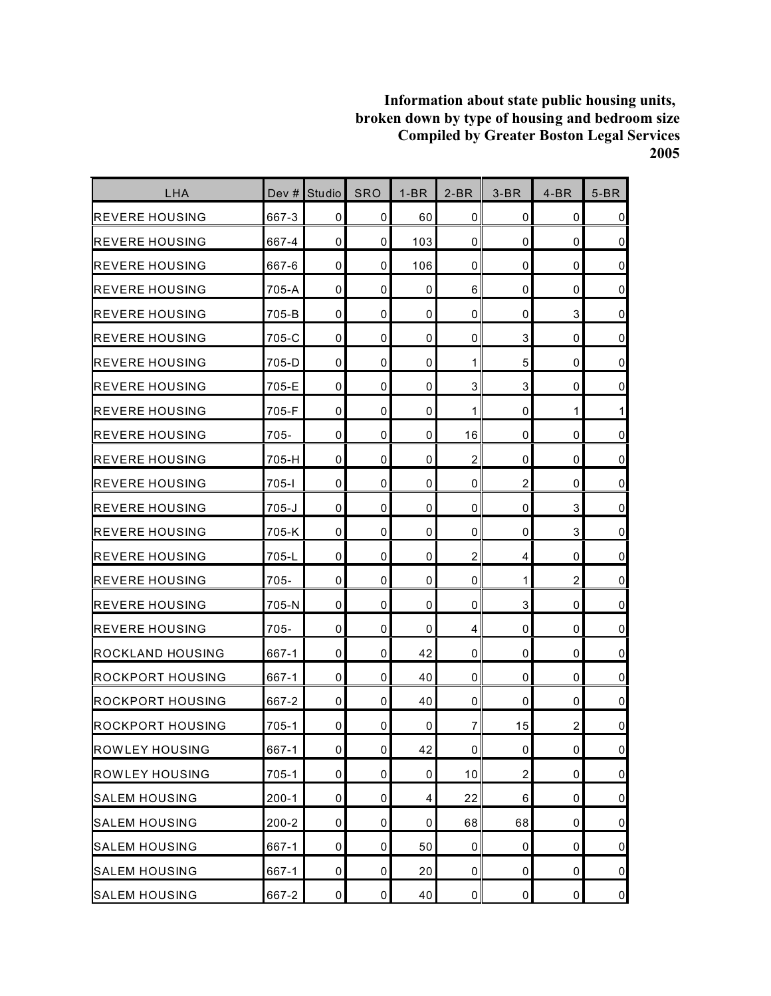| LHA                      | Dev #     | Studio      | <b>SRO</b>     | $1-BR$      | $2-BR$              | $3-BR$                  | $4-BR$         | $5-BR$         |
|--------------------------|-----------|-------------|----------------|-------------|---------------------|-------------------------|----------------|----------------|
| <b>REVERE HOUSING</b>    | 667-3     | 0           | 0              | 60          | $\mathbf 0$         | 0                       | 0              | $\mathbf 0$    |
| <b>REVERE HOUSING</b>    | 667-4     | $\mathbf 0$ | 0              | 103         | $\mathbf 0$         | 0                       | $\mathbf 0$    | $\pmb{0}$      |
| <b>I</b> REVERE HOUSING  | 667-6     | 0           | 0              | 106         | 0                   | 0                       | $\mathbf 0$    | $\mathbf 0$    |
| IREVERE HOUSING          | 705-A     | $\mathbf 0$ | 0              | 0           | 6                   | 0                       | 0              | $\pmb{0}$      |
| <b>REVERE HOUSING</b>    | 705-B     | $\mathbf 0$ | 0              | 0           | 0                   | 0                       | 3              | $\pmb{0}$      |
| <b>REVERE HOUSING</b>    | 705-C     | 0           | 0              | 0           | 0                   | 3                       | 0              | $\mathsf 0$    |
| <b>REVERE HOUSING</b>    | 705-D     | $\mathbf 0$ | 0              | 0           | 1                   | 5                       | $\mathbf 0$    | $\overline{0}$ |
| <b>REVERE HOUSING</b>    | 705-E     | $\mathbf 0$ | 0              | $\mathbf 0$ | 3                   | 3                       | $\mathbf 0$    | $\pmb{0}$      |
| <b>REVERE HOUSING</b>    | 705-F     | $\mathbf 0$ | 0              | 0           | 1                   | 0                       | 1              | 1              |
| <b>REVERE HOUSING</b>    | $705 -$   | $\mathbf 0$ | 0              | $\mathbf 0$ | 16                  | 0                       | 0              | $\pmb{0}$      |
| <b>REVERE HOUSING</b>    | 705-H     | 0           | 0              | 0           | $\overline{2}$      | 0                       | 0              | $\mathsf 0$    |
| <b>IREVERE HOUSING</b>   | 705-l     | $\mathbf 0$ | 0              | 0           | 0                   | $\overline{\mathbf{c}}$ | 0              | $\pmb{0}$      |
| <b>IREVERE HOUSING</b>   | $705 - J$ | $\mathbf 0$ | 0              | 0           | 0                   | 0                       | 3              | $\pmb{0}$      |
| <b>REVERE HOUSING</b>    | 705-K     | 0           | 0              | 0           | 0                   | 0                       | 3              | $\overline{0}$ |
| IREVERE HOUSING          | 705-L     | $\mathbf 0$ | $\mathbf 0$    | $\mathbf 0$ | 2                   | 4                       | 0              | $\mathbf 0$    |
| IREVERE HOUSING          | 705-      | 0           | 0              | 0           | 0                   | 1                       | $\overline{2}$ | $\overline{0}$ |
| <b>IREVERE HOUSING</b>   | 705-N     | $\mathbf 0$ | 0              | 0           | 0                   | 3                       | 0              | $\pmb{0}$      |
| <b>IREVERE HOUSING</b>   | $705 -$   | 0           | 0              | 0           | 4                   | 0                       | 0              | $\pmb{0}$      |
| <b>ROCKLAND HOUSING</b>  | 667-1     | 0           | 0              | 42          | 0                   | 0                       | 0              | $\pmb{0}$      |
| <b>IROCKPORT HOUSING</b> | 667-1     | 0           | 0              | 40          | $\mathbf 0$         | 0                       | 0              | $\pmb{0}$      |
| IROCKPORT HOUSING        | 667-2     | $\mathbf 0$ | 0              | 40          | $\mathbf 0$         | 0                       | 0              | $\mathsf 0$    |
| ROCKPORT HOUSING         | 705-1     | 0           | 0              | 0           | 7                   | 15                      | $\overline{c}$ | $\mathbf 0$    |
| <b>ROWLEY HOUSING</b>    | 667-1     | $\pmb{0}$   | $\overline{0}$ | 42          | $\mathsf{O}\xspace$ | 0                       | $\pmb{0}$      | $\pmb{0}$      |
| <b>ROWLEY HOUSING</b>    | $705 - 1$ | $\pmb{0}$   | 0              | $\pmb{0}$   | 10                  | $\overline{\mathbf{c}}$ | $\pmb{0}$      | $\overline{0}$ |
| <b>SALEM HOUSING</b>     | $200 - 1$ | 0           | 0              | 4           | 22                  | 6                       | 0              | $\overline{0}$ |
| <b>SALEM HOUSING</b>     | $200 - 2$ | $\pmb{0}$   | 0              | 0           | 68                  | 68                      | $\pmb{0}$      | $\overline{0}$ |
| <b>SALEM HOUSING</b>     | 667-1     | $\pmb{0}$   | $\pmb{0}$      | 50          | 0                   | 0                       | $\pmb{0}$      | $\pmb{0}$      |
| <b>SALEM HOUSING</b>     | 667-1     | 0           | 0              | 20          | 0                   | 0                       | 0              | $\overline{0}$ |
| <b>SALEM HOUSING</b>     | 667-2     | $\pmb{0}$   | $\pmb{0}$      | 40          | $\pmb{0}$           | 0                       | $\pmb{0}$      | $\overline{0}$ |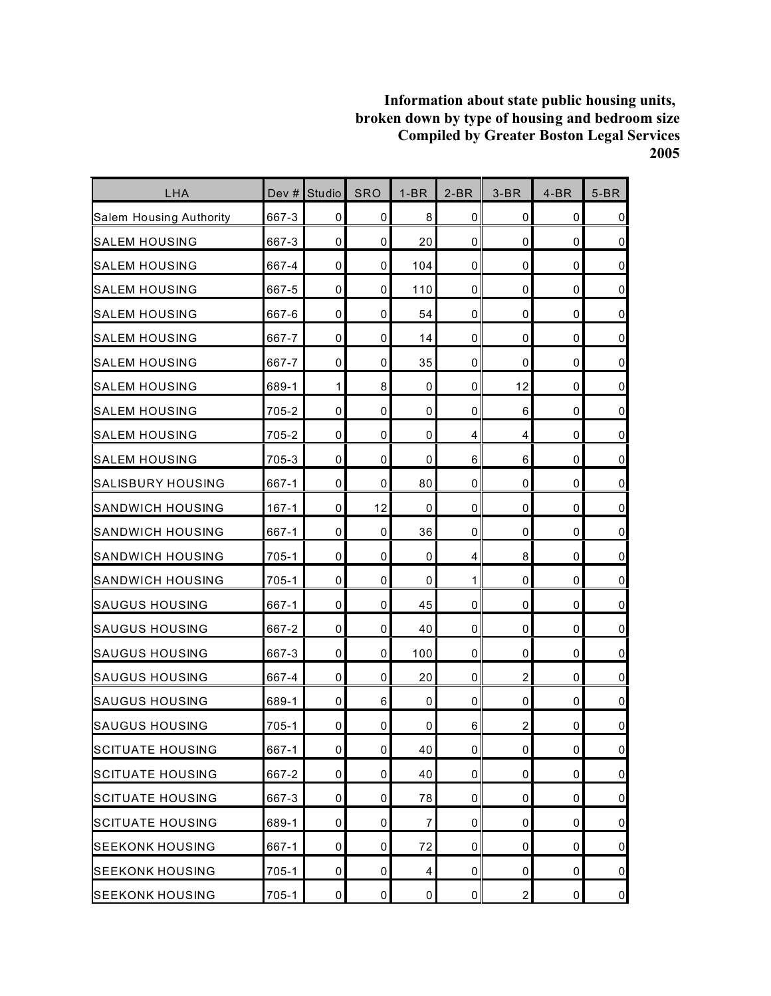| LHA                      | Dev #     | Studio      | <b>SRO</b>     | $1-BR$      | $2-BR$              | $3-BR$         | $4-BR$      | $5-BR$              |
|--------------------------|-----------|-------------|----------------|-------------|---------------------|----------------|-------------|---------------------|
| Salem Housing Authority  | 667-3     | 0           | 0              | 8           | $\mathbf 0$         | 0              | 0           | $\pmb{0}$           |
| <b>I</b> SALEM HOUSING   | 667-3     | $\mathbf 0$ | 0              | 20          | 0                   | 0              | 0           | $\mathsf 0$         |
| <b>SALEM HOUSING</b>     | 667-4     | 0           | 0              | 104         | 0                   | 0              | $\mathbf 0$ | $\pmb{0}$           |
| SALEM HOUSING            | 667-5     | $\mathbf 0$ | 0              | 110         | 0                   | 0              | 0           | $\pmb{0}$           |
| SALEM HOUSING            | 667-6     | $\mathbf 0$ | $\mathbf 0$    | 54          | $\mathbf 0$         | 0              | $\mathbf 0$ | $\mathsf 0$         |
| <b>SALEM HOUSING</b>     | 667-7     | 0           | 0              | 14          | 0                   | 0              | $\mathbf 0$ | $\mathsf 0$         |
| <b>SALEM HOUSING</b>     | 667-7     | $\mathbf 0$ | 0              | 35          | $\mathbf 0$         | 0              | $\mathbf 0$ | $\overline{0}$      |
| <b>SALEM HOUSING</b>     | 689-1     | 1           | 8              | 0           | 0                   | 12             | $\mathbf 0$ | $\pmb{0}$           |
| <b>SALEM HOUSING</b>     | 705-2     | $\mathbf 0$ | 0              | 0           | 0                   | 6              | 0           | $\pmb{0}$           |
| <b>SALEM HOUSING</b>     | 705-2     | $\mathbf 0$ | $\mathbf 0$    | $\mathbf 0$ | 4                   | 4              | $\mathbf 0$ | $\pmb{0}$           |
| <b>SALEM HOUSING</b>     | 705-3     | 0           | 0              | 0           | 6                   | 6              | 0           | $\mathsf 0$         |
| <b>SALISBURY HOUSING</b> | 667-1     | $\mathbf 0$ | 0              | 80          | 0                   | 0              | 0           | $\mathbf 0$         |
| <b>SANDWICH HOUSING</b>  | $167 - 1$ | $\pmb{0}$   | 12             | $\mathbf 0$ | 0                   | 0              | $\mathbf 0$ | $\mathsf{O}\xspace$ |
| <b>SANDWICH HOUSING</b>  | 667-1     | 0           | $\mathbf 0$    | 36          | 0                   | 0              | 0           | $\overline{0}$      |
| SANDWICH HOUSING         | $705 - 1$ | $\mathbf 0$ | $\mathbf 0$    | $\mathbf 0$ | 4                   | 8              | 0           | $\mathsf 0$         |
| <b>SANDWICH HOUSING</b>  | $705 - 1$ | $\pmb{0}$   | 0              | 0           | 1                   | 0              | 0           | $\overline{0}$      |
| SAUGUS HOUSING           | 667-1     | $\mathbf 0$ | 0              | 45          | 0                   | 0              | $\mathbf 0$ | $\pmb{0}$           |
| <b>SAUGUS HOUSING</b>    | 667-2     | $\pmb{0}$   | 0              | 40          | 0                   | 0              | $\mathbf 0$ | $\mathsf{O}\xspace$ |
| <b>SAUGUS HOUSING</b>    | 667-3     | 0           | 0              | 100         | 0                   | 0              | 0           | $\mathbf 0$         |
| <b>SAUGUS HOUSING</b>    | 667-4     | $\mathbf 0$ | 0              | 20          | $\mathbf 0$         | $\overline{c}$ | $\mathbf 0$ | $\pmb{0}$           |
| <b>SAUGUS HOUSING</b>    | 689-1     | 0           | 6              | 0           | 0                   | 0              | 0           | $\mathsf 0$         |
| SAUGUS HOUSING           | $705 - 1$ | $\mathbf 0$ | 0              | 0           | 6                   | 2              | 0           | $\mathbf 0$         |
| <b>SCITUATE HOUSING</b>  | 667-1     | $\pmb{0}$   | $\overline{0}$ | 40          | $\mathsf{O}\xspace$ | 0              | $\pmb{0}$   | $\pmb{0}$           |
| <b>SCITUATE HOUSING</b>  | 667-2     | $\pmb{0}$   | 0              | 40          | 0                   | 0              | $\pmb{0}$   | $\overline{0}$      |
| <b>SCITUATE HOUSING</b>  | 667-3     | 0           | 0              | 78          | 0                   | 0              | 0           | $\overline{0}$      |
| <b>SCITUATE HOUSING</b>  | 689-1     | $\pmb{0}$   | 0              | 7           | 0                   | 0              | 0           | $\overline{0}$      |
| <b>SEEKONK HOUSING</b>   | 667-1     | $\pmb{0}$   | 0              | 72          | 0                   | 0              | $\pmb{0}$   | $\overline{0}$      |
| <b>SEEKONK HOUSING</b>   | 705-1     | 0           | 0              | 4           | 0                   | 0              | 0           | $\overline{0}$      |
| <b>SEEKONK HOUSING</b>   | 705-1     | $\pmb{0}$   | $\pmb{0}$      | $\pmb{0}$   | $\pmb{0}$           | $\overline{2}$ | $\pmb{0}$   | $\overline{0}$      |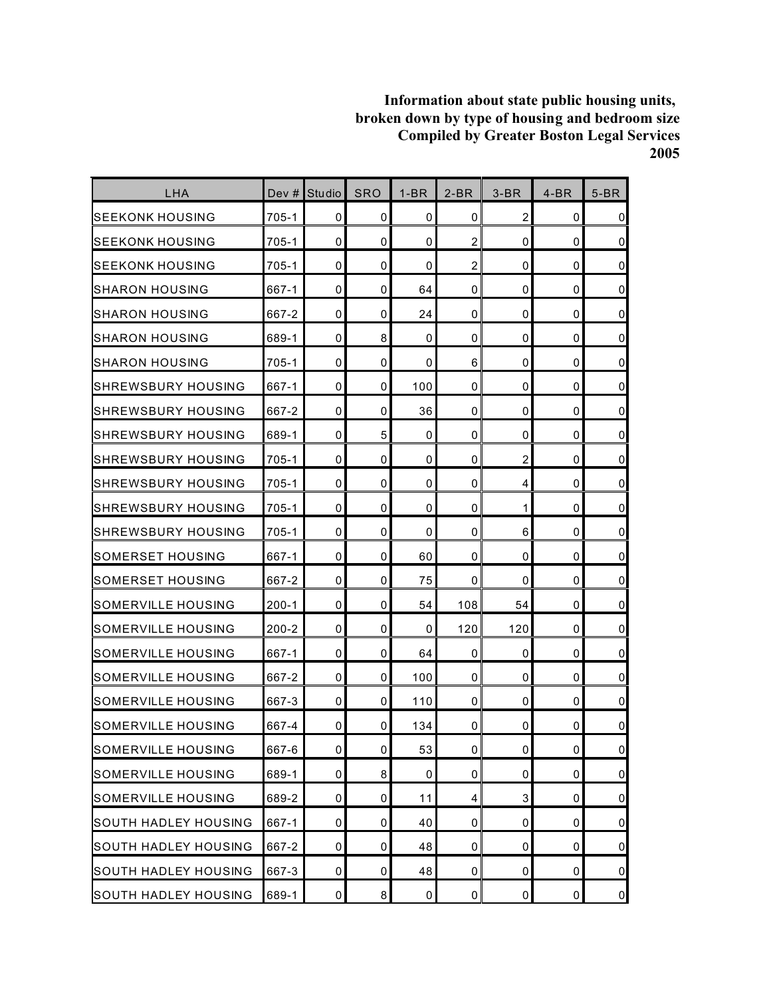| <b>LHA</b>                  | Dev #     | <b>Studio</b>       | <b>SRO</b> | $1-BR$      | $2-BR$                  | $3-BR$         | $4-BR$      | $5-BR$         |
|-----------------------------|-----------|---------------------|------------|-------------|-------------------------|----------------|-------------|----------------|
| SEEKONK HOUSING             | 705-1     | 0                   | 0          | 0           | $\mathbf 0$             | $\overline{c}$ | 0           | $\mathbf 0$    |
| lseekonk housing            | $705 - 1$ | $\mathbf 0$         | 0          | 0           | $\overline{c}$          | 0              | 0           | $\pmb{0}$      |
| ISEEKONK HOUSING            | $705 - 1$ | 0                   | 0          | $\mathbf 0$ | $\overline{2}$          | 0              | 0           | $\mathbf 0$    |
| ISHARON HOUSING             | 667-1     | $\mathbf 0$         | 0          | 64          | $\mathbf 0$             | 0              | 0           | $\pmb{0}$      |
| ISHARON HOUSING             | 667-2     | 0                   | 0          | 24          | 0                       | 0              | 0           | $\pmb{0}$      |
| ISHARON HOUSING             | 689-1     | 0                   | 8          | 0           | 0                       | 0              | 0           | $\mathbf 0$    |
| ISHARON HOUSING             | 705-1     | $\mathbf 0$         | 0          | 0           | 6                       | 0              | $\mathbf 0$ | $\pmb{0}$      |
| <b>SHREWSBURY HOUSING</b>   | 667-1     | $\mathbf{0}$        | 0          | 100         | 0                       | 0              | $\mathbf 0$ | $\mathbf 0$    |
| ISHREWSBURY HOUSING         | 667-2     | 0                   | 0          | 36          | $\mathbf 0$             | 0              | 0           | $\pmb{0}$      |
| ISHREWSBURY HOUSING         | 689-1     | 0                   | 5          | 0           | 0                       | 0              | 0           | $\mathbf 0$    |
| ISHREWSBURY HOUSING         | 705-1     | 0                   | 0          | 0           | 0                       | $\overline{c}$ | 0           | $\mathbf 0$    |
| ISHREWSBURY HOUSING         | 705-1     | 0                   | 0          | 0           | 0                       | 4              | 0           | $\mathbf 0$    |
| ISHREWSBURY HOUSING         | $705 - 1$ | $\mathbf 0$         | 0          | 0           | 0                       | 1              | $\mathbf 0$ | $\pmb{0}$      |
| ISHREWSBURY HOUSING         | $705 - 1$ | 0                   | 0          | 0           | 0                       | 6              | 0           | $\mathbf 0$    |
| ISOMERSET HOUSING           | 667-1     | 0                   | 0          | 60          | 0                       | 0              | 0           | $\mathbf 0$    |
| ISOMERSET HOUSING           | 667-2     | 0                   | 0          | 75          | 0                       | 0              | 0           | $\mathbf 0$    |
| ISOMERVILLE HOUSING         | $200 - 1$ | 0                   | 0          | 54          | 108                     | 54             | 0           | $\mathbf 0$    |
| SOMERVILLE HOUSING          | $200 - 2$ | $\mathbf 0$         | 0          | 0           | 120                     | 120            | 0           | $\pmb{0}$      |
| SOMERVILLE HOUSING          | 667-1     | 0                   | 0          | 64          | 0                       | 0              | 0           | $\mathbf 0$    |
| SOMERVILLE HOUSING          | 667-2     | $\mathbf 0$         | 0          | 100         | 0                       | 0              | 0           | $\mathbf 0$    |
| SOMERVILLE HOUSING          | 667-3     | $\mathbf 0$         | 0          | 110         | $\mathbf 0$             | 0              | $\mathbf 0$ | $\pmb{0}$      |
| ISOMERVILLE HOUSING         | 667-4     | 0                   | 0          | 134         | 0                       | 0              | 0           | 0              |
| <b>SOMERVILLE HOUSING</b>   | 667-6     | $\mathsf{O}\xspace$ | 0          | 53          | $\mathsf{O}\xspace$     | 0              | $\pmb{0}$   | $\mathbf 0$    |
| <b>SOMERVILLE HOUSING</b>   | 689-1     | 0                   | 8          | $\pmb{0}$   | 0                       | 0              | $\mathbf 0$ | $\overline{0}$ |
| SOMERVILLE HOUSING          | 689-2     | 0                   | 0          | 11          | $\overline{\mathbf{4}}$ | 3              | 0           | $\overline{0}$ |
| SOUTH HADLEY HOUSING        | 667-1     | $\mathbf 0$         | 0          | 40          | 0                       | 0              | 0           | $\overline{0}$ |
| <b>SOUTH HADLEY HOUSING</b> | 667-2     | 0                   | 0          | 48          | 0                       | 0              | 0           | $\pmb{0}$      |
| SOUTH HADLEY HOUSING        | 667-3     | 0                   | 0          | 48          | 0                       | 0              | 0           | $\overline{0}$ |
| <b>SOUTH HADLEY HOUSING</b> | 689-1     | $\mathbf 0$         | 8          | $\pmb{0}$   | $\mathbf 0$             | 0              | $\pmb{0}$   | $\overline{0}$ |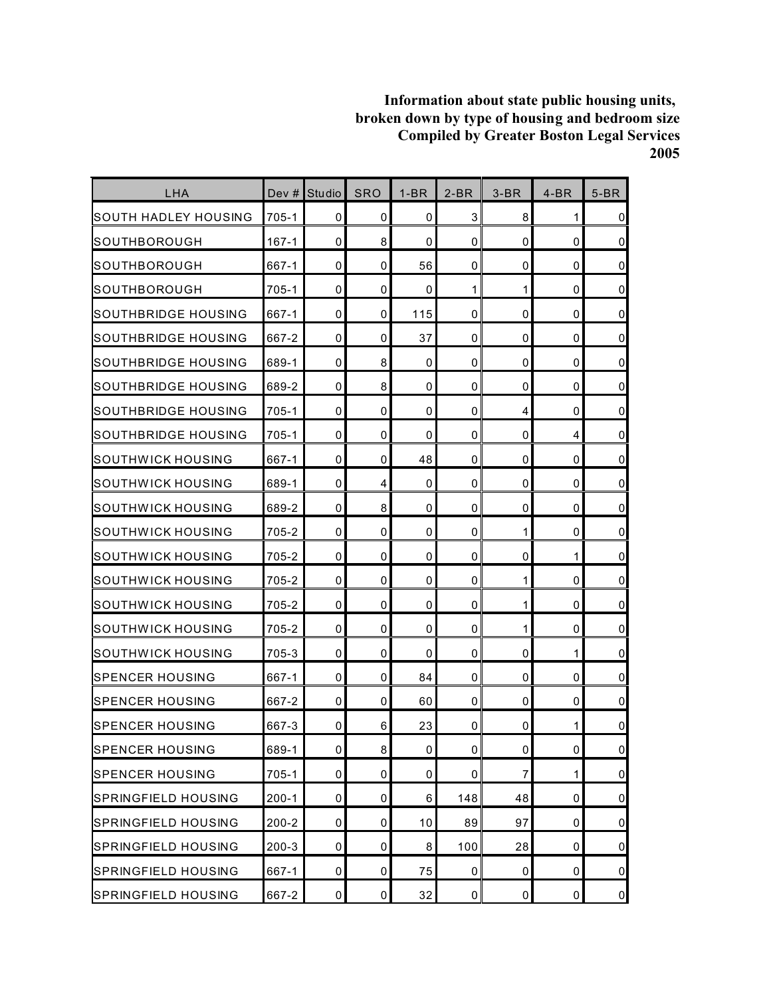| LHA                        | Dev $#$   | <b>Studio</b>       | <b>SRO</b> | $1-BR$ | $2-BR$      | $3-BR$ | $4-BR$      | $5-BR$         |
|----------------------------|-----------|---------------------|------------|--------|-------------|--------|-------------|----------------|
| SOUTH HADLEY HOUSING       | 705-1     | 0                   | 0          | 0      | 3           | 8      | 1           | $\overline{0}$ |
| SOUTHBOROUGH               | $167 - 1$ | $\mathbf 0$         | 8          | 0      | $\mathbf 0$ | 0      | 0           | $\overline{0}$ |
| SOUTHBOROUGH               | 667-1     | 0                   | 0          | 56     | 0           | 0      | $\mathbf 0$ | $\overline{0}$ |
| SOUTHBOROUGH               | 705-1     | 0                   | 0          | 0      | 1           | 1      | 0           | $\overline{0}$ |
| SOUTHBRIDGE HOUSING        | 667-1     | 0                   | 0          | 115    | 0           | 0      | 0           | $\overline{0}$ |
| SOUTHBRIDGE HOUSING        | 667-2     | 0                   | 0          | 37     | 0           | 0      | 0           | $\overline{0}$ |
| SOUTHBRIDGE HOUSING        | 689-1     | $\mathbf 0$         | 8          | 0      | 0           | 0      | $\mathbf 0$ | $\overline{0}$ |
| SOUTHBRIDGE HOUSING        | 689-2     | 0                   | 8          | 0      | 0           | 0      | $\mathbf 0$ | $\overline{0}$ |
| SOUTHBRIDGE HOUSING        | 705-1     | 0                   | 0          | 0      | 0           | 4      | 0           | $\overline{0}$ |
| SOUTHBRIDGE HOUSING        | 705-1     | 0                   | 0          | 0      | 0           | 0      | 4           | $\overline{0}$ |
| SOUTHWICK HOUSING          | 667-1     | 0                   | 0          | 48     | $\mathbf 0$ | 0      | 0           | $\overline{0}$ |
| SOUTHWICK HOUSING          | 689-1     | 0                   | 4          | 0      | 0           | 0      | 0           | $\overline{0}$ |
| SOUTHWICK HOUSING          | 689-2     | $\mathbf 0$         | 8          | 0      | $\mathbf 0$ | 0      | $\mathbf 0$ | $\pmb{0}$      |
| SOUTHWICK HOUSING          | 705-2     | 0                   | 0          | 0      | 0           | 1      | 0           | $\overline{0}$ |
| SOUTHWICK HOUSING          | 705-2     | 0                   | 0          | 0      | 0           | 0      | 1           | $\overline{0}$ |
| SOUTHWICK HOUSING          | 705-2     | 0                   | 0          | 0      | $\mathbf 0$ | 1      | 0           | $\overline{0}$ |
| SOUTHWICK HOUSING          | 705-2     | 0                   | 0          | 0      | 0           | 1      | 0           | $\overline{0}$ |
| SOUTHWICK HOUSING          | 705-2     | 0                   | 0          | 0      | $\mathbf 0$ | 1      | 0           | $\pmb{0}$      |
| SOUTHWICK HOUSING          | 705-3     | 0                   | 0          | 0      | 0           | 0      | 1           | $\overline{0}$ |
| <b>I</b> SPENCER HOUSING   | 667-1     | $\mathbf 0$         | 0          | 84     | 0           | 0      | 0           | $\overline{0}$ |
| <b>SPENCER HOUSING</b>     | 667-2     | $\mathbf 0$         | 0          | 60     | $\mathbf 0$ | 0      | 0           | $\overline{0}$ |
| SPENCER HOUSING            | 667-3     | 0                   | 6          | 23     | 0           | 0      | 1           | $\mathbf 0$    |
| <b>SPENCER HOUSING</b>     | 689-1     | $\mathsf{O}\xspace$ | 8          | 0      | $\mathbf 0$ | 0      | 0           | $\overline{0}$ |
| <b>SPENCER HOUSING</b>     | $705 - 1$ | 0                   | 0          | 0      | 0           | 7      | 1           | $\overline{0}$ |
| <b>SPRINGFIELD HOUSING</b> | $200 - 1$ | 0                   | 0          | 6      | 148         | 48     | 0           | $\overline{0}$ |
| <b>SPRINGFIELD HOUSING</b> | $200 - 2$ | $\mathbf 0$         | 0          | 10     | 89          | 97     | 0           | $\overline{0}$ |
| <b>SPRINGFIELD HOUSING</b> | $200 - 3$ | $\pmb{0}$           | 0          | 8      | 100         | 28     | 0           | $\overline{0}$ |
| <b>SPRINGFIELD HOUSING</b> | 667-1     | 0                   | 0          | 75     | 0           | 0      | 0           | $\overline{0}$ |
| <b>SPRINGFIELD HOUSING</b> | 667-2     | $\mathbf 0$         | 0          | 32     | $\pmb{0}$   | 0      | $\pmb{0}$   | $\overline{0}$ |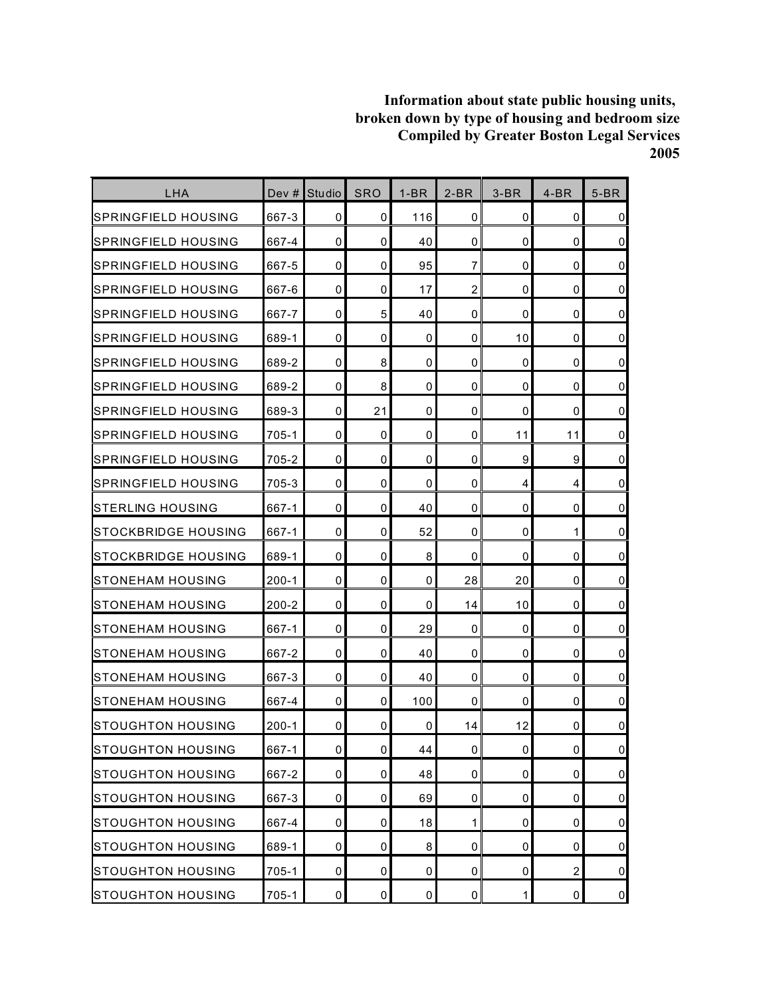| LHA                         | Dev #     | <b>Studio</b>       | <b>SRO</b> | $1-BR$      | $2-BR$         | $3-BR$      | $4-BR$         | $5-BR$         |
|-----------------------------|-----------|---------------------|------------|-------------|----------------|-------------|----------------|----------------|
| SPRINGFIELD HOUSING         | 667-3     | 0                   | 0          | 116         | $\mathbf 0$    | 0           | 0              | $\mathbf 0$    |
| ISPRINGFIELD HOUSING        | 667-4     | $\mathbf 0$         | 0          | 40          | $\mathbf 0$    | 0           | 0              | $\mathbf 0$    |
| ISPRINGFIELD HOUSING        | 667-5     | 0                   | 0          | 95          | 7              | 0           | 0              | $\mathbf 0$    |
| ISPRINGFIELD HOUSING        | 667-6     | $\mathbf 0$         | 0          | 17          | $\overline{2}$ | 0           | 0              | $\pmb{0}$      |
| ISPRINGFIELD HOUSING        | 667-7     | 0                   | 5          | 40          | 0              | 0           | 0              | $\mathbf 0$    |
| <b>ISPRINGFIELD HOUSING</b> | 689-1     | 0                   | 0          | 0           | 0              | 10          | 0              | $\mathbf 0$    |
| <b>ISPRINGFIELD HOUSING</b> | 689-2     | $\mathbf 0$         | 8          | 0           | $\mathbf 0$    | 0           | $\mathbf 0$    | $\pmb{0}$      |
| SPRINGFIELD HOUSING         | 689-2     | $\mathbf{0}$        | 8          | $\mathbf 0$ | 0              | 0           | $\mathbf 0$    | $\mathbf 0$    |
| SPRINGFIELD HOUSING         | 689-3     | 0                   | 21         | 0           | $\mathbf 0$    | 0           | 0              | $\mathbf 0$    |
| SPRINGFIELD HOUSING         | 705-1     | 0                   | 0          | $\mathbf 0$ | 0              | 11          | 11             | $\mathbf 0$    |
| SPRINGFIELD HOUSING         | 705-2     | 0                   | 0          | 0           | 0              | 9           | 9              | $\mathbf 0$    |
| SPRINGFIELD HOUSING         | 705-3     | 0                   | 0          | 0           | 0              | 4           | 4              | $\mathbf 0$    |
| <b>STERLING HOUSING</b>     | 667-1     | $\mathbf{0}$        | 0          | 40          | $\Omega$       | 0           | $\mathbf 0$    | $\pmb{0}$      |
| ISTOCKBRIDGE HOUSING        | 667-1     | 0                   | 0          | 52          | 0              | 0           | 1              | $\mathbf 0$    |
| ISTOCKBRIDGE HOUSING        | 689-1     | 0                   | 0          | 8           | 0              | 0           | 0              | $\mathbf 0$    |
| ISTONEHAM HOUSING           | $200 - 1$ | 0                   | 0          | 0           | 28             | 20          | 0              | $\mathbf 0$    |
| ISTONEHAM HOUSING           | 200-2     | 0                   | 0          | 0           | 14             | 10          | 0              | $\mathbf 0$    |
| <b>I</b> STONEHAM HOUSING   | 667-1     | 0                   | 0          | 29          | 0              | 0           | 0              | $\pmb{0}$      |
| <b>I</b> STONEHAM HOUSING   | 667-2     | 0                   | 0          | 40          | 0              | 0           | 0              | $\mathbf 0$    |
| <b>I</b> STONEHAM HOUSING   | 667-3     | $\mathbf 0$         | 0          | 40          | $\mathbf 0$    | 0           | 0              | $\mathbf 0$    |
| <b>I</b> STONEHAM HOUSING   | 667-4     | $\mathbf 0$         | 0          | 100         | $\mathbf 0$    | 0           | $\mathbf 0$    | $\pmb{0}$      |
| ISTOUGHTON HOUSING          | 200-1     | 0                   | 0          | 0           | 14             | 12          | 0              | 0              |
| <b>STOUGHTON HOUSING</b>    | 667-1     | $\mathsf{O}\xspace$ | 0          | 44          | $\pmb{0}$      | 0           | $\pmb{0}$      | $\mathbf 0$    |
| STOUGHTON HOUSING           | 667-2     | $\pmb{0}$           | 0          | 48          | 0              | 0           | $\mathbf 0$    | $\overline{0}$ |
| <b>STOUGHTON HOUSING</b>    | 667-3     | 0                   | 0          | 69          | 0              | 0           | 0              | $\overline{0}$ |
| STOUGHTON HOUSING           | 667-4     | $\mathbf 0$         | 0          | 18          | 1              | 0           | 0              | $\overline{0}$ |
| <b>STOUGHTON HOUSING</b>    | 689-1     | 0                   | 0          | 8           | $\mathbf 0$    | 0           | 0              | $\pmb{0}$      |
| <b>STOUGHTON HOUSING</b>    | 705-1     | 0                   | 0          | $\pmb{0}$   | 0              | 0           | $\overline{c}$ | $\overline{0}$ |
| <b>STOUGHTON HOUSING</b>    | $705 - 1$ | $\mathbf 0$         | $\pmb{0}$  | $\pmb{0}$   | $\mathbf 0$    | $\mathbf 1$ | $\pmb{0}$      | $\overline{0}$ |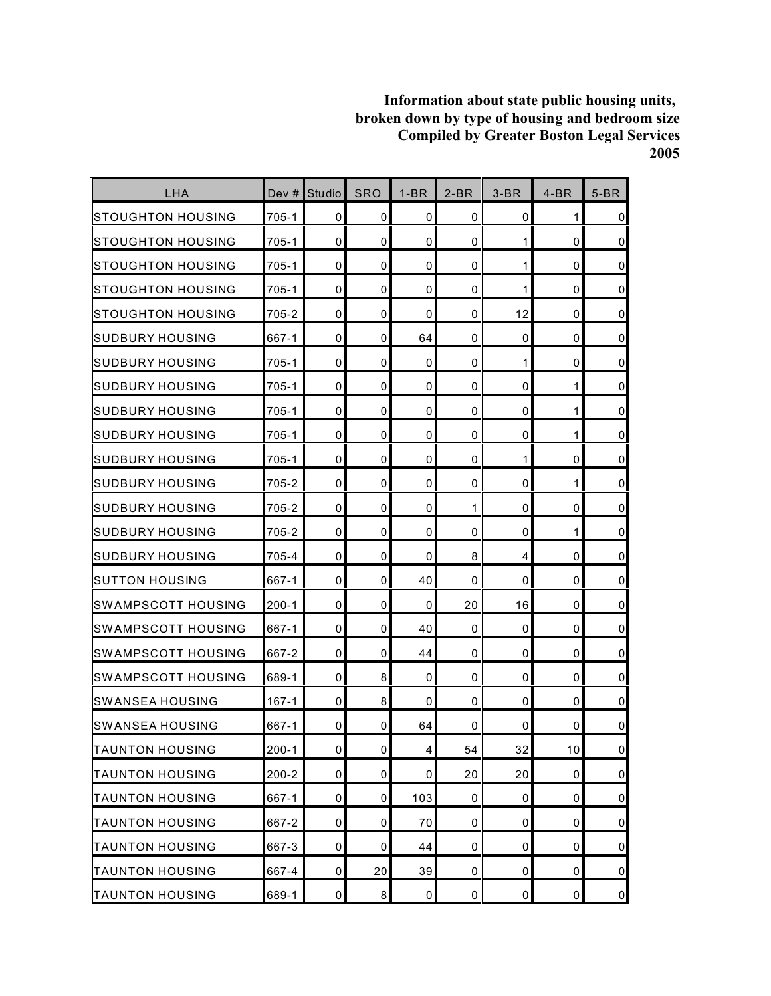| LHA                      | Dev #     | Studio      | <b>SRO</b>     | $1-BR$                  | $2-BR$      | $3-BR$      | $4-BR$      | $5-BR$         |
|--------------------------|-----------|-------------|----------------|-------------------------|-------------|-------------|-------------|----------------|
| STOUGHTON HOUSING        | 705-1     | 0           | 0              | 0                       | $\mathbf 0$ | 0           | 1           | $\overline{0}$ |
| STOUGHTON HOUSING        | 705-1     | $\mathbf 0$ | 0              | 0                       | $\mathbf 0$ | 1           | 0           | $\overline{0}$ |
| STOUGHTON HOUSING        | 705-1     | 0           | 0              | $\mathbf 0$             | 0           | 1           | $\mathbf 0$ | $\overline{0}$ |
| STOUGHTON HOUSING        | 705-1     | 0           | 0              | 0                       | $\mathbf 0$ | 1           | 0           | $\overline{0}$ |
| STOUGHTON HOUSING        | 705-2     | 0           | 0              | $\mathbf 0$             | 0           | 12          | 0           | $\overline{0}$ |
| ISUDBURY HOUSING         | 667-1     | $\mathbf 0$ | 0              | 64                      | 0           | 0           | 0           | $\overline{0}$ |
| <b>I</b> SUDBURY HOUSING | 705-1     | $\mathbf 0$ | 0              | 0                       | $\mathbf 0$ | 1           | 0           | $\overline{0}$ |
| SUDBURY HOUSING          | 705-1     | $\mathbf 0$ | 0              | $\mathbf 0$             | 0           | $\mathbf 0$ | 1           | $\overline{0}$ |
| <b>SUDBURY HOUSING</b>   | 705-1     | $\mathbf 0$ | 0              | 0                       | $\mathbf 0$ | 0           | 1           | $\overline{0}$ |
| <b>SUDBURY HOUSING</b>   | 705-1     | $\mathbf 0$ | 0              | $\mathbf 0$             | $\mathbf 0$ | 0           | 1           | $\overline{0}$ |
| ISUDBURY HOUSING         | 705-1     | 0           | 0              | 0                       | 0           | 1           | 0           | $\overline{0}$ |
| SUDBURY HOUSING          | 705-2     | 0           | 0              | 0                       | 0           | 0           | 1           | $\overline{0}$ |
| SUDBURY HOUSING          | 705-2     | $\mathbf 0$ | 0              | $\mathbf 0$             | 1           | $\mathbf 0$ | $\mathbf 0$ | $\pmb{0}$      |
| <b>SUDBURY HOUSING</b>   | 705-2     | 0           | 0              | 0                       | 0           | 0           | 1           | $\overline{0}$ |
| ISUDBURY HOUSING         | 705-4     | 0           | 0              | $\mathbf 0$             | 8           | 4           | 0           | $\overline{0}$ |
| SUTTON HOUSING           | 667-1     | 0           | 0              | 40                      | 0           | $\mathbf 0$ | 0           | $\overline{0}$ |
| SWAMPSCOTT HOUSING       | 200-1     | $\mathbf 0$ | 0              | 0                       | 20          | 16          | 0           | $\overline{0}$ |
| SWAMPSCOTT HOUSING       | 667-1     | 0           | 0              | 40                      | $\mathbf 0$ | $\mathbf 0$ | 0           | $\overline{0}$ |
| SWAMPSCOTT HOUSING       | 667-2     | 0           | 0              | 44                      | 0           | 0           | 0           | $\overline{0}$ |
| ISWAMPSCOTT HOUSING      | 689-1     | $\mathbf 0$ | 8              | 0                       | $\mathbf 0$ | 0           | 0           | $\overline{0}$ |
| <b>SWANSEA HOUSING</b>   | $167 - 1$ | 0           | 8              | 0                       | $\mathbf 0$ | $\mathbf 0$ | 0           | $\overline{0}$ |
| <b>SWANSEA HOUSING</b>   | 667-1     | 0           | 0              | 64                      | 0           | 0           | 0           | $\mathbf 0$    |
| <b>TAUNTON HOUSING</b>   | $200 - 1$ | $\pmb{0}$   | $\overline{0}$ | $\overline{\mathbf{4}}$ | 54          | 32          | 10          | $\overline{0}$ |
| <b>TAUNTON HOUSING</b>   | $200 - 2$ | $\pmb{0}$   | 0              | 0                       | 20          | 20          | $\pmb{0}$   | $\overline{0}$ |
| <b>TAUNTON HOUSING</b>   | 667-1     | 0           | 0              | 103                     | 0           | 0           | 0           | $\overline{0}$ |
| <b>TAUNTON HOUSING</b>   | 667-2     | $\pmb{0}$   | 0              | 70                      | $\pmb{0}$   | $\pmb{0}$   | 0           | $\overline{0}$ |
| <b>TAUNTON HOUSING</b>   | 667-3     | $\pmb{0}$   | 0              | 44                      | 0           | $\mathbf 0$ | 0           | $\overline{0}$ |
| <b>TAUNTON HOUSING</b>   | 667-4     | 0           | 20             | 39                      | 0           | 0           | 0           | $\overline{0}$ |
| <b>TAUNTON HOUSING</b>   | 689-1     | $\pmb{0}$   | 8              | $\pmb{0}$               | $\pmb{0}$   | $\pmb{0}$   | $\pmb{0}$   | $\overline{0}$ |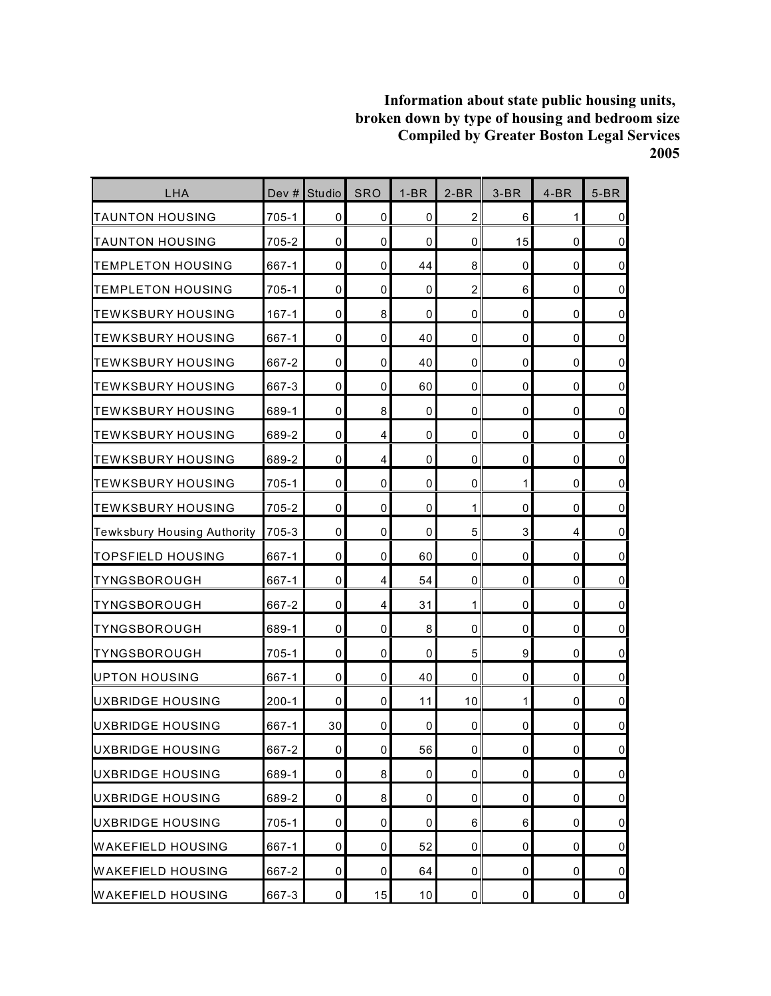| LHA                         | Dev $#$   | Studio              | <b>SRO</b>  | $1-BR$ | $2-BR$         | $3-BR$       | $4-BR$      | $5-BR$         |
|-----------------------------|-----------|---------------------|-------------|--------|----------------|--------------|-------------|----------------|
| <b>TAUNTON HOUSING</b>      | 705-1     | 0                   | 0           | 0      | $\overline{2}$ | 6            | 1           | $\overline{0}$ |
| <b>ITAUNTON HOUSING</b>     | 705-2     | $\mathbf 0$         | 0           | 0      | $\mathbf 0$    | 15           | 0           | $\overline{0}$ |
| <b>TEMPLETON HOUSING</b>    | 667-1     | 0                   | $\mathbf 0$ | 44     | 8              | 0            | $\mathbf 0$ | $\overline{0}$ |
| <b>TEMPLETON HOUSING</b>    | 705-1     | $\mathbf 0$         | 0           | 0      | $\overline{2}$ | 6            | 0           | $\overline{0}$ |
| <b>ITEWKSBURY HOUSING</b>   | $167 - 1$ | $\mathbf 0$         | 8           | 0      | 0              | 0            | 0           | $\overline{0}$ |
| <b>ITEWKSBURY HOUSING</b>   | 667-1     | 0                   | 0           | 40     | $\mathbf 0$    | 0            | 0           | $\overline{0}$ |
| <b>ITEWKSBURY HOUSING</b>   | 667-2     | $\mathbf 0$         | 0           | 40     | $\mathbf 0$    | 0            | 0           | $\overline{0}$ |
| TEWKSBURY HOUSING           | 667-3     | $\mathbf 0$         | 0           | 60     | $\mathbf 0$    | 0            | $\mathbf 0$ | $\overline{0}$ |
| <b>ITEWKSBURY HOUSING</b>   | 689-1     | $\mathbf 0$         | 8           | 0      | 0              | 0            | 0           | $\overline{0}$ |
| <b>ITEWKSBURY HOUSING</b>   | 689-2     | $\mathbf 0$         | 4           | 0      | 0              | 0            | 0           | $\overline{0}$ |
| <b>ITEWKSBURY HOUSING</b>   | 689-2     | 0                   | 4           | 0      | $\mathbf 0$    | 0            | 0           | $\overline{0}$ |
| <b>ITEWKSBURY HOUSING</b>   | 705-1     | 0                   | 0           | 0      | 0              | $\mathbf{1}$ | 0           | $\overline{0}$ |
| <b>TEWKSBURY HOUSING</b>    | 705-2     | $\mathbf 0$         | 0           | 0      | 1              | 0            | $\mathbf 0$ | $\overline{0}$ |
| Tewksbury Housing Authority | 705-3     | $\mathbf 0$         | 0           | 0      | 5              | 3            | 4           | $\overline{0}$ |
| TOPSFIELD HOUSING           | 667-1     | $\mathbf 0$         | 0           | 60     | 0              | 0            | 0           | $\overline{0}$ |
| <b>TYNGSBOROUGH</b>         | 667-1     | 0                   | 4           | 54     | 0              | 0            | $\mathbf 0$ | $\overline{0}$ |
| TYNGSBOROUGH                | 667-2     | $\mathbf 0$         | 4           | 31     | 1              | 0            | 0           | $\overline{0}$ |
| TYNGSBOROUGH                | 689-1     | $\mathbf 0$         | 0           | 8      | $\mathbf 0$    | 0            | 0           | $\overline{0}$ |
| TYNGSBOROUGH                | 705-1     | 0                   | 0           | 0      | 5              | 9            | 0           | $\overline{0}$ |
| UPTON HOUSING               | 667-1     | $\mathbf 0$         | 0           | 40     | 0              | 0            | 0           | $\overline{0}$ |
| <b>UXBRIDGE HOUSING</b>     | $200 - 1$ | $\mathbf 0$         | 0           | 11     | 10             | $\mathbf{1}$ | $\mathbf 0$ | $\overline{0}$ |
| <b>UXBRIDGE HOUSING</b>     | 667-1     | 30                  | 0           | 0      | 0              | 0            | 0           | $\pmb{0}$      |
| UXBRIDGE HOUSING            | 667-2     | $\mathsf{O}\xspace$ | 0           | 56     | $\mathbf 0$    | 0            | 0           | $\overline{0}$ |
| UXBRIDGE HOUSING            | 689-1     | 0                   | 8           | 0      | 0              | 0            | 0           | $\overline{0}$ |
| UXBRIDGE HOUSING            | 689-2     | 0                   | 8           | 0      | 0              | 0            | 0           | $\overline{0}$ |
| UXBRIDGE HOUSING            | $705 - 1$ | $\mathbf 0$         | 0           | 0      | 6              | 6            | 0           | $\overline{0}$ |
| <b>WAKEFIELD HOUSING</b>    | 667-1     | 0                   | 0           | 52     | 0              | 0            | 0           | $\overline{0}$ |
| <b>WAKEFIELD HOUSING</b>    | 667-2     | 0                   | 0           | 64     | 0              | 0            | 0           | $\overline{0}$ |
| <b>WAKEFIELD HOUSING</b>    | 667-3     | $\mathbf 0$         | 15          | 10     | $\pmb{0}$      | 0            | $\pmb{0}$   | $\overline{0}$ |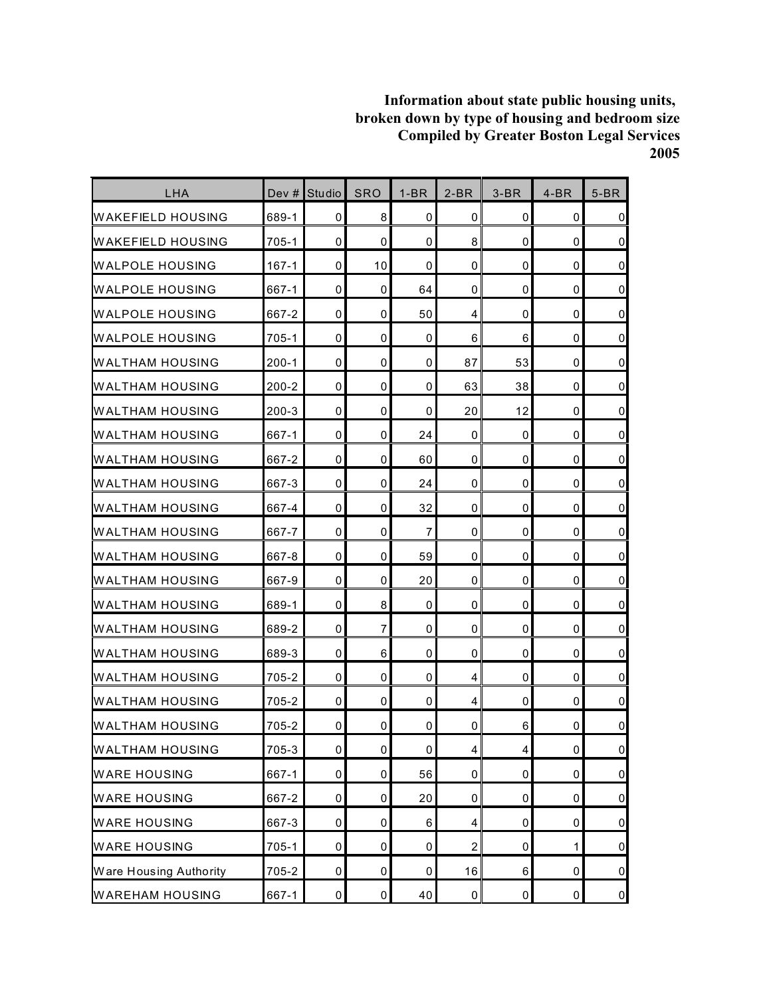| LHA                      | Dev #     | Studio      | <b>SRO</b>  | $1-BR$      | $2-BR$         | $3-BR$ | $4-BR$      | $5-BR$         |
|--------------------------|-----------|-------------|-------------|-------------|----------------|--------|-------------|----------------|
| WAKEFIELD HOUSING        | 689-1     | 0           | 8           | 0           | $\mathbf{0}$   | 0      | 0           | $\mathbf 0$    |
| <b>WAKEFIELD HOUSING</b> | 705-1     | $\mathbf 0$ | 0           | 0           | 8              | 0      | $\mathbf 0$ | $\mathbf 0$    |
| WALPOLE HOUSING          | $167 - 1$ | 0           | 10          | 0           | 0              | 0      | 0           | $\mathbf 0$    |
| <b>IWALPOLE HOUSING</b>  | 667-1     | $\mathbf 0$ | 0           | 64          | 0              | 0      | 0           | $\pmb{0}$      |
| IWALPOLE HOUSING         | 667-2     | 0           | 0           | 50          | 4              | 0      | 0           | $\pmb{0}$      |
| <b>WALPOLE HOUSING</b>   | $705 - 1$ | 0           | 0           | 0           | 6              | 6      | 0           | $\mathbf 0$    |
| <b>WALTHAM HOUSING</b>   | $200 - 1$ | $\mathbf 0$ | $\mathbf 0$ | 0           | 87             | 53     | $\mathbf 0$ | $\pmb{0}$      |
| <b>WALTHAM HOUSING</b>   | $200 - 2$ | 0           | 0           | $\mathbf 0$ | 63             | 38     | $\mathbf 0$ | $\mathbf 0$    |
| <b>WALTHAM HOUSING</b>   | $200 - 3$ | $\mathbf 0$ | 0           | 0           | 20             | 12     | 0           | $\pmb{0}$      |
| <b>WALTHAM HOUSING</b>   | 667-1     | $\mathbf 0$ | 0           | 24          | $\mathbf{0}$   | 0      | 0           | $\mathbf 0$    |
| <b>WALTHAM HOUSING</b>   | 667-2     | 0           | 0           | 60          | 0              | 0      | 0           | $\mathbf 0$    |
| WALTHAM HOUSING          | 667-3     | $\mathbf 0$ | 0           | 24          | 0              | 0      | 0           | $\pmb{0}$      |
| <b>WALTHAM HOUSING</b>   | 667-4     | $\mathbf 0$ | 0           | 32          | 0              | 0      | $\mathbf 0$ | $\pmb{0}$      |
| <b>WALTHAM HOUSING</b>   | 667-7     | $\mathbf 0$ | 0           | 7           | 0              | 0      | 0           | $\mathbf 0$    |
| <b>WALTHAM HOUSING</b>   | 667-8     | 0           | 0           | 59          | 0              | 0      | 0           | $\mathbf 0$    |
| <b>WALTHAM HOUSING</b>   | 667-9     | 0           | 0           | 20          | 0              | 0      | 0           | $\mathbf 0$    |
| WALTHAM HOUSING          | 689-1     | $\mathbf 0$ | 8           | 0           | 0              | 0      | 0           | $\mathbf 0$    |
| WALTHAM HOUSING          | 689-2     | 0           | 7           | 0           | 0              | 0      | 0           | $\pmb{0}$      |
| <b>WALTHAM HOUSING</b>   | 689-3     | 0           | 6           | 0           | 0              | 0      | 0           | $\pmb{0}$      |
| <b>WALTHAM HOUSING</b>   | 705-2     | $\mathbf 0$ | 0           | 0           | 4              | 0      | 0           | $\mathbf 0$    |
| <b>WALTHAM HOUSING</b>   | 705-2     | $\mathbf 0$ | 0           | 0           | 4              | 0      | $\mathbf 0$ | $\mathbf 0$    |
| IWALTHAM HOUSING         | 705-2     | 0           | 0           | 0           | 0              | 6      | 0           | $\mathbf 0$    |
| <b>WALTHAM HOUSING</b>   | 705-3     | $\pmb{0}$   | $\pmb{0}$   | 0           | $\overline{4}$ | 4      | $\pmb{0}$   | $\pmb{0}$      |
| <b>WARE HOUSING</b>      | 667-1     | $\pmb{0}$   | 0           | 56          | $\pmb{0}$      | 0      | $\pmb{0}$   | $\overline{0}$ |
| <b>WARE HOUSING</b>      | 667-2     | 0           | 0           | 20          | 0              | 0      | 0           | $\overline{0}$ |
| <b>WARE HOUSING</b>      | 667-3     | $\pmb{0}$   | 0           | 6           | 4              | 0      | $\pmb{0}$   | $\overline{0}$ |
| <b>WARE HOUSING</b>      | $705 - 1$ | $\pmb{0}$   | $\pmb{0}$   | $\pmb{0}$   | $\overline{2}$ | 0      | 1           | $\pmb{0}$      |
| Ware Housing Authority   | 705-2     | 0           | 0           | 0           | 16             | 6      | 0           | $\overline{0}$ |
| <b>WAREHAM HOUSING</b>   | 667-1     | $\pmb{0}$   | $\pmb{0}$   | 40          | $\pmb{0}$      | 0      | $\pmb{0}$   | $\overline{0}$ |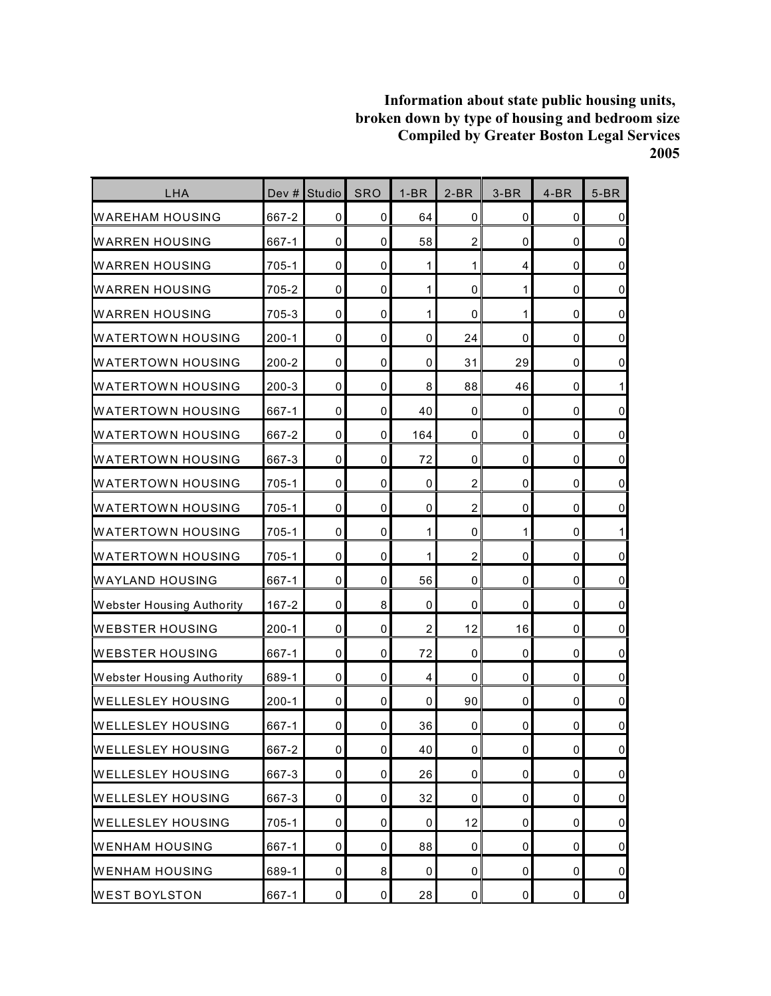| LHA                              | Dev #     | <b>Studio</b> | <b>SRO</b>  | $1-BR$                  | $2-BR$         | $3-BR$      | $4-BR$      | $5-BR$              |
|----------------------------------|-----------|---------------|-------------|-------------------------|----------------|-------------|-------------|---------------------|
| <b>WAREHAM HOUSING</b>           | 667-2     | 0             | 0           | 64                      | $\mathbf 0$    | 0           | 0           | $\pmb{0}$           |
| <b>WARREN HOUSING</b>            | 667-1     | $\mathbf 0$   | 0           | 58                      | $\overline{c}$ | 0           | $\mathbf 0$ | $\mathbf 0$         |
| <b>WARREN HOUSING</b>            | 705-1     | $\mathbf 0$   | 0           | 1                       | 1              | 4           | $\mathbf 0$ | $\pmb{0}$           |
| <b>WARREN HOUSING</b>            | 705-2     | $\mathbf 0$   | 0           | 1                       | $\mathbf 0$    | 1           | 0           | $\pmb{0}$           |
| <b>WARREN HOUSING</b>            | 705-3     | $\mathbf 0$   | $\mathbf 0$ | 1                       | $\mathbf 0$    | 1           | 0           | $\mathbf 0$         |
| <b>WATERTOWN HOUSING</b>         | $200 - 1$ | 0             | 0           | 0                       | 24             | 0           | $\mathbf 0$ | $\mathbf 0$         |
| <b>WATERTOWN HOUSING</b>         | $200 - 2$ | $\mathbf 0$   | 0           | 0                       | 31             | 29          | $\mathbf 0$ | $\mathsf{O}\xspace$ |
| <b>WATERTOWN HOUSING</b>         | $200 - 3$ | $\mathbf 0$   | 0           | 8                       | 88             | 46          | $\mathbf 0$ | 1                   |
| <b>WATERTOWN HOUSING</b>         | 667-1     | $\mathbf 0$   | 0           | 40                      | $\mathbf 0$    | 0           | 0           | $\pmb{0}$           |
| <b>WATERTOWN HOUSING</b>         | 667-2     | $\mathbf 0$   | $\mathbf 0$ | 164                     | $\mathbf 0$    | 0           | 0           | $\pmb{0}$           |
| <b>WATERTOWN HOUSING</b>         | 667-3     | 0             | 0           | 72                      | 0              | 0           | 0           | $\mathsf 0$         |
| <b>WATERTOWN HOUSING</b>         | 705-1     | $\mathbf 0$   | 0           | 0                       | $\overline{c}$ | 0           | 0           | $\pmb{0}$           |
| <b>WATERTOWN HOUSING</b>         | 705-1     | $\mathbf 0$   | 0           | $\mathbf 0$             | $\overline{2}$ | $\mathbf 0$ | $\mathbf 0$ | $\pmb{0}$           |
| <b>WATERTOWN HOUSING</b>         | 705-1     | 0             | 0           | 1                       | 0              | 1           | 0           | 1                   |
| <b>WATERTOWN HOUSING</b>         | 705-1     | $\mathbf 0$   | 0           | 1                       | $\overline{c}$ | 0           | 0           | $\pmb{0}$           |
| <b>WAYLAND HOUSING</b>           | 667-1     | 0             | 0           | 56                      | 0              | 0           | 0           | $\mathsf 0$         |
| <b>Webster Housing Authority</b> | $167 - 2$ | $\mathbf 0$   | 8           | 0                       | $\mathbf 0$    | 0           | 0           | $\pmb{0}$           |
| <b>WEBSTER HOUSING</b>           | $200 - 1$ | $\mathbf 0$   | 0           | $\overline{\mathbf{c}}$ | 12             | 16          | 0           | $\pmb{0}$           |
| <b>WEBSTER HOUSING</b>           | 667-1     | 0             | 0           | 72                      | 0              | 0           | 0           | $\pmb{0}$           |
| Webster Housing Authority        | 689-1     | $\mathbf 0$   | 0           | 4                       | $\mathbf 0$    | 0           | 0           | $\mathbf 0$         |
| <b>WELLESLEY HOUSING</b>         | $200 - 1$ | $\mathbf 0$   | 0           | 0                       | 90             | 0           | $\mathbf 0$ | $\mathsf 0$         |
| <b>WELLESLEY HOUSING</b>         | 667-1     | 0             | 0           | 36                      | 0              | 0           | 0           | $\pmb{0}$           |
| <b>WELLESLEY HOUSING</b>         | 667-2     | $\mathbf 0$   | 0           | 40                      | $\pmb{0}$      | 0           | $\pmb{0}$   | $\pmb{0}$           |
| <b>WELLESLEY HOUSING</b>         | 667-3     | 0             | 0           | 26                      | 0              | 0           | 0           | $\overline{0}$      |
| <b>WELLESLEY HOUSING</b>         | 667-3     | 0             | 0           | 32                      | 0              | 0           | 0           | $\overline{0}$      |
| <b>WELLESLEY HOUSING</b>         | $705 - 1$ | $\mathbf 0$   | 0           | 0                       | 12             | 0           | $\mathbf 0$ | $\overline{0}$      |
| <b>WENHAM HOUSING</b>            | 667-1     | $\mathbf 0$   | 0           | 88                      | 0              | 0           | 0           | $\overline{0}$      |
| <b>WENHAM HOUSING</b>            | 689-1     | 0             | 8           | 0                       | 0              | 0           | 0           | $\overline{0}$      |
| <b>WEST BOYLSTON</b>             | 667-1     | $\mathbf 0$   | $\pmb{0}$   | 28                      | $\mathbf 0$    | 0           | $\pmb{0}$   | $\overline{0}$      |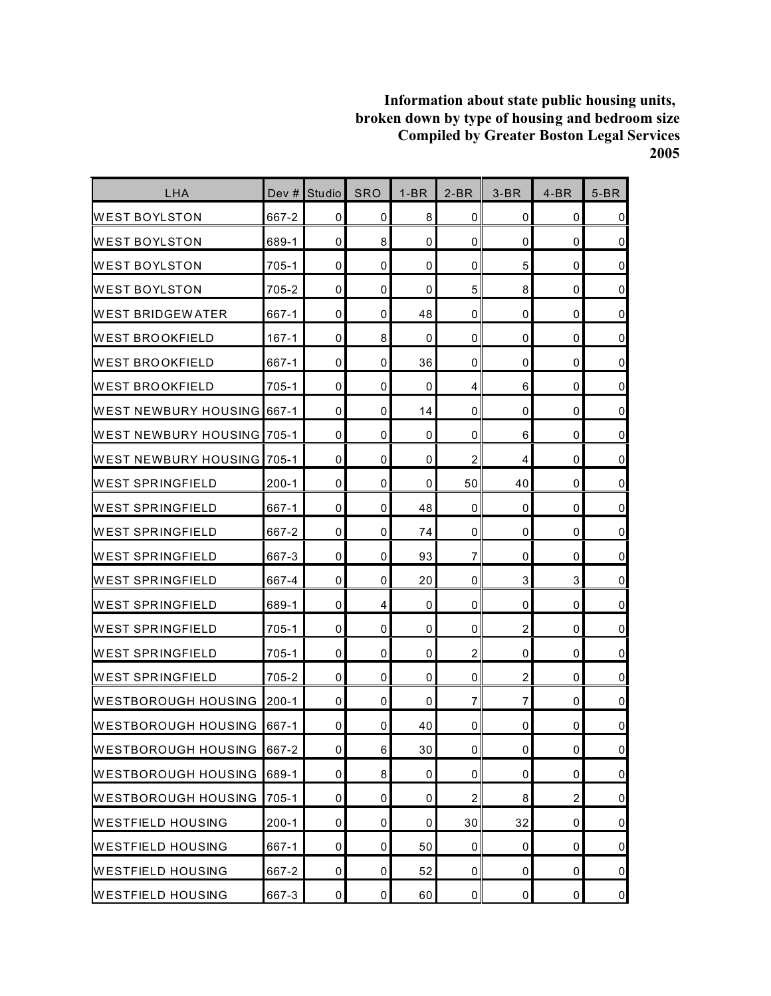| LHA                               | Dev $#$   | Studio      | <b>SRO</b>  | $1-BR$ | $2-BR$         | $3-BR$         | $4-BR$         | $5-BR$         |
|-----------------------------------|-----------|-------------|-------------|--------|----------------|----------------|----------------|----------------|
| <b>WEST BOYLSTON</b>              | 667-2     | 0           | 0           | 8      | 0              | 0              | 0              | $\overline{0}$ |
| <b>WEST BOYLSTON</b>              | 689-1     | 0           | 8           | 0      | 0              | $\mathbf 0$    | 0              | $\overline{0}$ |
| <b>WEST BOYLSTON</b>              | $705 - 1$ | 0           | 0           | 0      | 0              | 5              | 0              | $\mathbf 0$    |
| IWEST BOYLSTON                    | 705-2     | 0           | 0           | 0      | 5              | 8              | 0              | $\overline{0}$ |
| IWEST BRIDGEWATER                 | 667-1     | 0           | 0           | 48     | 0              | 0              | 0              | $\pmb{0}$      |
| <b>WEST BROOKFIELD</b>            | $167 - 1$ | 0           | 8           | 0      | 0              | 0              | 0              | $\overline{0}$ |
| <b>WEST BROOKFIELD</b>            | 667-1     | 0           | 0           | 36     | 0              | $\mathbf 0$    | 0              | $\overline{0}$ |
| <b>WEST BROOKFIELD</b>            | 705-1     | 0           | $\mathbf 0$ | 0      | 4              | 6              | 0              | $\overline{0}$ |
| <b>WEST NEWBURY HOUSING 667-1</b> |           | 0           | 0           | 14     | 0              | 0              | 0              | $\overline{0}$ |
| WEST NEWBURY HOUSING 705-1        |           | $\mathbf 0$ | 0           | 0      | 0              | 6              | 0              | $\overline{0}$ |
| IWEST NEWBURY HOUSING 1705-1      |           | 0           | 0           | 0      | $\overline{c}$ | 4              | 0              | $\overline{0}$ |
| <b>WEST SPRINGFIELD</b>           | $200 - 1$ | 0           | 0           | 0      | 50             | 40             | 0              | $\overline{0}$ |
| <b>WEST SPRINGFIELD</b>           | 667-1     | $\mathbf 0$ | $\mathbf 0$ | 48     | 0              | $\mathbf 0$    | 0              | $\pmb{0}$      |
| <b>WEST SPRINGFIELD</b>           | 667-2     | 0           | 0           | 74     | 0              | 0              | 0              | $\overline{0}$ |
| <b>WEST SPRINGFIELD</b>           | 667-3     | 0           | 0           | 93     | $\overline{7}$ | 0              | 0              | $\pmb{0}$      |
| IWEST SPRINGFIELD                 | 667-4     | $\mathbf 0$ | 0           | 20     | $\mathbf 0$    | 3              | 3              | $\overline{0}$ |
| IWEST SPRINGFIELD                 | 689-1     | 0           | 4           | 0      | 0              | 0              | 0              | $\overline{0}$ |
| <b>WEST SPRINGFIELD</b>           | 705-1     | $\mathbf 0$ | 0           | 0      | 0              | $\overline{2}$ | 0              | $\pmb{0}$      |
| IWEST SPRINGFIELD                 | 705-1     | 0           | 0           | 0      | $\overline{c}$ | 0              | 0              | $\overline{0}$ |
| <b>WEST SPRINGFIELD</b>           | 705-2     | 0           | 0           | 0      | 0              | 2              | 0              | $\overline{0}$ |
| WESTBOROUGH HOUSING               | $200 - 1$ | 0           | 0           | 0      | $\overline{7}$ | 7              | 0              | $\pmb{0}$      |
| IWESTBOROUGH HOUSING              | 667-1     | 0           | 0           | 40     | 0              | 0              | 0              | $\pmb{0}$      |
| <b>WESTBOROUGH HOUSING</b>        | 667-2     | 0           | $6 \,$      | 30     | $\pmb{0}$      | $\pmb{0}$      | 0              | $\overline{0}$ |
| <b>WESTBOROUGH HOUSING</b>        | 689-1     | 0           | 8           | 0      | 0              | 0              | 0              | $\overline{0}$ |
| <b>WESTBOROUGH HOUSING</b>        | $705-1$   | 0           | 0           | 0      | $\overline{c}$ | 8              | $\overline{c}$ | $\overline{0}$ |
| <b>WESTFIELD HOUSING</b>          | $200 - 1$ | 0           | $\mathbf 0$ | 0      | 30             | 32             | 0              | $\overline{0}$ |
| <b>WESTFIELD HOUSING</b>          | 667-1     | 0           | 0           | 50     | 0              | 0              | 0              | $\overline{0}$ |
| <b>WESTFIELD HOUSING</b>          | 667-2     | 0           | 0           | 52     | 0              | 0              | 0              | $\overline{0}$ |
| <b>WESTFIELD HOUSING</b>          | 667-3     | 0           | 0           | 60     | 0              | 0              | 0              | $\overline{0}$ |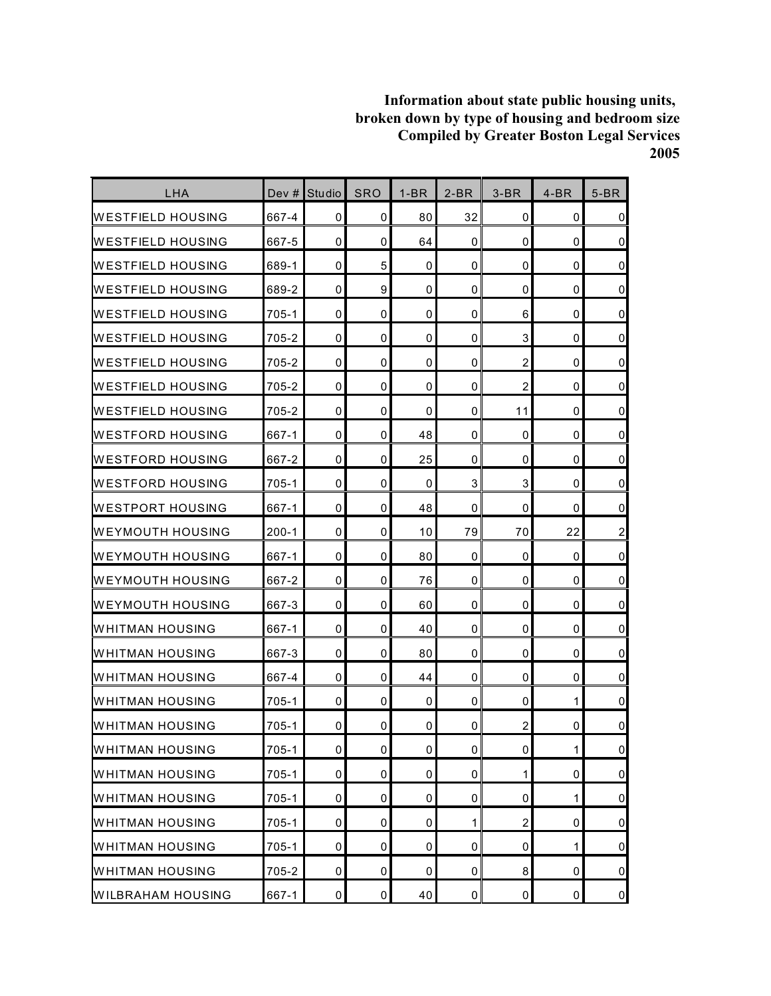| LHA                      | Dev #     | Studio      | <b>SRO</b> | $1-BR$      | $2-BR$      | $3-BR$           | $4-BR$      | $5-BR$           |
|--------------------------|-----------|-------------|------------|-------------|-------------|------------------|-------------|------------------|
| WESTFIELD HOUSING        | 667-4     | 0           | 0          | 80          | 32          | 0                | 0           | $\mathbf 0$      |
| <b>WESTFIELD HOUSING</b> | 667-5     | $\mathbf 0$ | 0          | 64          | $\mathbf 0$ | 0                | $\mathbf 0$ | $\pmb{0}$        |
| WESTFIELD HOUSING        | 689-1     | $\mathbf 0$ | 5          | 0           | 0           | 0                | $\mathbf 0$ | $\pmb{0}$        |
| <b>WESTFIELD HOUSING</b> | 689-2     | 0           | 9          | 0           | $\mathbf 0$ | 0                | 0           | $\mathbf 0$      |
| IWESTFIELD HOUSING       | $705 - 1$ | 0           | 0          | $\mathbf 0$ | 0           | 6                | 0           | $\mathbf 0$      |
| <b>WESTFIELD HOUSING</b> | 705-2     | 0           | 0          | 0           | 0           | 3                | 0           | $\pmb{0}$        |
| <b>WESTFIELD HOUSING</b> | 705-2     | 0           | 0          | 0           | $\mathbf 0$ | $\overline{c}$   | 0           | $\pmb{0}$        |
| WESTFIELD HOUSING        | 705-2     | $\mathbf 0$ | 0          | 0           | 0           | $\overline{2}$   | $\mathbf 0$ | $\pmb{0}$        |
| <b>WESTFIELD HOUSING</b> | 705-2     | 0           | 0          | 0           | 0           | 11               | 0           | $\mathbf 0$      |
| <b>WESTFORD HOUSING</b>  | 667-1     | $\mathbf 0$ | 0          | 48          | $\mathbf 0$ | 0                | 0           | $\mathbf 0$      |
| IWESTFORD HOUSING        | 667-2     | $\mathbf 0$ | 0          | 25          | $\mathbf 0$ | 0                | 0           | $\mathbf 0$      |
| IWESTFORD HOUSING        | 705-1     | 0           | 0          | 0           | 3           | 3                | 0           | $\mathbf 0$      |
| IWESTPORT HOUSING        | 667-1     | $\mathbf 0$ | 0          | 48          | $\mathbf 0$ | 0                | 0           | $\pmb{0}$        |
| <b>WEYMOUTH HOUSING</b>  | $200 - 1$ | 0           | 0          | 10          | 79          | 70               | 22          | $\boldsymbol{2}$ |
| <b>WEYMOUTH HOUSING</b>  | 667-1     | $\mathbf 0$ | 0          | 80          | $\mathbf 0$ | 0                | 0           | $\mathbf 0$      |
| <b>WEYMOUTH HOUSING</b>  | 667-2     | $\mathbf 0$ | 0          | 76          | $\mathbf 0$ | 0                | 0           | $\pmb{0}$        |
| IWEYMOUTH HOUSING        | 667-3     | 0           | 0          | 60          | 0           | 0                | 0           | $\mathbf 0$      |
| WHITMAN HOUSING          | 667-1     | $\mathbf 0$ | 0          | 40          | $\mathbf 0$ | 0                | 0           | $\pmb{0}$        |
| WHITMAN HOUSING          | 667-3     | 0           | 0          | 80          | 0           | 0                | 0           | $\pmb{0}$        |
| <b>WHITMAN HOUSING</b>   | 667-4     | 0           | 0          | 44          | 0           | 0                | 0           | $\pmb{0}$        |
| WHITMAN HOUSING          | $705-1$   | $\mathbf 0$ | 0          | 0           | $\mathbf 0$ | 0                | 1           | $\mathsf 0$      |
| <b>WHITMAN HOUSING</b>   | 705-1     | 0           | 0          | 0           | 0           | 2                | 0           | $\pmb{0}$        |
| <b>WHITMAN HOUSING</b>   | $705 - 1$ | $\mathbf 0$ | $\pmb{0}$  | 0           | $\pmb{0}$   | 0                | 1           | $\mathbf 0$      |
| <b>WHITMAN HOUSING</b>   | 705-1     | 0           | 0          | 0           | 0           | 1                | 0           | $\overline{0}$   |
| <b>WHITMAN HOUSING</b>   | $705-1$   | 0           | 0          | 0           | 0           | 0                | 1           | $\overline{0}$   |
| <b>WHITMAN HOUSING</b>   | 705-1     | $\mathbf 0$ | 0          | 0           | 1           | $\boldsymbol{2}$ | 0           | $\overline{0}$   |
| <b>WHITMAN HOUSING</b>   | $705 - 1$ | $\mathbf 0$ | 0          | 0           | $\mathbf 0$ | 0                | 1           | $\mathsf 0$      |
| <b>WHITMAN HOUSING</b>   | 705-2     | 0           | 0          | 0           | 0           | 8                | 0           | $\overline{0}$   |
| <b>WILBRAHAM HOUSING</b> | 667-1     | 0           | 0          | 40          | $\mathbf 0$ | 0                | 0           | $\overline{0}$   |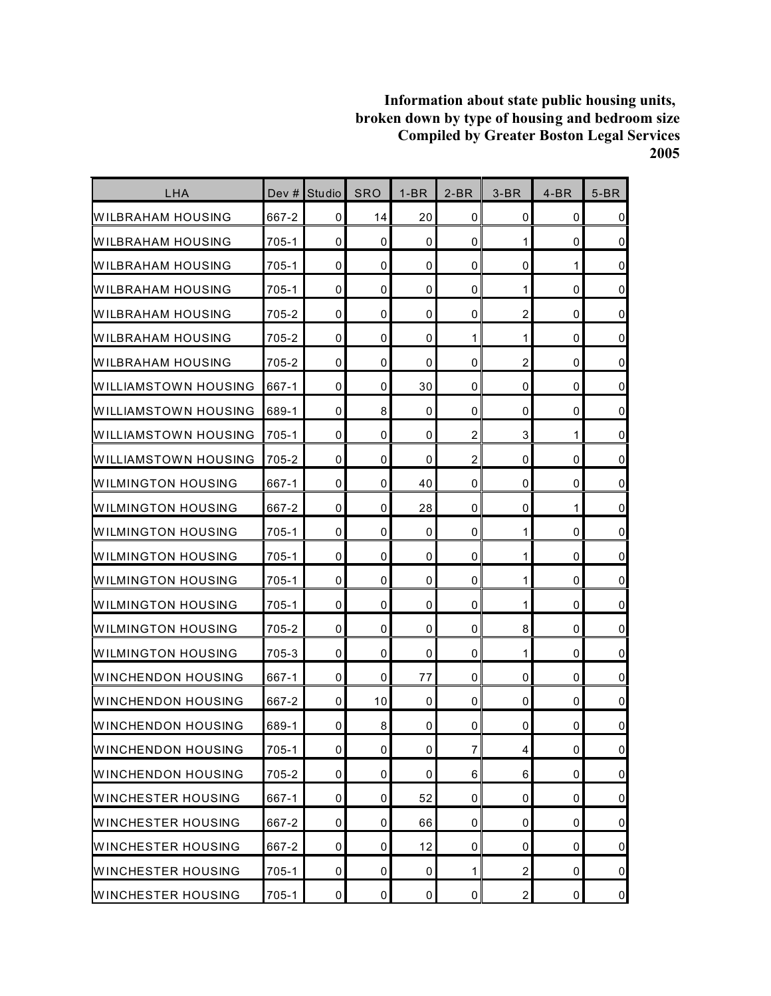| <b>LHA</b>                | Dev $#$   | Studio      | <b>SRO</b>  | $1-BR$      | $2-BR$           | $3-BR$         | $4-BR$ | $5-BR$         |
|---------------------------|-----------|-------------|-------------|-------------|------------------|----------------|--------|----------------|
| WILBRAHAM HOUSING         | 667-2     | 0           | 14          | 20          | 0                | 0              | 0      | $\overline{0}$ |
| WILBRAHAM HOUSING         | $705 - 1$ | 0           | $\mathbf 0$ | 0           | 0                | 1              | 0      | $\overline{0}$ |
| WILBRAHAM HOUSING         | $705 - 1$ | 0           | 0           | 0           | 0                | 0              | 1      | $\mathbf 0$    |
| IWILBRAHAM HOUSING        | 705-1     | 0           | 0           | 0           | 0                | 1              | 0      | $\overline{0}$ |
| WILBRAHAM HOUSING         | 705-2     | 0           | 0           | 0           | 0                | $\overline{2}$ | 0      | $\mathbf 0$    |
| <b>WILBRAHAM HOUSING</b>  | 705-2     | 0           | 0           | 0           | 1                | 1              | 0      | $\overline{0}$ |
| <b>WILBRAHAM HOUSING</b>  | 705-2     | 0           | $\mathbf 0$ | 0           | 0                | $\overline{2}$ | 0      | $\overline{0}$ |
| WILLIAMSTOWN HOUSING      | 667-1     | 0           | 0           | 30          | 0                | 0              | 0      | $\overline{0}$ |
| IWILLIAMSTOWN HOUSING     | 689-1     | 0           | 8           | 0           | 0                | 0              | 0      | $\overline{0}$ |
| IWILLIAMSTOWN HOUSING     | 705-1     | 0           | 0           | 0           | $\overline{2}$   | 3              | 1      | $\mathbf 0$    |
| WILLIAMSTOWN HOUSING      | 705-2     | 0           | 0           | 0           | $\overline{c}$   | 0              | 0      | $\mathbf 0$    |
| <b>WILMINGTON HOUSING</b> | 667-1     | 0           | 0           | 40          | 0                | 0              | 0      | $\overline{0}$ |
| WILMINGTON HOUSING        | 667-2     | $\mathbf 0$ | 0           | 28          | 0                | 0              | 1      | $\mathbf 0$    |
| WILMINGTON HOUSING        | 705-1     | 0           | 0           | 0           | 0                | 1              | 0      | $\overline{0}$ |
| IWILMINGTON HOUSING       | 705-1     | 0           | 0           | 0           | 0                | 1              | 0      | $\mathbf 0$    |
| IWILMINGTON HOUSING       | 705-1     | 0           | 0           | 0           | 0                | 1              | 0      | $\overline{0}$ |
| IWILMINGTON HOUSING       | 705-1     | 0           | 0           | 0           | 0                | 1              | 0      | $\mathbf 0$    |
| WILMINGTON HOUSING        | 705-2     | $\mathbf 0$ | 0           | 0           | 0                | 8              | 0      | $\pmb{0}$      |
| WILMINGTON HOUSING        | 705-3     | 0           | 0           | 0           | 0                | 1              | 0      | $\mathbf 0$    |
| <b>WINCHENDON HOUSING</b> | 667-1     | 0           | 0           | 77          | 0                | 0              | 0      | $\mathbf 0$    |
| WINCHENDON HOUSING        | 667-2     | 0           | 10          | 0           | 0                | 0              | 0      | $\pmb{0}$      |
| WINCHENDON HOUSING        | 689-1     | 0           | 8           | 0           | 0                | 0              | 0      | $\mathbf 0$    |
| <b>WINCHENDON HOUSING</b> | $705 - 1$ | 0           | $\pmb{0}$   | 0           | $\boldsymbol{7}$ | $\overline{4}$ | 0      | $\overline{0}$ |
| <b>WINCHENDON HOUSING</b> | 705-2     | 0           | $\mathbf 0$ | 0           | 6                | 6              | 0      | $\overline{0}$ |
| <b>WINCHESTER HOUSING</b> | 667-1     | 0           | 0           | 52          | 0                | 0              | 0      | $\overline{0}$ |
| <b>WINCHESTER HOUSING</b> | 667-2     | 0           | $\mathbf 0$ | 66          | 0                | $\mathbf 0$    | 0      | $\overline{0}$ |
| <b>WINCHESTER HOUSING</b> | 667-2     | 0           | 0           | 12          | 0                | 0              | 0      | $\overline{0}$ |
| <b>WINCHESTER HOUSING</b> | $705-1$   | 0           | 0           | 0           | 1                | $\overline{2}$ | 0      | $\overline{0}$ |
| <b>WINCHESTER HOUSING</b> | $705 - 1$ | $\pmb{0}$   | $\pmb{0}$   | $\mathsf 0$ | $\pmb{0}$        | $\overline{2}$ | 0      | $\overline{0}$ |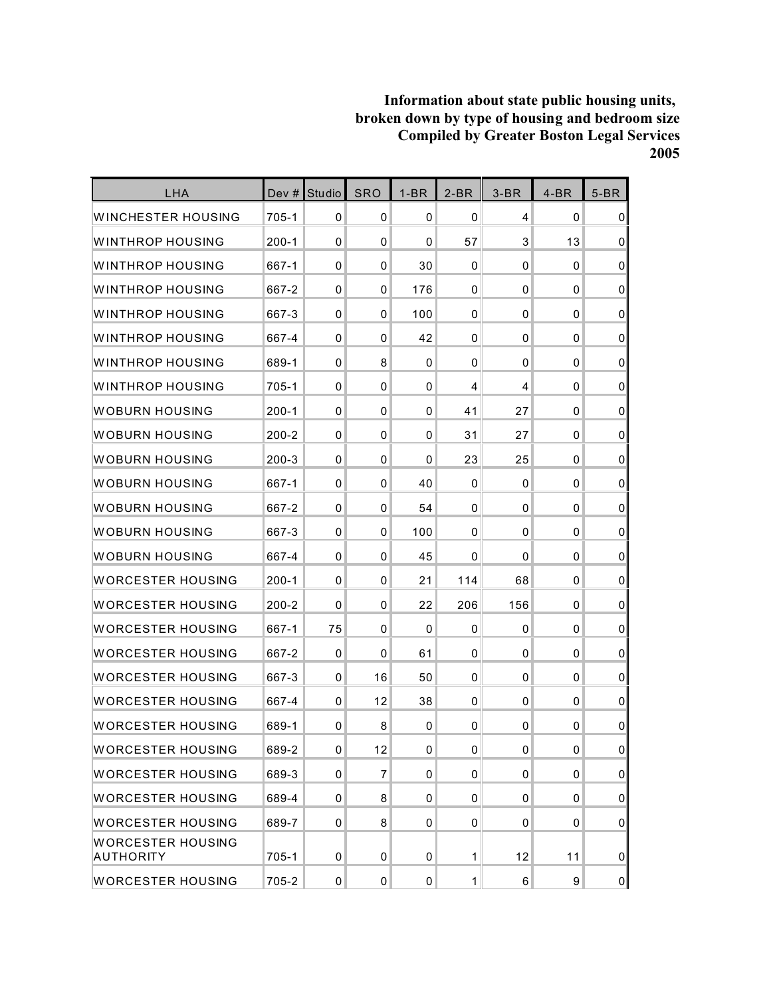| <b>LHA</b>                            |           | Dev # Studio | <b>SRO</b>     | $1-BR$      | $2-BR$       | $3-BR$       | $4-BR$      | $5-BR$           |
|---------------------------------------|-----------|--------------|----------------|-------------|--------------|--------------|-------------|------------------|
| WINCHESTER HOUSING                    | 705-1     | 0            | 0              | $\mathbf 0$ | 0            | 4            | $\mathbf 0$ | 0                |
| WINTHROP HOUSING                      | $200 - 1$ | $\mathbf 0$  | $\mathbf 0$    | 0           | 57           | 3            | 13          | $\mathbf 0$      |
| WINTHROP HOUSING                      | 667-1     | $\mathbf 0$  | 0              | 30          | 0            | $\mathbf 0$  | 0           | $\mathbf 0$      |
| WINTHROP HOUSING                      | 667-2     | 0            | 0              | 176         | 0            | 0            | 0           | $\mathbf 0$      |
| WINTHROP HOUSING                      | 667-3     | 0            | 0              | 100         | 0            | 0            | 0           | $\mathbf 0$      |
| WINTHROP HOUSING                      | 667-4     | 0            | 0              | 42          | 0            | $\mathbf 0$  | $\mathbf 0$ | $\mathbf 0$      |
| WINTHROP HOUSING                      | 689-1     | $\mathbf 0$  | 8              | 0           | 0            | $\mathbf 0$  | 0           | $\mathbf 0$      |
| <b>WINTHROP HOUSING</b>               | $705 - 1$ | $\mathbf 0$  | $\Omega$       | 0           | 4            | 4            | 0           | $\mathbf 0$      |
| WOBURN HOUSING                        | 200-1     | 0            | 0              | 0           | 41           | 27           | 0           | $\mathbf 0$      |
| WOBURN HOUSING                        | $200 - 2$ | 0            | $\mathbf 0$    | 0           | 31           | 27           | $\mathbf 0$ | $\mathbf 0$      |
| WOBURN HOUSING                        | $200 - 3$ | $\mathbf 0$  | 0              | 0           | 23           | 25           | 0           | $\pmb{0}$        |
| WOBURN HOUSING                        | 667-1     | $\mathbf 0$  | 0              | 40          | 0            | 0            | 0           | $\mathbf 0$      |
| WOBURN HOUSING                        | 667-2     | 0            | 0              | 54          | 0            | $\mathbf{0}$ | $\mathbf 0$ | $\mathbf 0$      |
| WOBURN HOUSING                        | 667-3     | 0            | 0              | 100         | 0            | 0            | 0           | $\mathbf 0$      |
| WOBURN HOUSING                        | 667-4     | $\mathbf 0$  | 0              | 45          | 0            | $\mathbf 0$  | $\mathbf 0$ | $\mathbf 0$      |
| <b>WORCESTER HOUSING</b>              | $200 - 1$ | $\mathbf 0$  | 0              | 21          | 114          | 68           | 0           | 0                |
| WORCESTER HOUSING                     | $200 - 2$ | 0            | 0              | 22          | 206          | 156          | 0           | $\mathbf 0$      |
| <b>WORCESTER HOUSING</b>              | 667-1     | 75           | $\mathbf{0}$   | $\pmb{0}$   | 0            | 0            | 0           | $\pmb{0}$        |
| WORCESTER HOUSING                     | 667-2     | 0            | 0              | 61          | 0            | 0            | 0           | 0                |
| WORCESTER HOUSING                     | 667-3     | $\mathbf 0$  | 16             | 50          | 0            | $\mathbf 0$  | $\mathbf 0$ | $\mathbf 0$      |
| WORCESTER HOUSING                     | 667-4     | $\mathbf 0$  | 12             | 38          | 0            | $\mathbf 0$  | 0           | $\mathbf 0$      |
| <b>WORCESTER HOUSING</b>              | 689-1     | 0            | 8              | 0           | 0            | 0            | 0           | $\mathbf 0$      |
| <b>WORCESTER HOUSING</b>              | 689-2     | $\mathbf 0$  | 12             | $\mathsf 0$ | 0            | $\mathbf{0}$ | 0           | $\overline{0}$   |
| <b>WORCESTER HOUSING</b>              | 689-3     | 0            | $\overline{7}$ | 0           | 0            | $\mathbf 0$  | 0           | $\boldsymbol{0}$ |
| <b>WORCESTER HOUSING</b>              | 689-4     | 0            | 8              | 0           | 0            | $\mathbf 0$  | 0           | $\overline{0}$   |
| <b>WORCESTER HOUSING</b>              | 689-7     | 0            | 8              | 0           | 0            | $\mathbf 0$  | 0           | $\overline{0}$   |
| <b>WORCESTER HOUSING</b><br>AUTHORITY | 705-1     | $\mathbf 0$  | $\mathbf 0$    | 0           | 1            | 12           | 11          | $\overline{0}$   |
| <b>WORCESTER HOUSING</b>              | 705-2     | $\pmb{0}$    | $\pmb{0}$      | 0           | $\mathbf{1}$ | 6            | 9           | 0                |